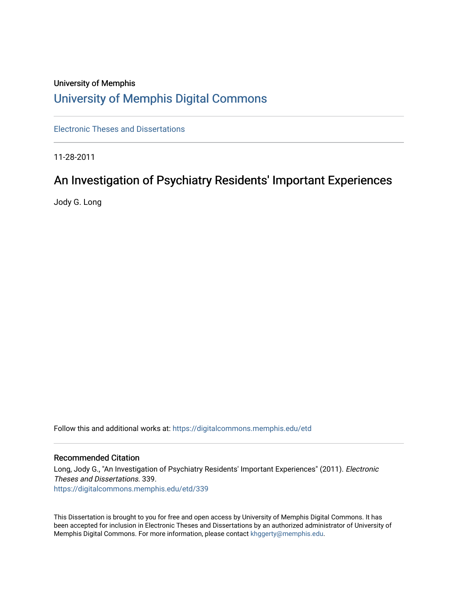# University of Memphis [University of Memphis Digital Commons](https://digitalcommons.memphis.edu/)

[Electronic Theses and Dissertations](https://digitalcommons.memphis.edu/etd)

11-28-2011

# An Investigation of Psychiatry Residents' Important Experiences

Jody G. Long

Follow this and additional works at: [https://digitalcommons.memphis.edu/etd](https://digitalcommons.memphis.edu/etd?utm_source=digitalcommons.memphis.edu%2Fetd%2F339&utm_medium=PDF&utm_campaign=PDFCoverPages) 

# Recommended Citation

Long, Jody G., "An Investigation of Psychiatry Residents' Important Experiences" (2011). Electronic Theses and Dissertations. 339. [https://digitalcommons.memphis.edu/etd/339](https://digitalcommons.memphis.edu/etd/339?utm_source=digitalcommons.memphis.edu%2Fetd%2F339&utm_medium=PDF&utm_campaign=PDFCoverPages) 

This Dissertation is brought to you for free and open access by University of Memphis Digital Commons. It has been accepted for inclusion in Electronic Theses and Dissertations by an authorized administrator of University of Memphis Digital Commons. For more information, please contact [khggerty@memphis.edu.](mailto:khggerty@memphis.edu)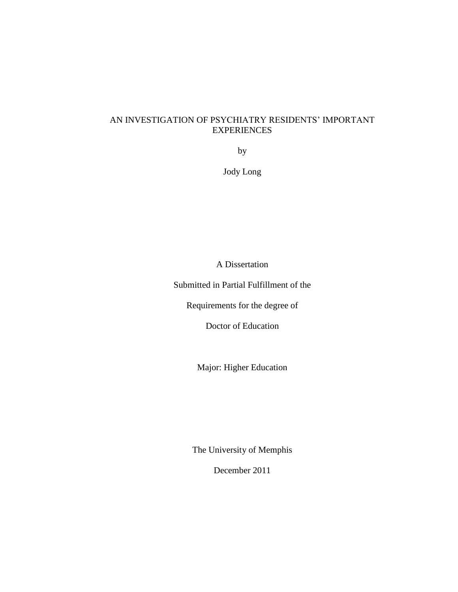# AN INVESTIGATION OF PSYCHIATRY RESIDENTS" IMPORTANT EXPERIENCES

by

Jody Long

A Dissertation

Submitted in Partial Fulfillment of the

Requirements for the degree of

Doctor of Education

Major: Higher Education

The University of Memphis

December 2011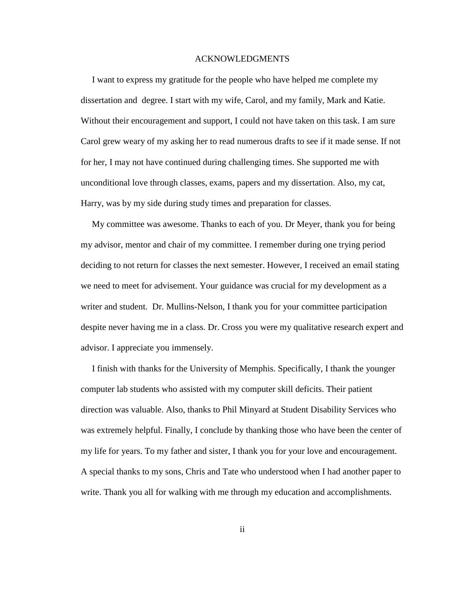#### ACKNOWLEDGMENTS

 I want to express my gratitude for the people who have helped me complete my dissertation and degree. I start with my wife, Carol, and my family, Mark and Katie. Without their encouragement and support, I could not have taken on this task. I am sure Carol grew weary of my asking her to read numerous drafts to see if it made sense. If not for her, I may not have continued during challenging times. She supported me with unconditional love through classes, exams, papers and my dissertation. Also, my cat, Harry, was by my side during study times and preparation for classes.

 My committee was awesome. Thanks to each of you. Dr Meyer, thank you for being my advisor, mentor and chair of my committee. I remember during one trying period deciding to not return for classes the next semester. However, I received an email stating we need to meet for advisement. Your guidance was crucial for my development as a writer and student. Dr. Mullins-Nelson, I thank you for your committee participation despite never having me in a class. Dr. Cross you were my qualitative research expert and advisor. I appreciate you immensely.

 I finish with thanks for the University of Memphis. Specifically, I thank the younger computer lab students who assisted with my computer skill deficits. Their patient direction was valuable. Also, thanks to Phil Minyard at Student Disability Services who was extremely helpful. Finally, I conclude by thanking those who have been the center of my life for years. To my father and sister, I thank you for your love and encouragement. A special thanks to my sons, Chris and Tate who understood when I had another paper to write. Thank you all for walking with me through my education and accomplishments.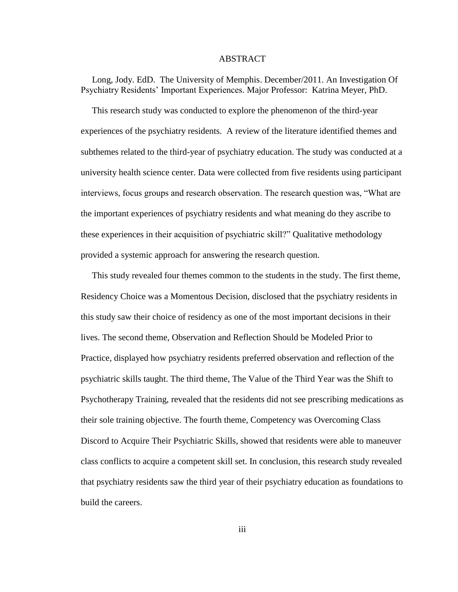### ABSTRACT

 Long, Jody. EdD. The University of Memphis. December/2011. An Investigation Of Psychiatry Residents" Important Experiences. Major Professor: Katrina Meyer, PhD.

 This research study was conducted to explore the phenomenon of the third-year experiences of the psychiatry residents. A review of the literature identified themes and subthemes related to the third-year of psychiatry education. The study was conducted at a university health science center. Data were collected from five residents using participant interviews, focus groups and research observation. The research question was, "What are the important experiences of psychiatry residents and what meaning do they ascribe to these experiences in their acquisition of psychiatric skill?" Qualitative methodology provided a systemic approach for answering the research question.

 This study revealed four themes common to the students in the study. The first theme, Residency Choice was a Momentous Decision, disclosed that the psychiatry residents in this study saw their choice of residency as one of the most important decisions in their lives. The second theme, Observation and Reflection Should be Modeled Prior to Practice, displayed how psychiatry residents preferred observation and reflection of the psychiatric skills taught. The third theme, The Value of the Third Year was the Shift to Psychotherapy Training, revealed that the residents did not see prescribing medications as their sole training objective. The fourth theme, Competency was Overcoming Class Discord to Acquire Their Psychiatric Skills, showed that residents were able to maneuver class conflicts to acquire a competent skill set. In conclusion, this research study revealed that psychiatry residents saw the third year of their psychiatry education as foundations to build the careers.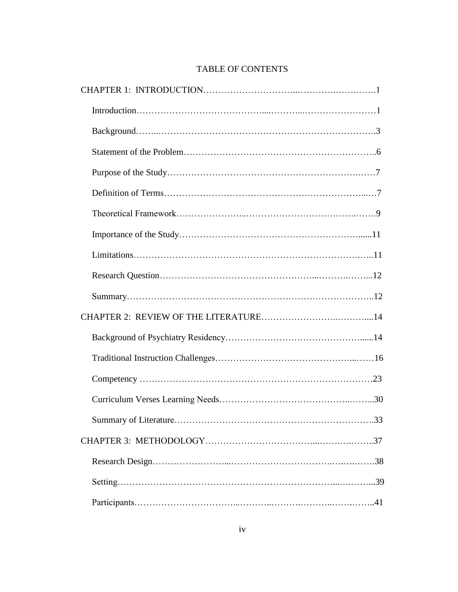# TABLE OF CONTENTS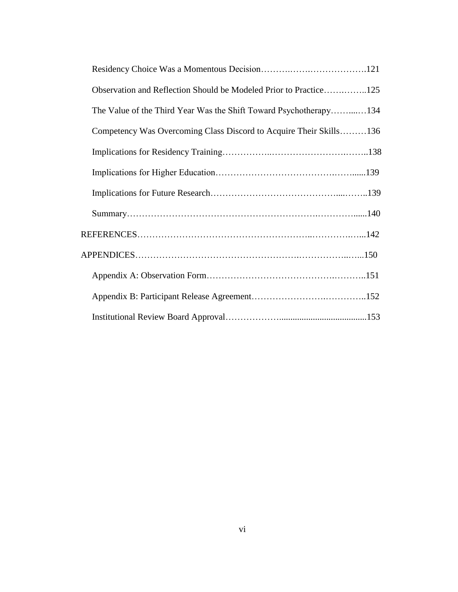| Observation and Reflection Should be Modeled Prior to Practice125  |  |
|--------------------------------------------------------------------|--|
| The Value of the Third Year Was the Shift Toward Psychotherapy134  |  |
| Competency Was Overcoming Class Discord to Acquire Their Skills136 |  |
|                                                                    |  |
|                                                                    |  |
|                                                                    |  |
|                                                                    |  |
|                                                                    |  |
|                                                                    |  |
|                                                                    |  |
|                                                                    |  |
|                                                                    |  |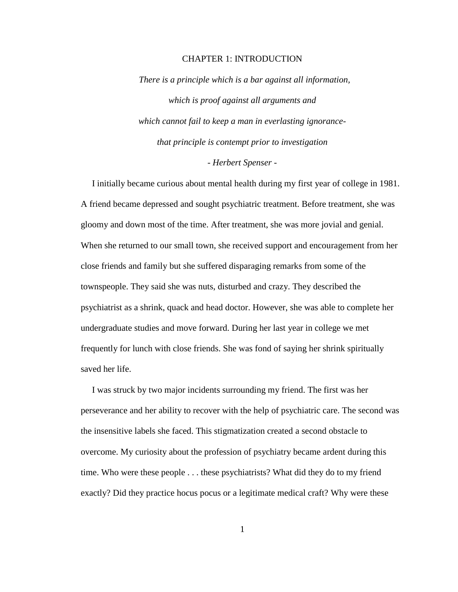# CHAPTER 1: INTRODUCTION

 *There is a principle which is a bar against all information, which is proof against all arguments and which cannot fail to keep a man in everlasting ignorancethat principle is contempt prior to investigation*

# *- Herbert Spenser -*

 I initially became curious about mental health during my first year of college in 1981. A friend became depressed and sought psychiatric treatment. Before treatment, she was gloomy and down most of the time. After treatment, she was more jovial and genial. When she returned to our small town, she received support and encouragement from her close friends and family but she suffered disparaging remarks from some of the townspeople. They said she was nuts, disturbed and crazy. They described the psychiatrist as a shrink, quack and head doctor. However, she was able to complete her undergraduate studies and move forward. During her last year in college we met frequently for lunch with close friends. She was fond of saying her shrink spiritually saved her life.

 I was struck by two major incidents surrounding my friend. The first was her perseverance and her ability to recover with the help of psychiatric care. The second was the insensitive labels she faced. This stigmatization created a second obstacle to overcome. My curiosity about the profession of psychiatry became ardent during this time. Who were these people . . . these psychiatrists? What did they do to my friend exactly? Did they practice hocus pocus or a legitimate medical craft? Why were these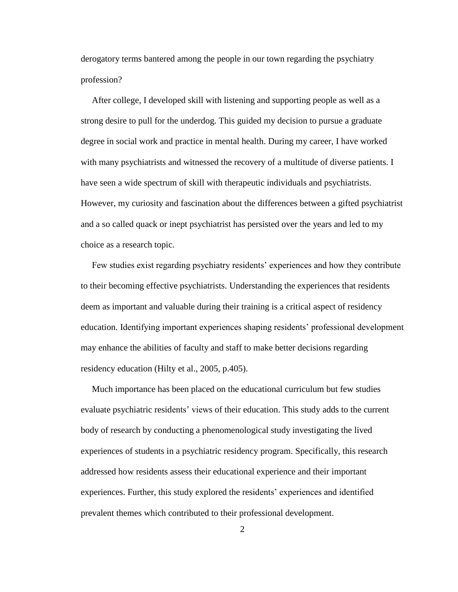derogatory terms bantered among the people in our town regarding the psychiatry profession?

 After college, I developed skill with listening and supporting people as well as a strong desire to pull for the underdog. This guided my decision to pursue a graduate degree in social work and practice in mental health. During my career, I have worked with many psychiatrists and witnessed the recovery of a multitude of diverse patients. I have seen a wide spectrum of skill with therapeutic individuals and psychiatrists. However, my curiosity and fascination about the differences between a gifted psychiatrist and a so called quack or inept psychiatrist has persisted over the years and led to my choice as a research topic.

Few studies exist regarding psychiatry residents' experiences and how they contribute to their becoming effective psychiatrists. Understanding the experiences that residents deem as important and valuable during their training is a critical aspect of residency education. Identifying important experiences shaping residents" professional development may enhance the abilities of faculty and staff to make better decisions regarding residency education (Hilty et al., 2005, p.405).

 Much importance has been placed on the educational curriculum but few studies evaluate psychiatric residents" views of their education. This study adds to the current body of research by conducting a phenomenological study investigating the lived experiences of students in a psychiatric residency program. Specifically, this research addressed how residents assess their educational experience and their important experiences. Further, this study explored the residents" experiences and identified prevalent themes which contributed to their professional development.

 $\mathcal{L}$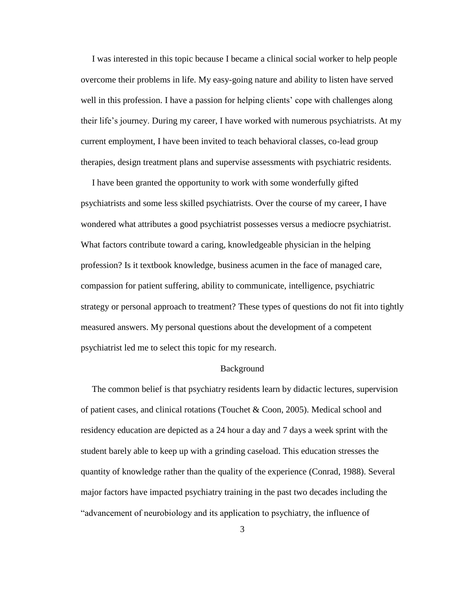I was interested in this topic because I became a clinical social worker to help people overcome their problems in life. My easy-going nature and ability to listen have served well in this profession. I have a passion for helping clients' cope with challenges along their life"s journey. During my career, I have worked with numerous psychiatrists. At my current employment, I have been invited to teach behavioral classes, co-lead group therapies, design treatment plans and supervise assessments with psychiatric residents.

 I have been granted the opportunity to work with some wonderfully gifted psychiatrists and some less skilled psychiatrists. Over the course of my career, I have wondered what attributes a good psychiatrist possesses versus a mediocre psychiatrist. What factors contribute toward a caring, knowledgeable physician in the helping profession? Is it textbook knowledge, business acumen in the face of managed care, compassion for patient suffering, ability to communicate, intelligence, psychiatric strategy or personal approach to treatment? These types of questions do not fit into tightly measured answers. My personal questions about the development of a competent psychiatrist led me to select this topic for my research.

### Background

 The common belief is that psychiatry residents learn by didactic lectures, supervision of patient cases, and clinical rotations (Touchet & Coon, 2005). Medical school and residency education are depicted as a 24 hour a day and 7 days a week sprint with the student barely able to keep up with a grinding caseload. This education stresses the quantity of knowledge rather than the quality of the experience (Conrad, 1988). Several major factors have impacted psychiatry training in the past two decades including the "advancement of neurobiology and its application to psychiatry, the influence of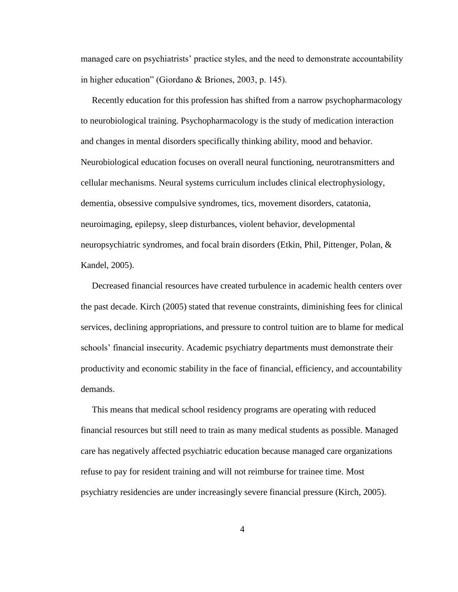managed care on psychiatrists' practice styles, and the need to demonstrate accountability in higher education" (Giordano & Briones, 2003, p. 145).

 Recently education for this profession has shifted from a narrow psychopharmacology to neurobiological training. Psychopharmacology is the study of medication interaction and changes in mental disorders specifically thinking ability, mood and behavior. Neurobiological education focuses on overall neural functioning, neurotransmitters and cellular mechanisms. Neural systems curriculum includes clinical electrophysiology, dementia, obsessive compulsive syndromes, tics, movement disorders, catatonia, neuroimaging, epilepsy, sleep disturbances, violent behavior, developmental neuropsychiatric syndromes, and focal brain disorders (Etkin, Phil, Pittenger, Polan, & Kandel, 2005).

 Decreased financial resources have created turbulence in academic health centers over the past decade. Kirch (2005) stated that revenue constraints, diminishing fees for clinical services, declining appropriations, and pressure to control tuition are to blame for medical schools' financial insecurity. Academic psychiatry departments must demonstrate their productivity and economic stability in the face of financial, efficiency, and accountability demands.

 This means that medical school residency programs are operating with reduced financial resources but still need to train as many medical students as possible. Managed care has negatively affected psychiatric education because managed care organizations refuse to pay for resident training and will not reimburse for trainee time. Most psychiatry residencies are under increasingly severe financial pressure (Kirch, 2005).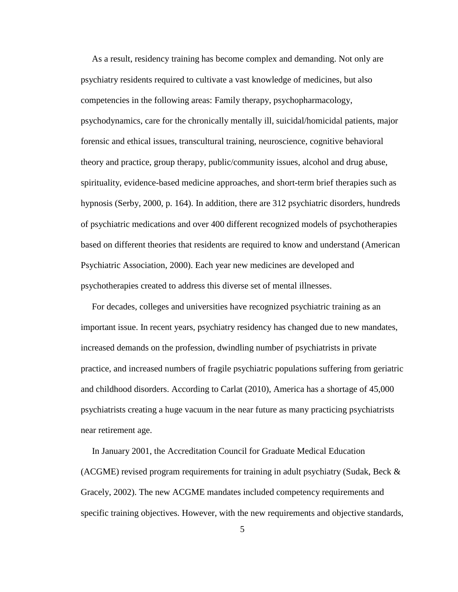As a result, residency training has become complex and demanding. Not only are psychiatry residents required to cultivate a vast knowledge of medicines, but also competencies in the following areas: Family therapy, psychopharmacology, psychodynamics, care for the chronically mentally ill, suicidal/homicidal patients, major forensic and ethical issues, transcultural training, neuroscience, cognitive behavioral theory and practice, group therapy, public/community issues, alcohol and drug abuse, spirituality, evidence-based medicine approaches, and short-term brief therapies such as hypnosis (Serby, 2000, p. 164). In addition, there are 312 psychiatric disorders, hundreds of psychiatric medications and over 400 different recognized models of psychotherapies based on different theories that residents are required to know and understand (American Psychiatric Association, 2000). Each year new medicines are developed and psychotherapies created to address this diverse set of mental illnesses.

 For decades, colleges and universities have recognized psychiatric training as an important issue. In recent years, psychiatry residency has changed due to new mandates, increased demands on the profession, dwindling number of psychiatrists in private practice, and increased numbers of fragile psychiatric populations suffering from geriatric and childhood disorders. According to Carlat (2010), America has a shortage of 45,000 psychiatrists creating a huge vacuum in the near future as many practicing psychiatrists near retirement age.

 In January 2001, the Accreditation Council for Graduate Medical Education (ACGME) revised program requirements for training in adult psychiatry (Sudak, Beck  $\&$ Gracely, 2002). The new ACGME mandates included competency requirements and specific training objectives. However, with the new requirements and objective standards,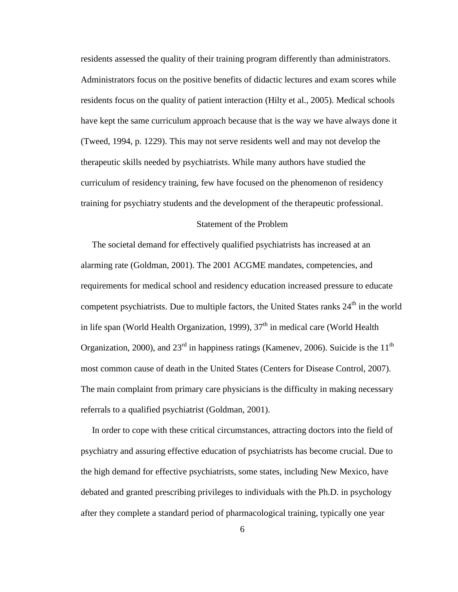residents assessed the quality of their training program differently than administrators. Administrators focus on the positive benefits of didactic lectures and exam scores while residents focus on the quality of patient interaction (Hilty et al., 2005). Medical schools have kept the same curriculum approach because that is the way we have always done it (Tweed, 1994, p. 1229). This may not serve residents well and may not develop the therapeutic skills needed by psychiatrists. While many authors have studied the curriculum of residency training, few have focused on the phenomenon of residency training for psychiatry students and the development of the therapeutic professional.

# Statement of the Problem

 The societal demand for effectively qualified psychiatrists has increased at an alarming rate (Goldman, 2001). The 2001 ACGME mandates, competencies, and requirements for medical school and residency education increased pressure to educate competent psychiatrists. Due to multiple factors, the United States ranks  $24<sup>th</sup>$  in the world in life span (World Health Organization, 1999),  $37<sup>th</sup>$  in medical care (World Health Organization, 2000), and  $23<sup>rd</sup>$  in happiness ratings (Kamenev, 2006). Suicide is the 11<sup>th</sup> most common cause of death in the United States (Centers for Disease Control, 2007). The main complaint from primary care physicians is the difficulty in making necessary referrals to a qualified psychiatrist (Goldman, 2001).

 In order to cope with these critical circumstances, attracting doctors into the field of psychiatry and assuring effective education of psychiatrists has become crucial. Due to the high demand for effective psychiatrists, some states, including New Mexico, have debated and granted prescribing privileges to individuals with the Ph.D. in psychology after they complete a standard period of pharmacological training, typically one year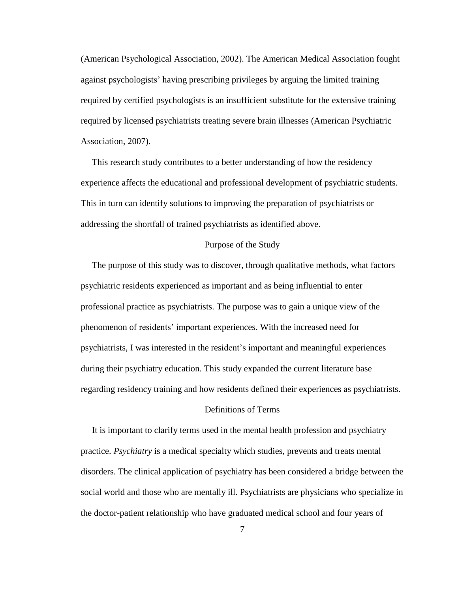(American Psychological Association, 2002). The American Medical Association fought against psychologists" having prescribing privileges by arguing the limited training required by certified psychologists is an insufficient substitute for the extensive training required by licensed psychiatrists treating severe brain illnesses (American Psychiatric Association, 2007).

 This research study contributes to a better understanding of how the residency experience affects the educational and professional development of psychiatric students. This in turn can identify solutions to improving the preparation of psychiatrists or addressing the shortfall of trained psychiatrists as identified above.

#### Purpose of the Study

 The purpose of this study was to discover, through qualitative methods, what factors psychiatric residents experienced as important and as being influential to enter professional practice as psychiatrists. The purpose was to gain a unique view of the phenomenon of residents" important experiences. With the increased need for psychiatrists, I was interested in the resident"s important and meaningful experiences during their psychiatry education. This study expanded the current literature base regarding residency training and how residents defined their experiences as psychiatrists.

# Definitions of Terms

 It is important to clarify terms used in the mental health profession and psychiatry practice. *Psychiatry* is a medical specialty which studies, prevents and treats mental disorders. The clinical application of psychiatry has been considered a bridge between the social world and those who are mentally ill. Psychiatrists are physicians who specialize in the doctor-patient relationship who have graduated medical school and four years of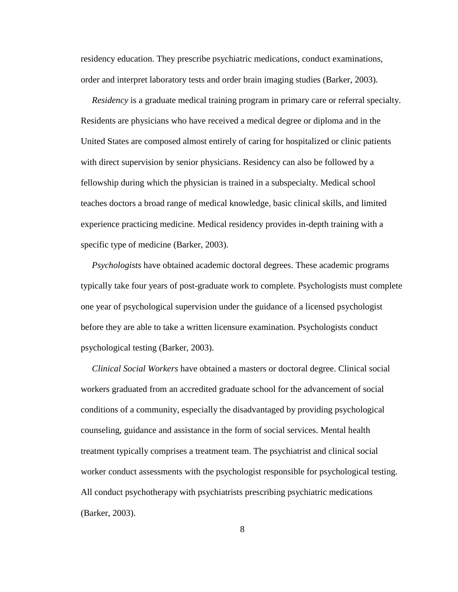residency education. They prescribe psychiatric medications, conduct examinations, order and interpret laboratory tests and order brain imaging studies (Barker, 2003).

 *Residency* is a graduate medical training program in primary care or referral specialty. Residents are physicians who have received a medical degree or diploma and in the United States are composed almost entirely of caring for hospitalized or clinic patients with direct supervision by senior physicians. Residency can also be followed by a fellowship during which the physician is trained in a subspecialty. Medical school teaches doctors a broad range of medical knowledge, basic clinical skills, and limited experience practicing medicine. Medical residency provides in-depth training with a specific type of medicine (Barker, 2003).

 *Psychologists* have obtained academic doctoral degrees. These academic programs typically take four years of post-graduate work to complete. Psychologists must complete one year of psychological supervision under the guidance of a licensed psychologist before they are able to take a written licensure examination. Psychologists conduct psychological testing (Barker, 2003).

 *Clinical Social Workers* have obtained a masters or doctoral degree. Clinical social workers graduated from an accredited graduate school for the advancement of social conditions of a community, especially the disadvantaged by providing psychological counseling, guidance and assistance in the form of social services. Mental health treatment typically comprises a treatment team. The psychiatrist and clinical social worker conduct assessments with the psychologist responsible for psychological testing. All conduct psychotherapy with psychiatrists prescribing psychiatric medications (Barker, 2003).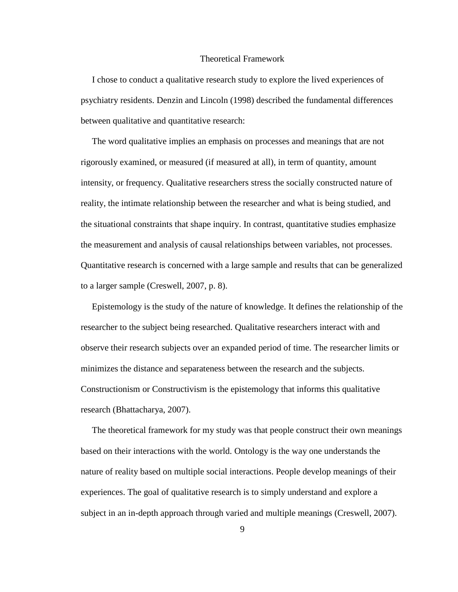#### Theoretical Framework

 I chose to conduct a qualitative research study to explore the lived experiences of psychiatry residents. Denzin and Lincoln (1998) described the fundamental differences between qualitative and quantitative research:

The word qualitative implies an emphasis on processes and meanings that are not rigorously examined, or measured (if measured at all), in term of quantity, amount intensity, or frequency. Qualitative researchers stress the socially constructed nature of reality, the intimate relationship between the researcher and what is being studied, and the situational constraints that shape inquiry. In contrast, quantitative studies emphasize the measurement and analysis of causal relationships between variables, not processes. Quantitative research is concerned with a large sample and results that can be generalized to a larger sample (Creswell, 2007, p. 8).

 Epistemology is the study of the nature of knowledge. It defines the relationship of the researcher to the subject being researched. Qualitative researchers interact with and observe their research subjects over an expanded period of time. The researcher limits or minimizes the distance and separateness between the research and the subjects. Constructionism or Constructivism is the epistemology that informs this qualitative research (Bhattacharya, 2007).

 The theoretical framework for my study was that people construct their own meanings based on their interactions with the world. Ontology is the way one understands the nature of reality based on multiple social interactions. People develop meanings of their experiences. The goal of qualitative research is to simply understand and explore a subject in an in-depth approach through varied and multiple meanings (Creswell, 2007).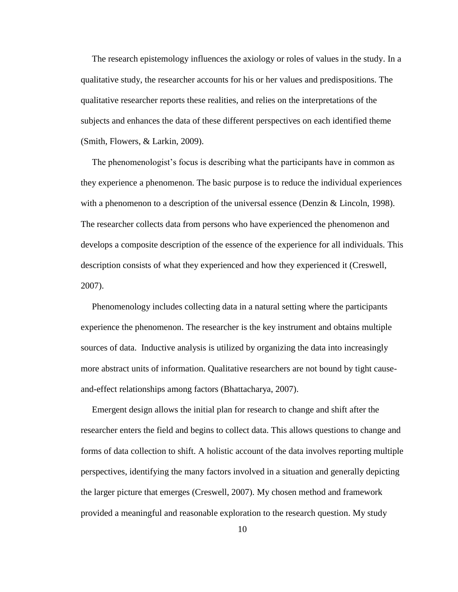The research epistemology influences the axiology or roles of values in the study. In a qualitative study, the researcher accounts for his or her values and predispositions. The qualitative researcher reports these realities, and relies on the interpretations of the subjects and enhances the data of these different perspectives on each identified theme (Smith, Flowers, & Larkin, 2009).

The phenomenologist's focus is describing what the participants have in common as they experience a phenomenon. The basic purpose is to reduce the individual experiences with a phenomenon to a description of the universal essence (Denzin & Lincoln, 1998). The researcher collects data from persons who have experienced the phenomenon and develops a composite description of the essence of the experience for all individuals. This description consists of what they experienced and how they experienced it (Creswell, 2007).

Phenomenology includes collecting data in a natural setting where the participants experience the phenomenon. The researcher is the key instrument and obtains multiple sources of data. Inductive analysis is utilized by organizing the data into increasingly more abstract units of information. Qualitative researchers are not bound by tight causeand-effect relationships among factors (Bhattacharya, 2007).

 Emergent design allows the initial plan for research to change and shift after the researcher enters the field and begins to collect data. This allows questions to change and forms of data collection to shift. A holistic account of the data involves reporting multiple perspectives, identifying the many factors involved in a situation and generally depicting the larger picture that emerges (Creswell, 2007). My chosen method and framework provided a meaningful and reasonable exploration to the research question. My study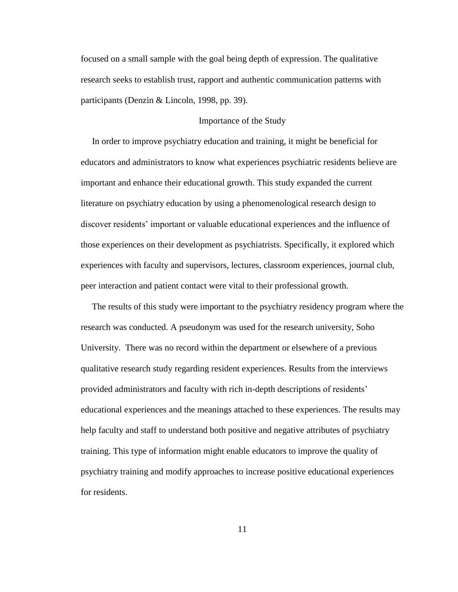focused on a small sample with the goal being depth of expression. The qualitative research seeks to establish trust, rapport and authentic communication patterns with participants (Denzin & Lincoln, 1998, pp. 39).

# Importance of the Study

 In order to improve psychiatry education and training, it might be beneficial for educators and administrators to know what experiences psychiatric residents believe are important and enhance their educational growth. This study expanded the current literature on psychiatry education by using a phenomenological research design to discover residents" important or valuable educational experiences and the influence of those experiences on their development as psychiatrists. Specifically, it explored which experiences with faculty and supervisors, lectures, classroom experiences, journal club, peer interaction and patient contact were vital to their professional growth.

 The results of this study were important to the psychiatry residency program where the research was conducted. A pseudonym was used for the research university, Soho University. There was no record within the department or elsewhere of a previous qualitative research study regarding resident experiences. Results from the interviews provided administrators and faculty with rich in-depth descriptions of residents" educational experiences and the meanings attached to these experiences. The results may help faculty and staff to understand both positive and negative attributes of psychiatry training. This type of information might enable educators to improve the quality of psychiatry training and modify approaches to increase positive educational experiences for residents.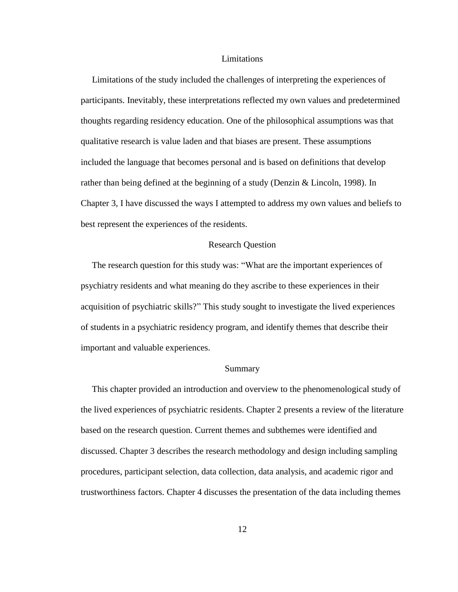#### Limitations

 Limitations of the study included the challenges of interpreting the experiences of participants. Inevitably, these interpretations reflected my own values and predetermined thoughts regarding residency education. One of the philosophical assumptions was that qualitative research is value laden and that biases are present. These assumptions included the language that becomes personal and is based on definitions that develop rather than being defined at the beginning of a study (Denzin & Lincoln, 1998). In Chapter 3, I have discussed the ways I attempted to address my own values and beliefs to best represent the experiences of the residents.

#### Research Question

 The research question for this study was: "What are the important experiences of psychiatry residents and what meaning do they ascribe to these experiences in their acquisition of psychiatric skills?" This study sought to investigate the lived experiences of students in a psychiatric residency program, and identify themes that describe their important and valuable experiences.

#### Summary

 This chapter provided an introduction and overview to the phenomenological study of the lived experiences of psychiatric residents. Chapter 2 presents a review of the literature based on the research question. Current themes and subthemes were identified and discussed. Chapter 3 describes the research methodology and design including sampling procedures, participant selection, data collection, data analysis, and academic rigor and trustworthiness factors. Chapter 4 discusses the presentation of the data including themes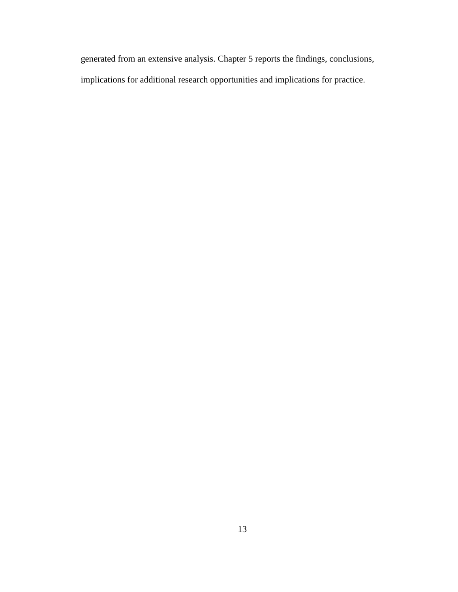generated from an extensive analysis. Chapter 5 reports the findings, conclusions, implications for additional research opportunities and implications for practice.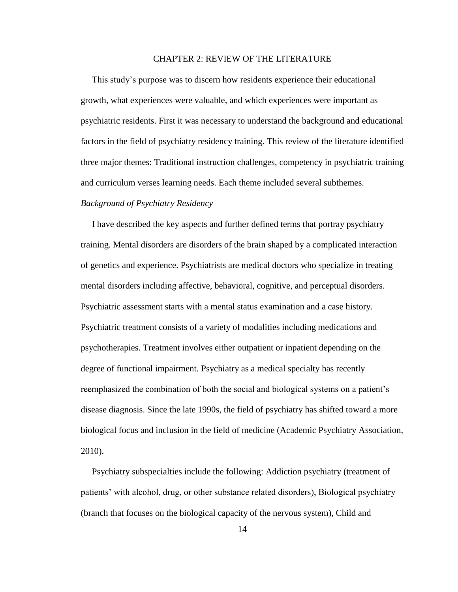# CHAPTER 2: REVIEW OF THE LITERATURE

 This study"s purpose was to discern how residents experience their educational growth, what experiences were valuable, and which experiences were important as psychiatric residents. First it was necessary to understand the background and educational factors in the field of psychiatry residency training. This review of the literature identified three major themes: Traditional instruction challenges, competency in psychiatric training and curriculum verses learning needs. Each theme included several subthemes.

#### *Background of Psychiatry Residency*

 I have described the key aspects and further defined terms that portray psychiatry training. Mental disorders are disorders of the brain shaped by a complicated interaction of genetics and experience. Psychiatrists are medical doctors who specialize in treating mental disorders including affective, behavioral, cognitive, and perceptual disorders. Psychiatric assessment starts with a mental status examination and a case history. Psychiatric treatment consists of a variety of modalities including medications and psychotherapies. Treatment involves either outpatient or inpatient depending on the degree of functional impairment. Psychiatry as a medical specialty has recently reemphasized the combination of both the social and biological systems on a patient"s disease diagnosis. Since the late 1990s, the field of psychiatry has shifted toward a more biological focus and inclusion in the field of medicine (Academic Psychiatry Association, 2010).

 Psychiatry subspecialties include the following: Addiction psychiatry (treatment of patients" with alcohol, drug, or other substance related disorders), Biological psychiatry (branch that focuses on the biological capacity of the nervous system), Child and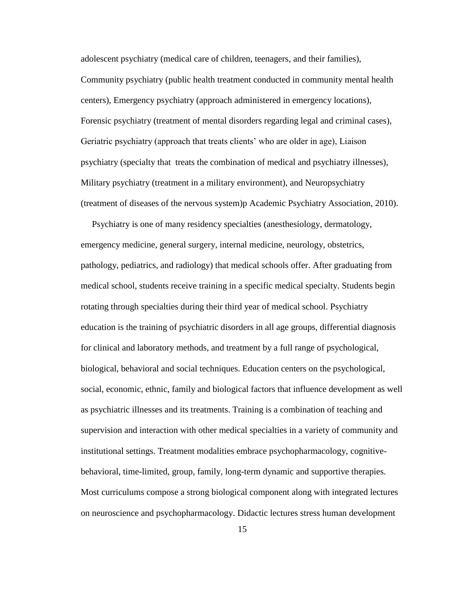adolescent psychiatry (medical care of children, teenagers, and their families), Community psychiatry (public health treatment conducted in community mental health centers), Emergency psychiatry (approach administered in emergency locations), Forensic psychiatry (treatment of mental disorders regarding legal and criminal cases), Geriatric psychiatry (approach that treats clients" who are older in age), Liaison psychiatry (specialty that treats the combination of medical and psychiatry illnesses), Military psychiatry (treatment in a military environment), and Neuropsychiatry (treatment of diseases of the nervous system)p Academic Psychiatry Association, 2010).

 Psychiatry is one of many residency specialties (anesthesiology, dermatology, emergency medicine, general surgery, internal medicine, neurology, obstetrics, pathology, pediatrics, and radiology) that medical schools offer. After graduating from medical school, students receive training in a specific medical specialty. Students begin rotating through specialties during their third year of medical school. Psychiatry education is the training of psychiatric disorders in all age groups, differential diagnosis for clinical and laboratory methods, and treatment by a full range of psychological, biological, behavioral and social techniques. Education centers on the psychological, social, economic, ethnic, family and biological factors that influence development as well as psychiatric illnesses and its treatments. Training is a combination of teaching and supervision and interaction with other medical specialties in a variety of community and institutional settings. Treatment modalities embrace psychopharmacology, cognitivebehavioral, time-limited, group, family, long-term dynamic and supportive therapies. Most curriculums compose a strong biological component along with integrated lectures on neuroscience and psychopharmacology. Didactic lectures stress human development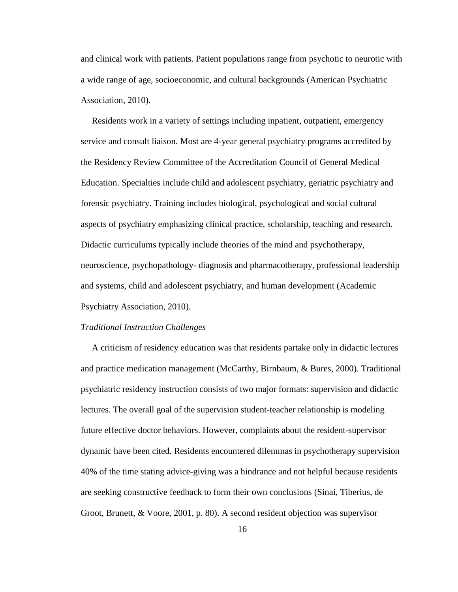and clinical work with patients. Patient populations range from psychotic to neurotic with a wide range of age, socioeconomic, and cultural backgrounds (American Psychiatric Association, 2010).

 Residents work in a variety of settings including inpatient, outpatient, emergency service and consult liaison. Most are 4-year general psychiatry programs accredited by the Residency Review Committee of the Accreditation Council of General Medical Education. Specialties include child and adolescent psychiatry, geriatric psychiatry and forensic psychiatry. Training includes biological, psychological and social cultural aspects of psychiatry emphasizing clinical practice, scholarship, teaching and research. Didactic curriculums typically include theories of the mind and psychotherapy, neuroscience, psychopathology- diagnosis and pharmacotherapy, professional leadership and systems, child and adolescent psychiatry, and human development (Academic Psychiatry Association, 2010).

#### *Traditional Instruction Challenges*

A criticism of residency education was that residents partake only in didactic lectures and practice medication management (McCarthy, Birnbaum, & Bures, 2000). Traditional psychiatric residency instruction consists of two major formats: supervision and didactic lectures. The overall goal of the supervision student-teacher relationship is modeling future effective doctor behaviors. However, complaints about the resident-supervisor dynamic have been cited. Residents encountered dilemmas in psychotherapy supervision 40% of the time stating advice-giving was a hindrance and not helpful because residents are seeking constructive feedback to form their own conclusions (Sinai, Tiberius, de Groot, Brunett, & Voore, 2001, p. 80). A second resident objection was supervisor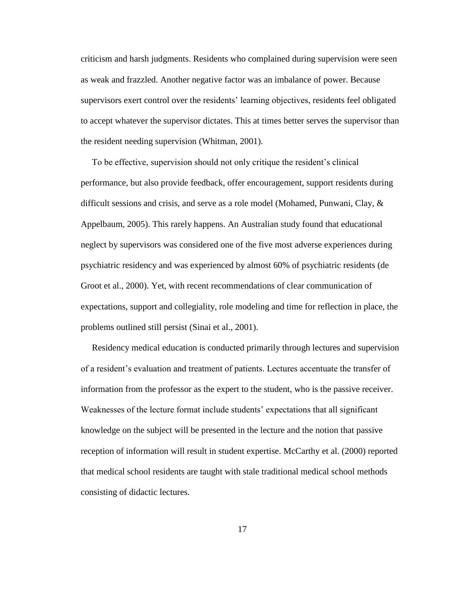criticism and harsh judgments. Residents who complained during supervision were seen as weak and frazzled. Another negative factor was an imbalance of power. Because supervisors exert control over the residents" learning objectives, residents feel obligated to accept whatever the supervisor dictates. This at times better serves the supervisor than the resident needing supervision (Whitman, 2001).

 To be effective, supervision should not only critique the resident"s clinical performance, but also provide feedback, offer encouragement, support residents during difficult sessions and crisis, and serve as a role model (Mohamed, Punwani, Clay, & Appelbaum, 2005). This rarely happens. An Australian study found that educational neglect by supervisors was considered one of the five most adverse experiences during psychiatric residency and was experienced by almost 60% of psychiatric residents (de Groot et al., 2000). Yet, with recent recommendations of clear communication of expectations, support and collegiality, role modeling and time for reflection in place, the problems outlined still persist (Sinai et al., 2001).

 Residency medical education is conducted primarily through lectures and supervision of a resident"s evaluation and treatment of patients. Lectures accentuate the transfer of information from the professor as the expert to the student, who is the passive receiver. Weaknesses of the lecture format include students" expectations that all significant knowledge on the subject will be presented in the lecture and the notion that passive reception of information will result in student expertise. McCarthy et al. (2000) reported that medical school residents are taught with stale traditional medical school methods consisting of didactic lectures.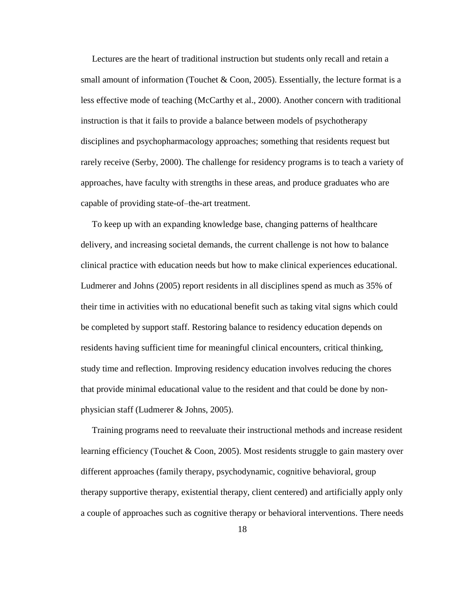Lectures are the heart of traditional instruction but students only recall and retain a small amount of information (Touchet & Coon, 2005). Essentially, the lecture format is a less effective mode of teaching (McCarthy et al., 2000). Another concern with traditional instruction is that it fails to provide a balance between models of psychotherapy disciplines and psychopharmacology approaches; something that residents request but rarely receive (Serby, 2000). The challenge for residency programs is to teach a variety of approaches, have faculty with strengths in these areas, and produce graduates who are capable of providing state-of–the-art treatment.

 To keep up with an expanding knowledge base, changing patterns of healthcare delivery, and increasing societal demands, the current challenge is not how to balance clinical practice with education needs but how to make clinical experiences educational. Ludmerer and Johns (2005) report residents in all disciplines spend as much as 35% of their time in activities with no educational benefit such as taking vital signs which could be completed by support staff. Restoring balance to residency education depends on residents having sufficient time for meaningful clinical encounters, critical thinking, study time and reflection. Improving residency education involves reducing the chores that provide minimal educational value to the resident and that could be done by nonphysician staff (Ludmerer & Johns, 2005).

 Training programs need to reevaluate their instructional methods and increase resident learning efficiency (Touchet & Coon, 2005). Most residents struggle to gain mastery over different approaches (family therapy, psychodynamic, cognitive behavioral, group therapy supportive therapy, existential therapy, client centered) and artificially apply only a couple of approaches such as cognitive therapy or behavioral interventions. There needs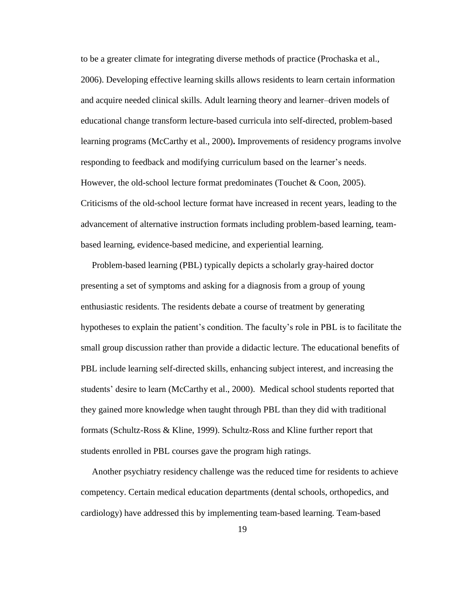to be a greater climate for integrating diverse methods of practice (Prochaska et al., 2006). Developing effective learning skills allows residents to learn certain information and acquire needed clinical skills. Adult learning theory and learner–driven models of educational change transform lecture-based curricula into self-directed, problem-based learning programs (McCarthy et al., 2000)**.** Improvements of residency programs involve responding to feedback and modifying curriculum based on the learner"s needs. However, the old-school lecture format predominates (Touchet & Coon, 2005). Criticisms of the old-school lecture format have increased in recent years, leading to the advancement of alternative instruction formats including problem-based learning, teambased learning, evidence-based medicine, and experiential learning.

 Problem-based learning (PBL) typically depicts a scholarly gray-haired doctor presenting a set of symptoms and asking for a diagnosis from a group of young enthusiastic residents. The residents debate a course of treatment by generating hypotheses to explain the patient"s condition. The faculty"s role in PBL is to facilitate the small group discussion rather than provide a didactic lecture. The educational benefits of PBL include learning self-directed skills, enhancing subject interest, and increasing the students' desire to learn (McCarthy et al., 2000). Medical school students reported that they gained more knowledge when taught through PBL than they did with traditional formats (Schultz-Ross & Kline, 1999). Schultz-Ross and Kline further report that students enrolled in PBL courses gave the program high ratings.

 Another psychiatry residency challenge was the reduced time for residents to achieve competency. Certain medical education departments (dental schools, orthopedics, and cardiology) have addressed this by implementing team-based learning. Team-based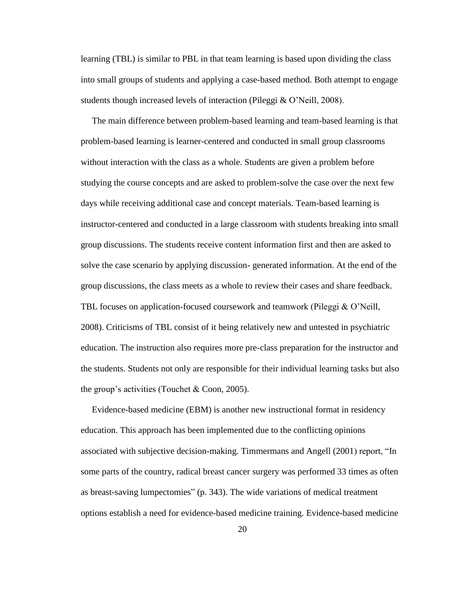learning (TBL) is similar to PBL in that team learning is based upon dividing the class into small groups of students and applying a case-based method. Both attempt to engage students though increased levels of interaction (Pileggi & O"Neill, 2008).

 The main difference between problem-based learning and team-based learning is that problem-based learning is learner-centered and conducted in small group classrooms without interaction with the class as a whole. Students are given a problem before studying the course concepts and are asked to problem-solve the case over the next few days while receiving additional case and concept materials. Team-based learning is instructor-centered and conducted in a large classroom with students breaking into small group discussions. The students receive content information first and then are asked to solve the case scenario by applying discussion- generated information. At the end of the group discussions, the class meets as a whole to review their cases and share feedback. TBL focuses on application-focused coursework and teamwork (Pileggi & O"Neill, 2008). Criticisms of TBL consist of it being relatively new and untested in psychiatric education. The instruction also requires more pre-class preparation for the instructor and the students. Students not only are responsible for their individual learning tasks but also the group's activities (Touchet  $& Coon, 2005$ ).

 Evidence-based medicine (EBM) is another new instructional format in residency education. This approach has been implemented due to the conflicting opinions associated with subjective decision-making. Timmermans and Angell (2001) report, "In some parts of the country, radical breast cancer surgery was performed 33 times as often as breast-saving lumpectomies" (p. 343). The wide variations of medical treatment options establish a need for evidence-based medicine training. Evidence-based medicine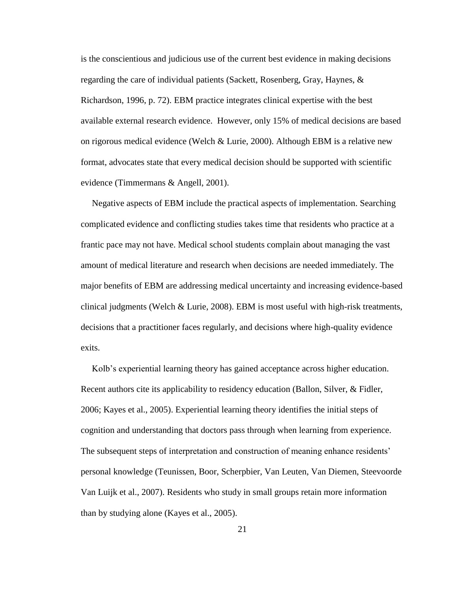is the conscientious and judicious use of the current best evidence in making decisions regarding the care of individual patients (Sackett, Rosenberg, Gray, Haynes, & Richardson, 1996, p. 72). EBM practice integrates clinical expertise with the best available external research evidence. However, only 15% of medical decisions are based on rigorous medical evidence (Welch & Lurie, 2000). Although EBM is a relative new format, advocates state that every medical decision should be supported with scientific evidence (Timmermans & Angell, 2001).

 Negative aspects of EBM include the practical aspects of implementation. Searching complicated evidence and conflicting studies takes time that residents who practice at a frantic pace may not have. Medical school students complain about managing the vast amount of medical literature and research when decisions are needed immediately. The major benefits of EBM are addressing medical uncertainty and increasing evidence-based clinical judgments (Welch & Lurie, 2008). EBM is most useful with high-risk treatments, decisions that a practitioner faces regularly, and decisions where high-quality evidence exits.

Kolb's experiential learning theory has gained acceptance across higher education. Recent authors cite its applicability to residency education (Ballon, Silver, & Fidler, 2006; Kayes et al., 2005). Experiential learning theory identifies the initial steps of cognition and understanding that doctors pass through when learning from experience. The subsequent steps of interpretation and construction of meaning enhance residents' personal knowledge (Teunissen, Boor, Scherpbier, Van Leuten, Van Diemen, Steevoorde Van Luijk et al., 2007). Residents who study in small groups retain more information than by studying alone (Kayes et al., 2005).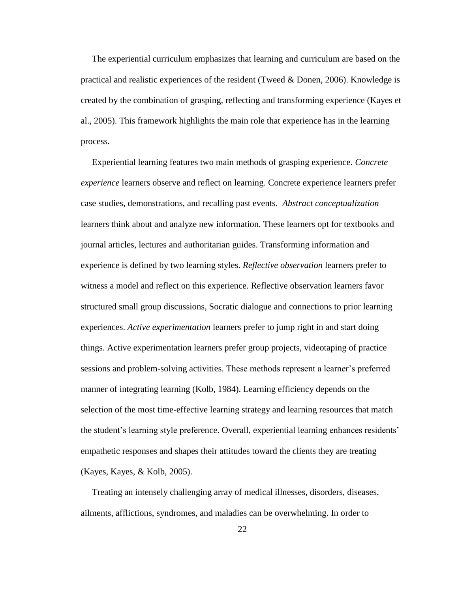The experiential curriculum emphasizes that learning and curriculum are based on the practical and realistic experiences of the resident (Tweed & Donen, 2006). Knowledge is created by the combination of grasping, reflecting and transforming experience (Kayes et al., 2005). This framework highlights the main role that experience has in the learning process.

 Experiential learning features two main methods of grasping experience. *Concrete experience* learners observe and reflect on learning. Concrete experience learners prefer case studies, demonstrations, and recalling past events. *Abstract conceptualization* learners think about and analyze new information. These learners opt for textbooks and journal articles, lectures and authoritarian guides. Transforming information and experience is defined by two learning styles. *Reflective observation* learners prefer to witness a model and reflect on this experience. Reflective observation learners favor structured small group discussions, Socratic dialogue and connections to prior learning experiences. *Active experimentation* learners prefer to jump right in and start doing things. Active experimentation learners prefer group projects, videotaping of practice sessions and problem-solving activities. These methods represent a learner"s preferred manner of integrating learning (Kolb, 1984). Learning efficiency depends on the selection of the most time-effective learning strategy and learning resources that match the student"s learning style preference. Overall, experiential learning enhances residents" empathetic responses and shapes their attitudes toward the clients they are treating (Kayes, Kayes, & Kolb, 2005).

 Treating an intensely challenging array of medical illnesses, disorders, diseases, ailments, afflictions, syndromes, and maladies can be overwhelming. In order to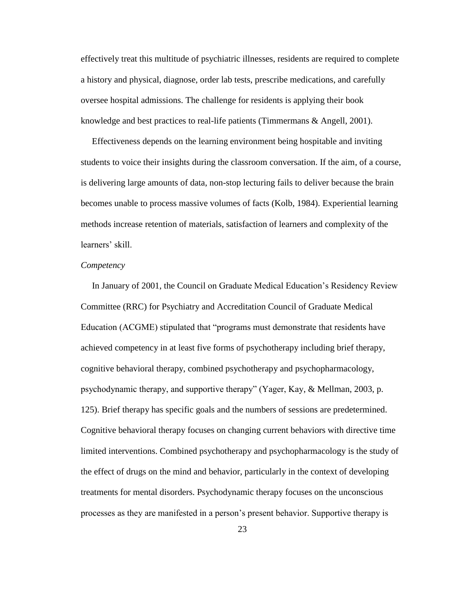effectively treat this multitude of psychiatric illnesses, residents are required to complete a history and physical, diagnose, order lab tests, prescribe medications, and carefully oversee hospital admissions. The challenge for residents is applying their book knowledge and best practices to real-life patients (Timmermans & Angell, 2001).

 Effectiveness depends on the learning environment being hospitable and inviting students to voice their insights during the classroom conversation. If the aim, of a course, is delivering large amounts of data, non-stop lecturing fails to deliver because the brain becomes unable to process massive volumes of facts (Kolb, 1984). Experiential learning methods increase retention of materials, satisfaction of learners and complexity of the learners' skill.

#### *Competency*

 In January of 2001, the Council on Graduate Medical Education"s Residency Review Committee (RRC) for Psychiatry and Accreditation Council of Graduate Medical Education (ACGME) stipulated that "programs must demonstrate that residents have achieved competency in at least five forms of psychotherapy including brief therapy, cognitive behavioral therapy, combined psychotherapy and psychopharmacology, psychodynamic therapy, and supportive therapy" (Yager, Kay, & Mellman, 2003, p. 125). Brief therapy has specific goals and the numbers of sessions are predetermined. Cognitive behavioral therapy focuses on changing current behaviors with directive time limited interventions. Combined psychotherapy and psychopharmacology is the study of the effect of drugs on the mind and behavior, particularly in the context of developing treatments for mental disorders. Psychodynamic therapy focuses on the unconscious processes as they are manifested in a person"s present behavior. Supportive therapy is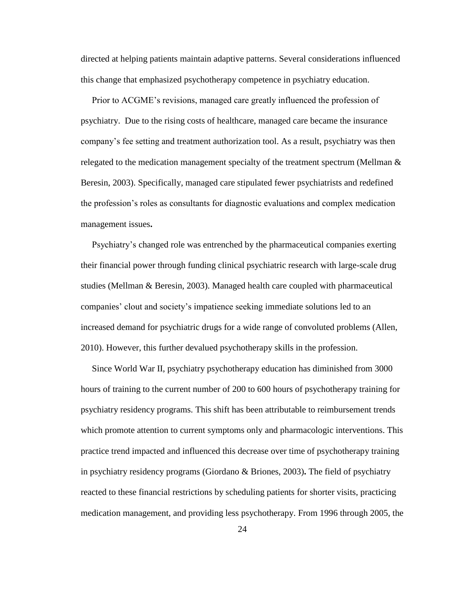directed at helping patients maintain adaptive patterns. Several considerations influenced this change that emphasized psychotherapy competence in psychiatry education.

 Prior to ACGME"s revisions, managed care greatly influenced the profession of psychiatry. Due to the rising costs of healthcare, managed care became the insurance company"s fee setting and treatment authorization tool. As a result, psychiatry was then relegated to the medication management specialty of the treatment spectrum (Mellman  $\&$ Beresin, 2003). Specifically, managed care stipulated fewer psychiatrists and redefined the profession"s roles as consultants for diagnostic evaluations and complex medication management issues**.**

 Psychiatry"s changed role was entrenched by the pharmaceutical companies exerting their financial power through funding clinical psychiatric research with large-scale drug studies (Mellman & Beresin, 2003). Managed health care coupled with pharmaceutical companies" clout and society"s impatience seeking immediate solutions led to an increased demand for psychiatric drugs for a wide range of convoluted problems (Allen, 2010). However, this further devalued psychotherapy skills in the profession.

 Since World War II, psychiatry psychotherapy education has diminished from 3000 hours of training to the current number of 200 to 600 hours of psychotherapy training for psychiatry residency programs. This shift has been attributable to reimbursement trends which promote attention to current symptoms only and pharmacologic interventions. This practice trend impacted and influenced this decrease over time of psychotherapy training in psychiatry residency programs (Giordano & Briones, 2003)**.** The field of psychiatry reacted to these financial restrictions by scheduling patients for shorter visits, practicing medication management, and providing less psychotherapy. From 1996 through 2005, the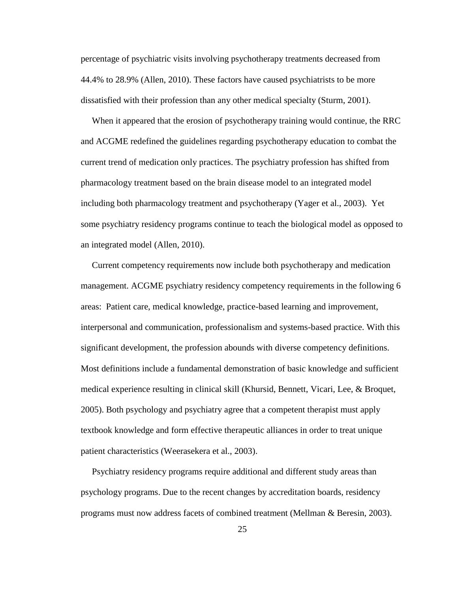percentage of psychiatric visits involving psychotherapy treatments decreased from 44.4% to 28.9% (Allen, 2010). These factors have caused psychiatrists to be more dissatisfied with their profession than any other medical specialty (Sturm, 2001).

 When it appeared that the erosion of psychotherapy training would continue, the RRC and ACGME redefined the guidelines regarding psychotherapy education to combat the current trend of medication only practices. The psychiatry profession has shifted from pharmacology treatment based on the brain disease model to an integrated model including both pharmacology treatment and psychotherapy (Yager et al., 2003). Yet some psychiatry residency programs continue to teach the biological model as opposed to an integrated model (Allen, 2010).

 Current competency requirements now include both psychotherapy and medication management. ACGME psychiatry residency competency requirements in the following 6 areas: Patient care, medical knowledge, practice-based learning and improvement, interpersonal and communication, professionalism and systems-based practice. With this significant development, the profession abounds with diverse competency definitions. Most definitions include a fundamental demonstration of basic knowledge and sufficient medical experience resulting in clinical skill (Khursid, Bennett, Vicari, Lee, & Broquet, 2005). Both psychology and psychiatry agree that a competent therapist must apply textbook knowledge and form effective therapeutic alliances in order to treat unique patient characteristics (Weerasekera et al., 2003).

 Psychiatry residency programs require additional and different study areas than psychology programs. Due to the recent changes by accreditation boards, residency programs must now address facets of combined treatment (Mellman & Beresin, 2003).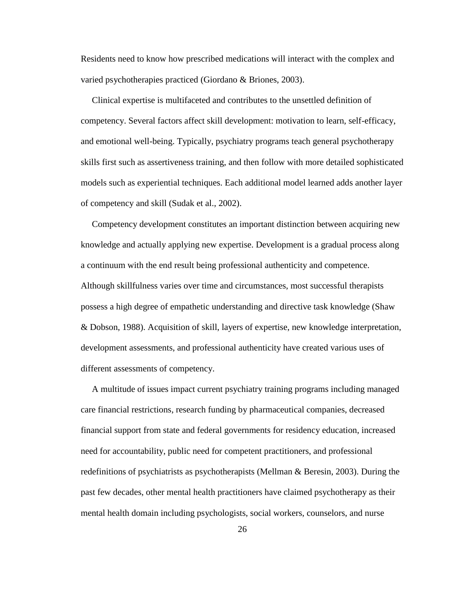Residents need to know how prescribed medications will interact with the complex and varied psychotherapies practiced (Giordano & Briones, 2003).

 Clinical expertise is multifaceted and contributes to the unsettled definition of competency. Several factors affect skill development: motivation to learn, self-efficacy, and emotional well-being. Typically, psychiatry programs teach general psychotherapy skills first such as assertiveness training, and then follow with more detailed sophisticated models such as experiential techniques. Each additional model learned adds another layer of competency and skill (Sudak et al., 2002).

 Competency development constitutes an important distinction between acquiring new knowledge and actually applying new expertise. Development is a gradual process along a continuum with the end result being professional authenticity and competence. Although skillfulness varies over time and circumstances, most successful therapists possess a high degree of empathetic understanding and directive task knowledge (Shaw & Dobson, 1988). Acquisition of skill, layers of expertise, new knowledge interpretation, development assessments, and professional authenticity have created various uses of different assessments of competency.

 A multitude of issues impact current psychiatry training programs including managed care financial restrictions, research funding by pharmaceutical companies, decreased financial support from state and federal governments for residency education, increased need for accountability, public need for competent practitioners, and professional redefinitions of psychiatrists as psychotherapists (Mellman & Beresin, 2003). During the past few decades, other mental health practitioners have claimed psychotherapy as their mental health domain including psychologists, social workers, counselors, and nurse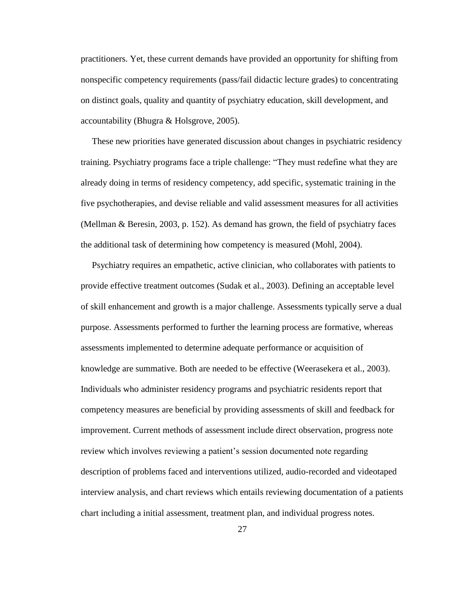practitioners. Yet, these current demands have provided an opportunity for shifting from nonspecific competency requirements (pass/fail didactic lecture grades) to concentrating on distinct goals, quality and quantity of psychiatry education, skill development, and accountability (Bhugra & Holsgrove, 2005).

 These new priorities have generated discussion about changes in psychiatric residency training. Psychiatry programs face a triple challenge: "They must redefine what they are already doing in terms of residency competency, add specific, systematic training in the five psychotherapies, and devise reliable and valid assessment measures for all activities (Mellman & Beresin, 2003, p. 152). As demand has grown, the field of psychiatry faces the additional task of determining how competency is measured (Mohl, 2004).

 Psychiatry requires an empathetic, active clinician, who collaborates with patients to provide effective treatment outcomes (Sudak et al., 2003). Defining an acceptable level of skill enhancement and growth is a major challenge. Assessments typically serve a dual purpose. Assessments performed to further the learning process are formative, whereas assessments implemented to determine adequate performance or acquisition of knowledge are summative. Both are needed to be effective (Weerasekera et al., 2003). Individuals who administer residency programs and psychiatric residents report that competency measures are beneficial by providing assessments of skill and feedback for improvement. Current methods of assessment include direct observation, progress note review which involves reviewing a patient's session documented note regarding description of problems faced and interventions utilized, audio-recorded and videotaped interview analysis, and chart reviews which entails reviewing documentation of a patients chart including a initial assessment, treatment plan, and individual progress notes.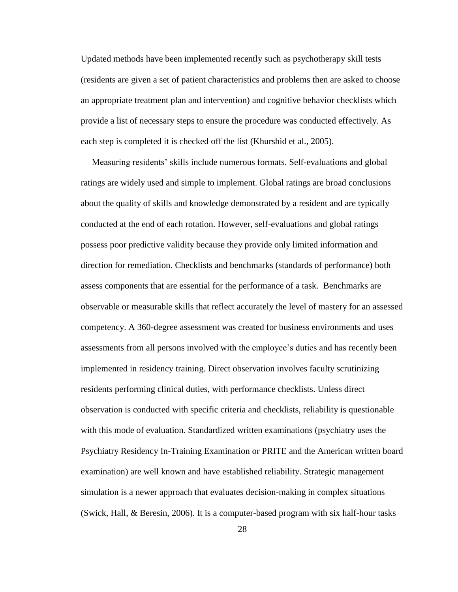Updated methods have been implemented recently such as psychotherapy skill tests (residents are given a set of patient characteristics and problems then are asked to choose an appropriate treatment plan and intervention) and cognitive behavior checklists which provide a list of necessary steps to ensure the procedure was conducted effectively. As each step is completed it is checked off the list (Khurshid et al., 2005).

 Measuring residents" skills include numerous formats. Self-evaluations and global ratings are widely used and simple to implement. Global ratings are broad conclusions about the quality of skills and knowledge demonstrated by a resident and are typically conducted at the end of each rotation. However, self-evaluations and global ratings possess poor predictive validity because they provide only limited information and direction for remediation. Checklists and benchmarks (standards of performance) both assess components that are essential for the performance of a task. Benchmarks are observable or measurable skills that reflect accurately the level of mastery for an assessed competency. A 360-degree assessment was created for business environments and uses assessments from all persons involved with the employee"s duties and has recently been implemented in residency training. Direct observation involves faculty scrutinizing residents performing clinical duties, with performance checklists. Unless direct observation is conducted with specific criteria and checklists, reliability is questionable with this mode of evaluation. Standardized written examinations (psychiatry uses the Psychiatry Residency In-Training Examination or PRITE and the American written board examination) are well known and have established reliability. Strategic management simulation is a newer approach that evaluates decision-making in complex situations (Swick, Hall, & Beresin, 2006). It is a computer-based program with six half-hour tasks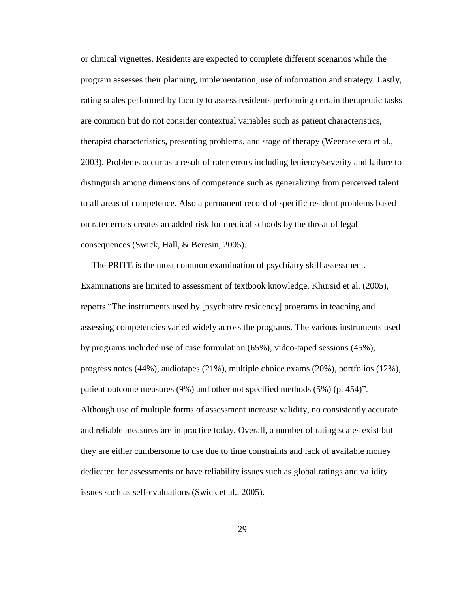or clinical vignettes. Residents are expected to complete different scenarios while the program assesses their planning, implementation, use of information and strategy. Lastly, rating scales performed by faculty to assess residents performing certain therapeutic tasks are common but do not consider contextual variables such as patient characteristics, therapist characteristics, presenting problems, and stage of therapy (Weerasekera et al., 2003). Problems occur as a result of rater errors including leniency/severity and failure to distinguish among dimensions of competence such as generalizing from perceived talent to all areas of competence. Also a permanent record of specific resident problems based on rater errors creates an added risk for medical schools by the threat of legal consequences (Swick, Hall, & Beresin, 2005).

 The PRITE is the most common examination of psychiatry skill assessment. Examinations are limited to assessment of textbook knowledge. Khursid et al. (2005), reports "The instruments used by [psychiatry residency] programs in teaching and assessing competencies varied widely across the programs. The various instruments used by programs included use of case formulation (65%), video-taped sessions (45%), progress notes (44%), audiotapes (21%), multiple choice exams (20%), portfolios (12%), patient outcome measures (9%) and other not specified methods (5%) (p. 454)". Although use of multiple forms of assessment increase validity, no consistently accurate and reliable measures are in practice today. Overall, a number of rating scales exist but they are either cumbersome to use due to time constraints and lack of available money dedicated for assessments or have reliability issues such as global ratings and validity issues such as self-evaluations (Swick et al., 2005).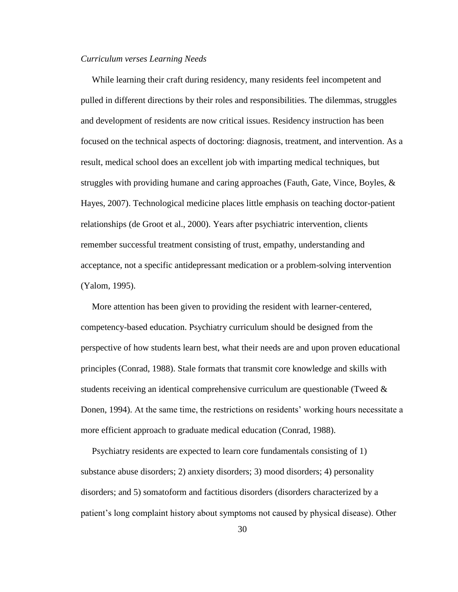### *Curriculum verses Learning Needs*

 While learning their craft during residency, many residents feel incompetent and pulled in different directions by their roles and responsibilities. The dilemmas, struggles and development of residents are now critical issues. Residency instruction has been focused on the technical aspects of doctoring: diagnosis, treatment, and intervention. As a result, medical school does an excellent job with imparting medical techniques, but struggles with providing humane and caring approaches (Fauth, Gate, Vince, Boyles, & Hayes, 2007). Technological medicine places little emphasis on teaching doctor-patient relationships (de Groot et al., 2000). Years after psychiatric intervention, clients remember successful treatment consisting of trust, empathy, understanding and acceptance, not a specific antidepressant medication or a problem-solving intervention (Yalom, 1995).

 More attention has been given to providing the resident with learner-centered, competency-based education. Psychiatry curriculum should be designed from the perspective of how students learn best, what their needs are and upon proven educational principles (Conrad, 1988). Stale formats that transmit core knowledge and skills with students receiving an identical comprehensive curriculum are questionable (Tweed & Donen, 1994). At the same time, the restrictions on residents' working hours necessitate a more efficient approach to graduate medical education (Conrad, 1988).

 Psychiatry residents are expected to learn core fundamentals consisting of 1) substance abuse disorders; 2) anxiety disorders; 3) mood disorders; 4) personality disorders; and 5) somatoform and factitious disorders (disorders characterized by a patient"s long complaint history about symptoms not caused by physical disease). Other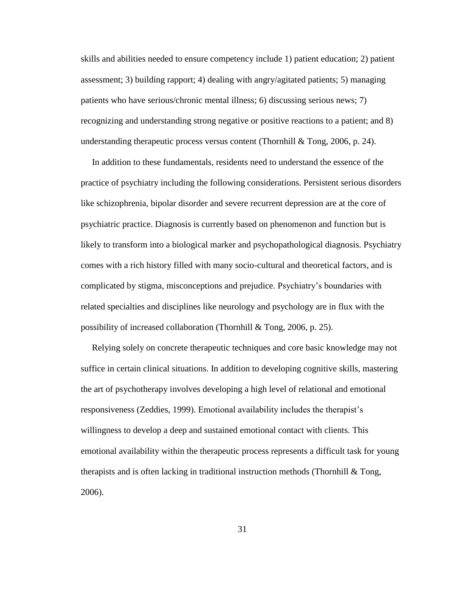skills and abilities needed to ensure competency include 1) patient education; 2) patient assessment; 3) building rapport; 4) dealing with angry/agitated patients; 5) managing patients who have serious/chronic mental illness; 6) discussing serious news; 7) recognizing and understanding strong negative or positive reactions to a patient; and 8) understanding therapeutic process versus content (Thornhill  $&$  Tong, 2006, p. 24).

 In addition to these fundamentals, residents need to understand the essence of the practice of psychiatry including the following considerations. Persistent serious disorders like schizophrenia, bipolar disorder and severe recurrent depression are at the core of psychiatric practice. Diagnosis is currently based on phenomenon and function but is likely to transform into a biological marker and psychopathological diagnosis. Psychiatry comes with a rich history filled with many socio-cultural and theoretical factors, and is complicated by stigma, misconceptions and prejudice. Psychiatry"s boundaries with related specialties and disciplines like neurology and psychology are in flux with the possibility of increased collaboration (Thornhill & Tong, 2006, p. 25).

 Relying solely on concrete therapeutic techniques and core basic knowledge may not suffice in certain clinical situations. In addition to developing cognitive skills, mastering the art of psychotherapy involves developing a high level of relational and emotional responsiveness (Zeddies, 1999). Emotional availability includes the therapist"s willingness to develop a deep and sustained emotional contact with clients. This emotional availability within the therapeutic process represents a difficult task for young therapists and is often lacking in traditional instruction methods (Thornhill  $\&$  Tong, 2006).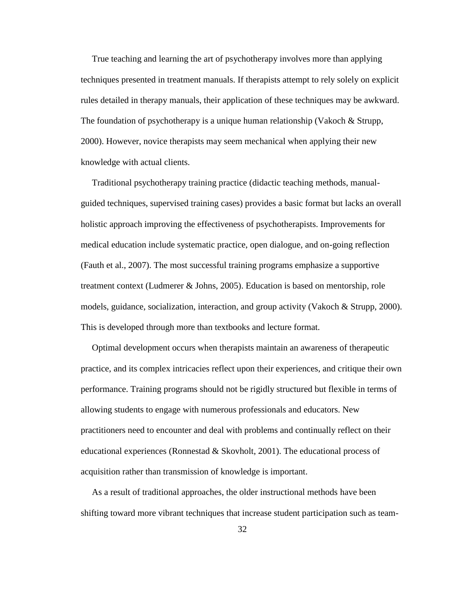True teaching and learning the art of psychotherapy involves more than applying techniques presented in treatment manuals. If therapists attempt to rely solely on explicit rules detailed in therapy manuals, their application of these techniques may be awkward. The foundation of psychotherapy is a unique human relationship (Vakoch  $\&$  Strupp, 2000). However, novice therapists may seem mechanical when applying their new knowledge with actual clients.

 Traditional psychotherapy training practice (didactic teaching methods, manualguided techniques, supervised training cases) provides a basic format but lacks an overall holistic approach improving the effectiveness of psychotherapists. Improvements for medical education include systematic practice, open dialogue, and on-going reflection (Fauth et al., 2007). The most successful training programs emphasize a supportive treatment context (Ludmerer & Johns, 2005). Education is based on mentorship, role models, guidance, socialization, interaction, and group activity (Vakoch & Strupp, 2000). This is developed through more than textbooks and lecture format.

 Optimal development occurs when therapists maintain an awareness of therapeutic practice, and its complex intricacies reflect upon their experiences, and critique their own performance. Training programs should not be rigidly structured but flexible in terms of allowing students to engage with numerous professionals and educators. New practitioners need to encounter and deal with problems and continually reflect on their educational experiences (Ronnestad & Skovholt, 2001). The educational process of acquisition rather than transmission of knowledge is important.

 As a result of traditional approaches, the older instructional methods have been shifting toward more vibrant techniques that increase student participation such as team-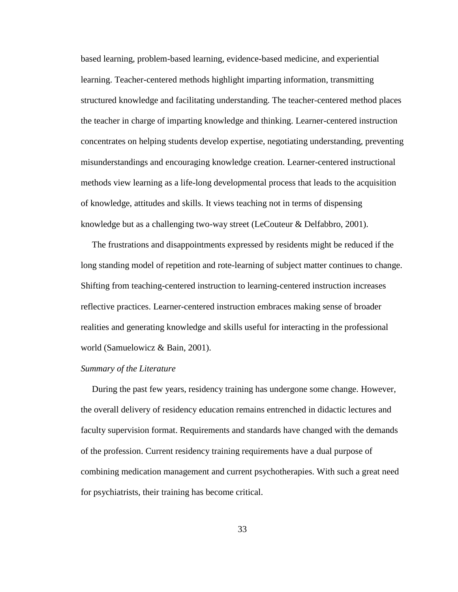based learning, problem-based learning, evidence-based medicine, and experiential learning. Teacher-centered methods highlight imparting information, transmitting structured knowledge and facilitating understanding. The teacher-centered method places the teacher in charge of imparting knowledge and thinking. Learner-centered instruction concentrates on helping students develop expertise, negotiating understanding, preventing misunderstandings and encouraging knowledge creation. Learner-centered instructional methods view learning as a life-long developmental process that leads to the acquisition of knowledge, attitudes and skills. It views teaching not in terms of dispensing knowledge but as a challenging two-way street (LeCouteur & Delfabbro, 2001).

 The frustrations and disappointments expressed by residents might be reduced if the long standing model of repetition and rote-learning of subject matter continues to change. Shifting from teaching-centered instruction to learning-centered instruction increases reflective practices. Learner-centered instruction embraces making sense of broader realities and generating knowledge and skills useful for interacting in the professional world (Samuelowicz & Bain, 2001).

# *Summary of the Literature*

 During the past few years, residency training has undergone some change. However, the overall delivery of residency education remains entrenched in didactic lectures and faculty supervision format. Requirements and standards have changed with the demands of the profession. Current residency training requirements have a dual purpose of combining medication management and current psychotherapies. With such a great need for psychiatrists, their training has become critical.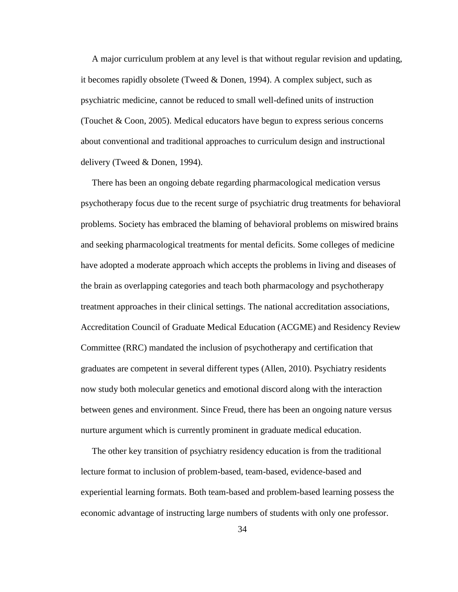A major curriculum problem at any level is that without regular revision and updating, it becomes rapidly obsolete (Tweed & Donen, 1994). A complex subject, such as psychiatric medicine, cannot be reduced to small well-defined units of instruction (Touchet & Coon, 2005). Medical educators have begun to express serious concerns about conventional and traditional approaches to curriculum design and instructional delivery (Tweed & Donen, 1994).

 There has been an ongoing debate regarding pharmacological medication versus psychotherapy focus due to the recent surge of psychiatric drug treatments for behavioral problems. Society has embraced the blaming of behavioral problems on miswired brains and seeking pharmacological treatments for mental deficits. Some colleges of medicine have adopted a moderate approach which accepts the problems in living and diseases of the brain as overlapping categories and teach both pharmacology and psychotherapy treatment approaches in their clinical settings. The national accreditation associations, Accreditation Council of Graduate Medical Education (ACGME) and Residency Review Committee (RRC) mandated the inclusion of psychotherapy and certification that graduates are competent in several different types (Allen, 2010). Psychiatry residents now study both molecular genetics and emotional discord along with the interaction between genes and environment. Since Freud, there has been an ongoing nature versus nurture argument which is currently prominent in graduate medical education.

 The other key transition of psychiatry residency education is from the traditional lecture format to inclusion of problem-based, team-based, evidence-based and experiential learning formats. Both team-based and problem-based learning possess the economic advantage of instructing large numbers of students with only one professor.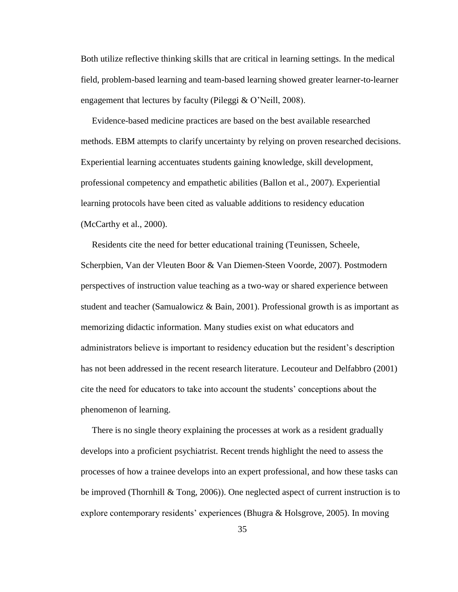Both utilize reflective thinking skills that are critical in learning settings. In the medical field, problem-based learning and team-based learning showed greater learner-to-learner engagement that lectures by faculty (Pileggi & O"Neill, 2008).

 Evidence-based medicine practices are based on the best available researched methods. EBM attempts to clarify uncertainty by relying on proven researched decisions. Experiential learning accentuates students gaining knowledge, skill development, professional competency and empathetic abilities (Ballon et al., 2007). Experiential learning protocols have been cited as valuable additions to residency education (McCarthy et al., 2000).

 Residents cite the need for better educational training (Teunissen, Scheele, Scherpbien, Van der Vleuten Boor & Van Diemen-Steen Voorde, 2007). Postmodern perspectives of instruction value teaching as a two-way or shared experience between student and teacher (Samualowicz & Bain, 2001). Professional growth is as important as memorizing didactic information. Many studies exist on what educators and administrators believe is important to residency education but the resident"s description has not been addressed in the recent research literature. Lecouteur and Delfabbro (2001) cite the need for educators to take into account the students" conceptions about the phenomenon of learning.

 There is no single theory explaining the processes at work as a resident gradually develops into a proficient psychiatrist. Recent trends highlight the need to assess the processes of how a trainee develops into an expert professional, and how these tasks can be improved (Thornhill & Tong, 2006)). One neglected aspect of current instruction is to explore contemporary residents' experiences (Bhugra & Holsgrove, 2005). In moving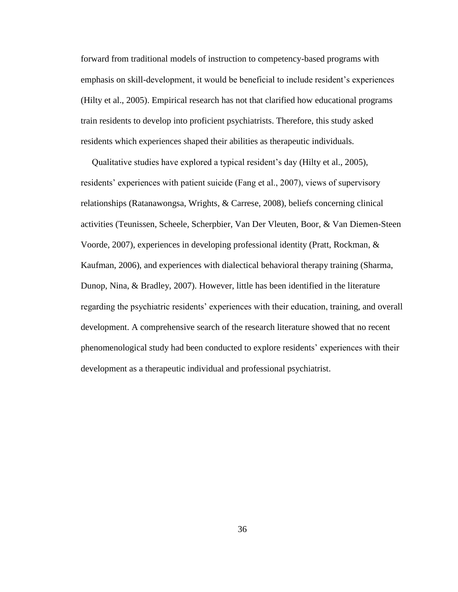forward from traditional models of instruction to competency-based programs with emphasis on skill-development, it would be beneficial to include resident's experiences (Hilty et al., 2005). Empirical research has not that clarified how educational programs train residents to develop into proficient psychiatrists. Therefore, this study asked residents which experiences shaped their abilities as therapeutic individuals.

 Qualitative studies have explored a typical resident"s day (Hilty et al., 2005), residents' experiences with patient suicide (Fang et al., 2007), views of supervisory relationships (Ratanawongsa, Wrights, & Carrese, 2008), beliefs concerning clinical activities (Teunissen, Scheele, Scherpbier, Van Der Vleuten, Boor, & Van Diemen-Steen Voorde, 2007), experiences in developing professional identity (Pratt, Rockman, & Kaufman, 2006), and experiences with dialectical behavioral therapy training (Sharma, Dunop, Nina, & Bradley, 2007). However, little has been identified in the literature regarding the psychiatric residents' experiences with their education, training, and overall development. A comprehensive search of the research literature showed that no recent phenomenological study had been conducted to explore residents" experiences with their development as a therapeutic individual and professional psychiatrist.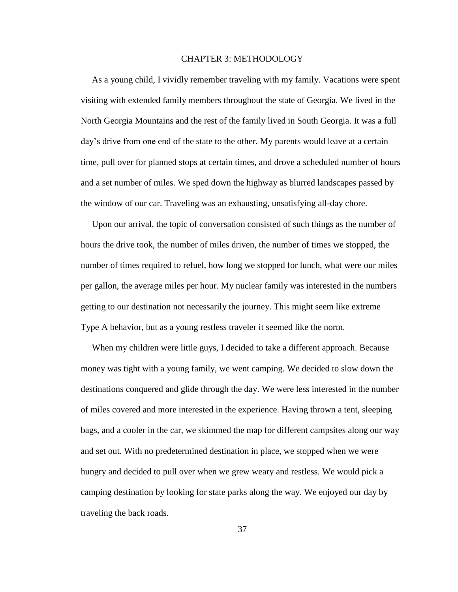## CHAPTER 3: METHODOLOGY

 As a young child, I vividly remember traveling with my family. Vacations were spent visiting with extended family members throughout the state of Georgia. We lived in the North Georgia Mountains and the rest of the family lived in South Georgia. It was a full day"s drive from one end of the state to the other. My parents would leave at a certain time, pull over for planned stops at certain times, and drove a scheduled number of hours and a set number of miles. We sped down the highway as blurred landscapes passed by the window of our car. Traveling was an exhausting, unsatisfying all-day chore.

 Upon our arrival, the topic of conversation consisted of such things as the number of hours the drive took, the number of miles driven, the number of times we stopped, the number of times required to refuel, how long we stopped for lunch, what were our miles per gallon, the average miles per hour. My nuclear family was interested in the numbers getting to our destination not necessarily the journey. This might seem like extreme Type A behavior, but as a young restless traveler it seemed like the norm.

 When my children were little guys, I decided to take a different approach. Because money was tight with a young family, we went camping. We decided to slow down the destinations conquered and glide through the day. We were less interested in the number of miles covered and more interested in the experience. Having thrown a tent, sleeping bags, and a cooler in the car, we skimmed the map for different campsites along our way and set out. With no predetermined destination in place, we stopped when we were hungry and decided to pull over when we grew weary and restless. We would pick a camping destination by looking for state parks along the way. We enjoyed our day by traveling the back roads.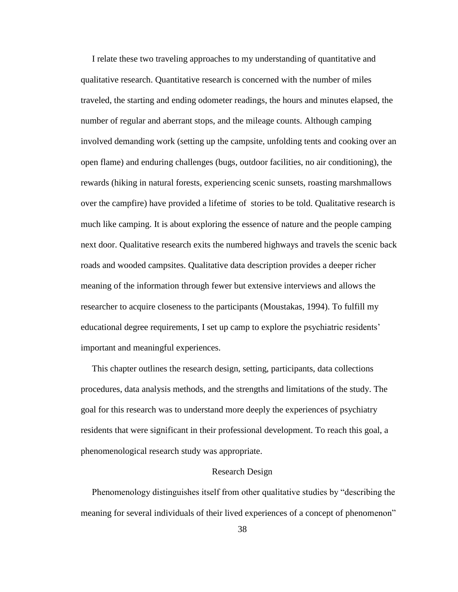I relate these two traveling approaches to my understanding of quantitative and qualitative research. Quantitative research is concerned with the number of miles traveled, the starting and ending odometer readings, the hours and minutes elapsed, the number of regular and aberrant stops, and the mileage counts. Although camping involved demanding work (setting up the campsite, unfolding tents and cooking over an open flame) and enduring challenges (bugs, outdoor facilities, no air conditioning), the rewards (hiking in natural forests, experiencing scenic sunsets, roasting marshmallows over the campfire) have provided a lifetime of stories to be told. Qualitative research is much like camping. It is about exploring the essence of nature and the people camping next door. Qualitative research exits the numbered highways and travels the scenic back roads and wooded campsites. Qualitative data description provides a deeper richer meaning of the information through fewer but extensive interviews and allows the researcher to acquire closeness to the participants (Moustakas, 1994). To fulfill my educational degree requirements, I set up camp to explore the psychiatric residents" important and meaningful experiences.

 This chapter outlines the research design, setting, participants, data collections procedures, data analysis methods, and the strengths and limitations of the study. The goal for this research was to understand more deeply the experiences of psychiatry residents that were significant in their professional development. To reach this goal, a phenomenological research study was appropriate.

#### Research Design

 Phenomenology distinguishes itself from other qualitative studies by "describing the meaning for several individuals of their lived experiences of a concept of phenomenon"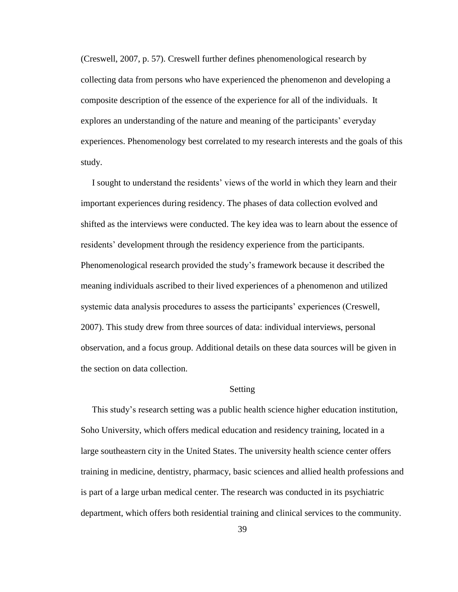(Creswell, 2007, p. 57). Creswell further defines phenomenological research by collecting data from persons who have experienced the phenomenon and developing a composite description of the essence of the experience for all of the individuals. It explores an understanding of the nature and meaning of the participants' everyday experiences. Phenomenology best correlated to my research interests and the goals of this study.

I sought to understand the residents' views of the world in which they learn and their important experiences during residency. The phases of data collection evolved and shifted as the interviews were conducted. The key idea was to learn about the essence of residents' development through the residency experience from the participants. Phenomenological research provided the study"s framework because it described the meaning individuals ascribed to their lived experiences of a phenomenon and utilized systemic data analysis procedures to assess the participants' experiences (Creswell, 2007). This study drew from three sources of data: individual interviews, personal observation, and a focus group. Additional details on these data sources will be given in the section on data collection.

# Setting

 This study"s research setting was a public health science higher education institution, Soho University, which offers medical education and residency training, located in a large southeastern city in the United States. The university health science center offers training in medicine, dentistry, pharmacy, basic sciences and allied health professions and is part of a large urban medical center. The research was conducted in its psychiatric department, which offers both residential training and clinical services to the community.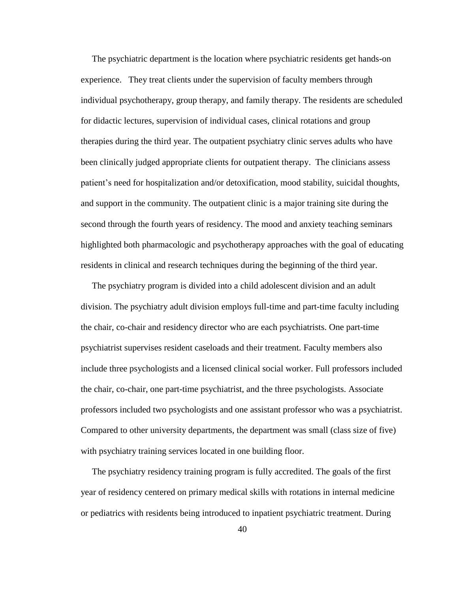The psychiatric department is the location where psychiatric residents get hands-on experience. They treat clients under the supervision of faculty members through individual psychotherapy, group therapy, and family therapy. The residents are scheduled for didactic lectures, supervision of individual cases, clinical rotations and group therapies during the third year. The outpatient psychiatry clinic serves adults who have been clinically judged appropriate clients for outpatient therapy. The clinicians assess patient"s need for hospitalization and/or detoxification, mood stability, suicidal thoughts, and support in the community. The outpatient clinic is a major training site during the second through the fourth years of residency. The mood and anxiety teaching seminars highlighted both pharmacologic and psychotherapy approaches with the goal of educating residents in clinical and research techniques during the beginning of the third year.

 The psychiatry program is divided into a child adolescent division and an adult division. The psychiatry adult division employs full-time and part-time faculty including the chair, co-chair and residency director who are each psychiatrists. One part-time psychiatrist supervises resident caseloads and their treatment. Faculty members also include three psychologists and a licensed clinical social worker. Full professors included the chair, co-chair, one part-time psychiatrist, and the three psychologists. Associate professors included two psychologists and one assistant professor who was a psychiatrist. Compared to other university departments, the department was small (class size of five) with psychiatry training services located in one building floor.

 The psychiatry residency training program is fully accredited. The goals of the first year of residency centered on primary medical skills with rotations in internal medicine or pediatrics with residents being introduced to inpatient psychiatric treatment. During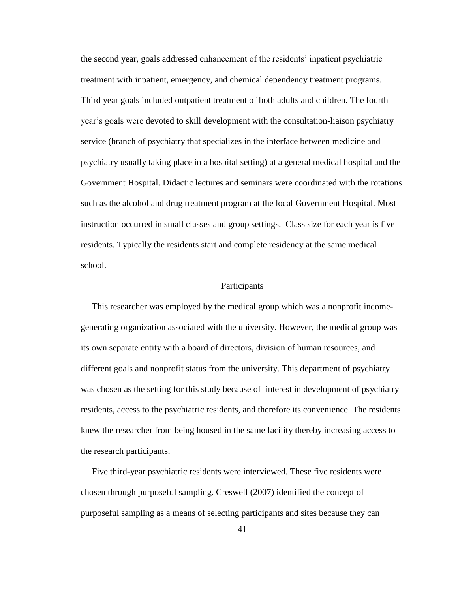the second year, goals addressed enhancement of the residents" inpatient psychiatric treatment with inpatient, emergency, and chemical dependency treatment programs. Third year goals included outpatient treatment of both adults and children. The fourth year"s goals were devoted to skill development with the consultation-liaison psychiatry service (branch of psychiatry that specializes in the interface between medicine and psychiatry usually taking place in a hospital setting) at a general medical hospital and the Government Hospital. Didactic lectures and seminars were coordinated with the rotations such as the alcohol and drug treatment program at the local Government Hospital. Most instruction occurred in small classes and group settings. Class size for each year is five residents. Typically the residents start and complete residency at the same medical school.

### Participants

 This researcher was employed by the medical group which was a nonprofit incomegenerating organization associated with the university. However, the medical group was its own separate entity with a board of directors, division of human resources, and different goals and nonprofit status from the university. This department of psychiatry was chosen as the setting for this study because of interest in development of psychiatry residents, access to the psychiatric residents, and therefore its convenience. The residents knew the researcher from being housed in the same facility thereby increasing access to the research participants.

 Five third-year psychiatric residents were interviewed. These five residents were chosen through purposeful sampling. Creswell (2007) identified the concept of purposeful sampling as a means of selecting participants and sites because they can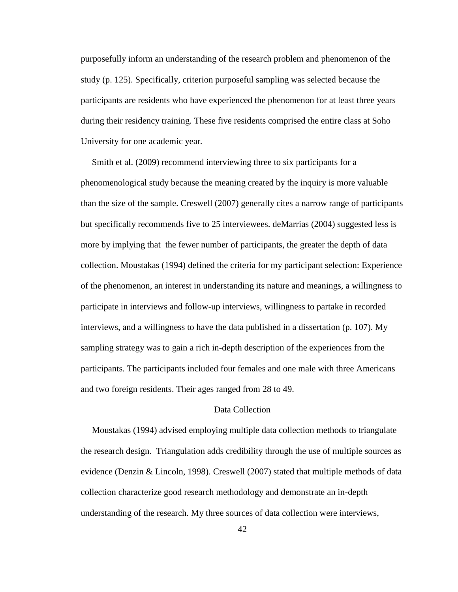purposefully inform an understanding of the research problem and phenomenon of the study (p. 125). Specifically, criterion purposeful sampling was selected because the participants are residents who have experienced the phenomenon for at least three years during their residency training. These five residents comprised the entire class at Soho University for one academic year*.* 

 Smith et al. (2009) recommend interviewing three to six participants for a phenomenological study because the meaning created by the inquiry is more valuable than the size of the sample. Creswell (2007) generally cites a narrow range of participants but specifically recommends five to 25 interviewees. deMarrias (2004) suggested less is more by implying that the fewer number of participants, the greater the depth of data collection. Moustakas (1994) defined the criteria for my participant selection: Experience of the phenomenon, an interest in understanding its nature and meanings, a willingness to participate in interviews and follow-up interviews, willingness to partake in recorded interviews, and a willingness to have the data published in a dissertation (p. 107). My sampling strategy was to gain a rich in-depth description of the experiences from the participants. The participants included four females and one male with three Americans and two foreign residents. Their ages ranged from 28 to 49.

# Data Collection

 Moustakas (1994) advised employing multiple data collection methods to triangulate the research design. Triangulation adds credibility through the use of multiple sources as evidence (Denzin & Lincoln, 1998). Creswell (2007) stated that multiple methods of data collection characterize good research methodology and demonstrate an in-depth understanding of the research. My three sources of data collection were interviews,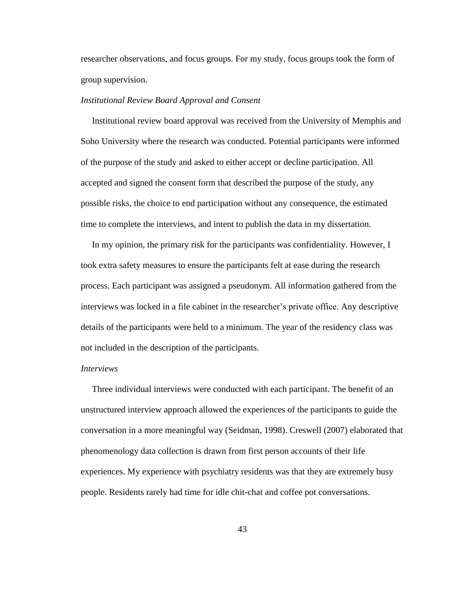researcher observations, and focus groups. For my study, focus groups took the form of group supervision.

#### *Institutional Review Board Approval and Consent*

 Institutional review board approval was received from the University of Memphis and Soho University where the research was conducted. Potential participants were informed of the purpose of the study and asked to either accept or decline participation. All accepted and signed the consent form that described the purpose of the study, any possible risks, the choice to end participation without any consequence, the estimated time to complete the interviews, and intent to publish the data in my dissertation.

 In my opinion, the primary risk for the participants was confidentiality. However, I took extra safety measures to ensure the participants felt at ease during the research process. Each participant was assigned a pseudonym. All information gathered from the interviews was locked in a file cabinet in the researcher"s private office. Any descriptive details of the participants were held to a minimum. The year of the residency class was not included in the description of the participants.

# *Interviews*

 Three individual interviews were conducted with each participant. The benefit of an unstructured interview approach allowed the experiences of the participants to guide the conversation in a more meaningful way (Seidman, 1998). Creswell (2007) elaborated that phenomenology data collection is drawn from first person accounts of their life experiences. My experience with psychiatry residents was that they are extremely busy people. Residents rarely had time for idle chit-chat and coffee pot conversations.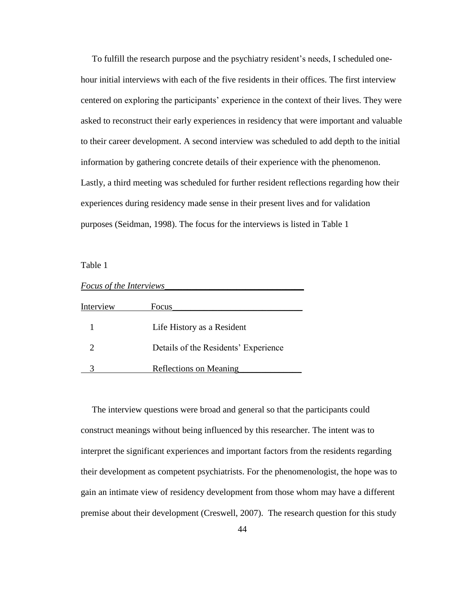To fulfill the research purpose and the psychiatry resident"s needs, I scheduled onehour initial interviews with each of the five residents in their offices. The first interview centered on exploring the participants" experience in the context of their lives. They were asked to reconstruct their early experiences in residency that were important and valuable to their career development. A second interview was scheduled to add depth to the initial information by gathering concrete details of their experience with the phenomenon. Lastly, a third meeting was scheduled for further resident reflections regarding how their experiences during residency made sense in their present lives and for validation purposes (Seidman, 1998). The focus for the interviews is listed in Table 1

Table 1

| Focus of the Interviews     |                                      |  |
|-----------------------------|--------------------------------------|--|
| Interview                   | Focus                                |  |
|                             | Life History as a Resident           |  |
| $\mathcal{D}_{\mathcal{L}}$ | Details of the Residents' Experience |  |
|                             | <b>Reflections on Meaning</b>        |  |

 The interview questions were broad and general so that the participants could construct meanings without being influenced by this researcher. The intent was to interpret the significant experiences and important factors from the residents regarding their development as competent psychiatrists. For the phenomenologist, the hope was to gain an intimate view of residency development from those whom may have a different premise about their development (Creswell, 2007). The research question for this study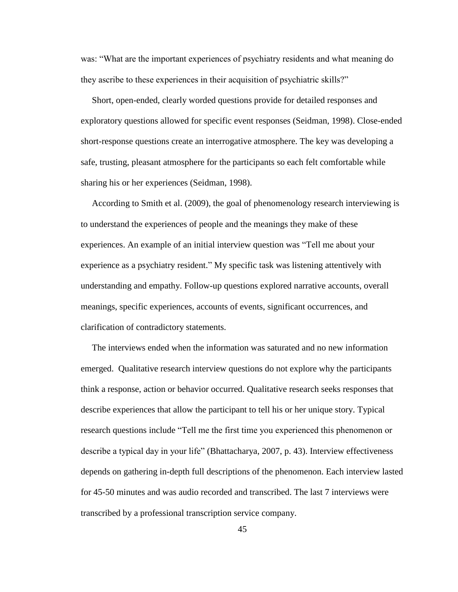was: "What are the important experiences of psychiatry residents and what meaning do they ascribe to these experiences in their acquisition of psychiatric skills?"

 Short, open-ended, clearly worded questions provide for detailed responses and exploratory questions allowed for specific event responses (Seidman, 1998). Close-ended short-response questions create an interrogative atmosphere. The key was developing a safe, trusting, pleasant atmosphere for the participants so each felt comfortable while sharing his or her experiences (Seidman, 1998).

 According to Smith et al. (2009), the goal of phenomenology research interviewing is to understand the experiences of people and the meanings they make of these experiences. An example of an initial interview question was "Tell me about your experience as a psychiatry resident." My specific task was listening attentively with understanding and empathy. Follow-up questions explored narrative accounts, overall meanings, specific experiences, accounts of events, significant occurrences, and clarification of contradictory statements.

 The interviews ended when the information was saturated and no new information emerged. Qualitative research interview questions do not explore why the participants think a response, action or behavior occurred. Qualitative research seeks responses that describe experiences that allow the participant to tell his or her unique story. Typical research questions include "Tell me the first time you experienced this phenomenon or describe a typical day in your life" (Bhattacharya, 2007, p. 43). Interview effectiveness depends on gathering in-depth full descriptions of the phenomenon. Each interview lasted for 45-50 minutes and was audio recorded and transcribed. The last 7 interviews were transcribed by a professional transcription service company.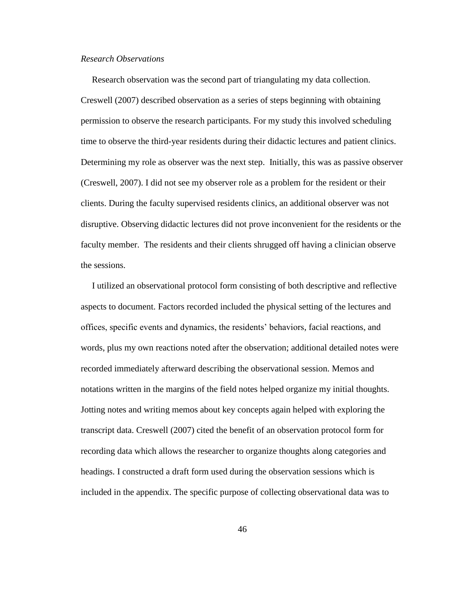# *Research Observations*

 Research observation was the second part of triangulating my data collection. Creswell (2007) described observation as a series of steps beginning with obtaining permission to observe the research participants. For my study this involved scheduling time to observe the third-year residents during their didactic lectures and patient clinics. Determining my role as observer was the next step. Initially, this was as passive observer (Creswell, 2007). I did not see my observer role as a problem for the resident or their clients. During the faculty supervised residents clinics, an additional observer was not disruptive. Observing didactic lectures did not prove inconvenient for the residents or the faculty member. The residents and their clients shrugged off having a clinician observe the sessions.

 I utilized an observational protocol form consisting of both descriptive and reflective aspects to document. Factors recorded included the physical setting of the lectures and offices, specific events and dynamics, the residents" behaviors, facial reactions, and words, plus my own reactions noted after the observation; additional detailed notes were recorded immediately afterward describing the observational session. Memos and notations written in the margins of the field notes helped organize my initial thoughts. Jotting notes and writing memos about key concepts again helped with exploring the transcript data. Creswell (2007) cited the benefit of an observation protocol form for recording data which allows the researcher to organize thoughts along categories and headings. I constructed a draft form used during the observation sessions which is included in the appendix. The specific purpose of collecting observational data was to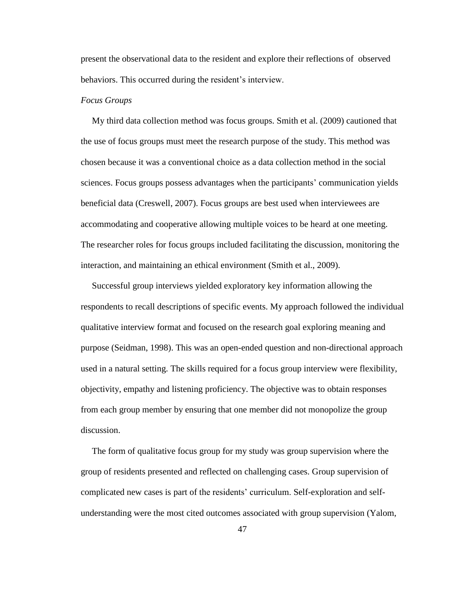present the observational data to the resident and explore their reflections of observed behaviors. This occurred during the resident's interview.

## *Focus Groups*

 My third data collection method was focus groups. Smith et al. (2009) cautioned that the use of focus groups must meet the research purpose of the study. This method was chosen because it was a conventional choice as a data collection method in the social sciences. Focus groups possess advantages when the participants" communication yields beneficial data (Creswell, 2007). Focus groups are best used when interviewees are accommodating and cooperative allowing multiple voices to be heard at one meeting. The researcher roles for focus groups included facilitating the discussion, monitoring the interaction, and maintaining an ethical environment (Smith et al., 2009).

 Successful group interviews yielded exploratory key information allowing the respondents to recall descriptions of specific events. My approach followed the individual qualitative interview format and focused on the research goal exploring meaning and purpose (Seidman, 1998). This was an open-ended question and non-directional approach used in a natural setting. The skills required for a focus group interview were flexibility, objectivity, empathy and listening proficiency. The objective was to obtain responses from each group member by ensuring that one member did not monopolize the group discussion.

 The form of qualitative focus group for my study was group supervision where the group of residents presented and reflected on challenging cases. Group supervision of complicated new cases is part of the residents" curriculum. Self-exploration and selfunderstanding were the most cited outcomes associated with group supervision (Yalom,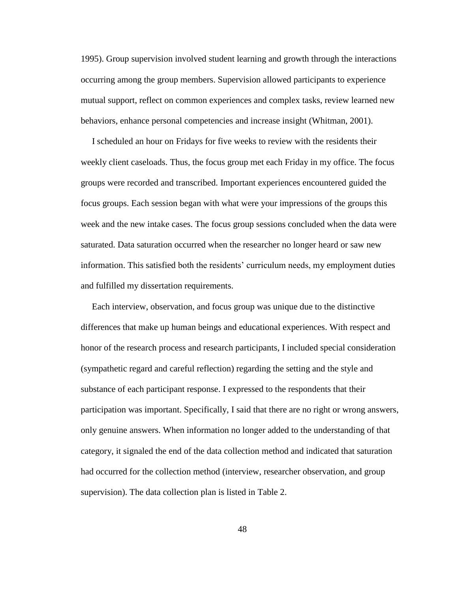1995). Group supervision involved student learning and growth through the interactions occurring among the group members. Supervision allowed participants to experience mutual support, reflect on common experiences and complex tasks, review learned new behaviors, enhance personal competencies and increase insight (Whitman, 2001).

 I scheduled an hour on Fridays for five weeks to review with the residents their weekly client caseloads. Thus, the focus group met each Friday in my office. The focus groups were recorded and transcribed. Important experiences encountered guided the focus groups. Each session began with what were your impressions of the groups this week and the new intake cases. The focus group sessions concluded when the data were saturated. Data saturation occurred when the researcher no longer heard or saw new information. This satisfied both the residents' curriculum needs, my employment duties and fulfilled my dissertation requirements.

 Each interview, observation, and focus group was unique due to the distinctive differences that make up human beings and educational experiences. With respect and honor of the research process and research participants, I included special consideration (sympathetic regard and careful reflection) regarding the setting and the style and substance of each participant response. I expressed to the respondents that their participation was important. Specifically, I said that there are no right or wrong answers, only genuine answers. When information no longer added to the understanding of that category, it signaled the end of the data collection method and indicated that saturation had occurred for the collection method (interview, researcher observation, and group supervision). The data collection plan is listed in Table 2.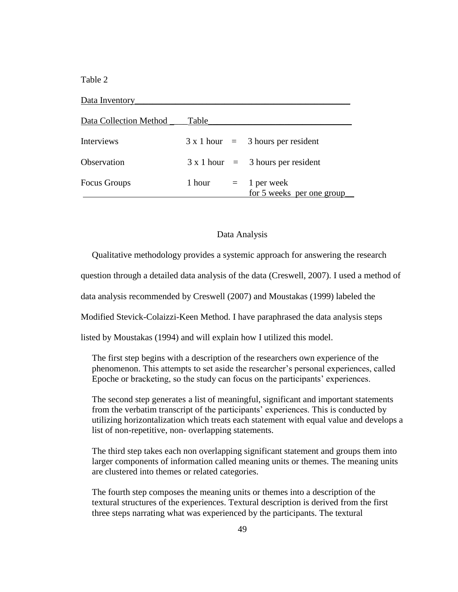Table 2

| Data Inventory         |        |                                             |  |
|------------------------|--------|---------------------------------------------|--|
| Data Collection Method | Table  |                                             |  |
| <b>Interviews</b>      |        | $3 \times 1$ hour = 3 hours per resident    |  |
| Observation            |        | $3 \times 1$ hour = 3 hours per resident    |  |
| <b>Focus Groups</b>    | 1 hour | $=$ 1 per week<br>for 5 weeks per one group |  |

# Data Analysis

Qualitative methodology provides a systemic approach for answering the research

question through a detailed data analysis of the data (Creswell, 2007). I used a method of

data analysis recommended by Creswell (2007) and Moustakas (1999) labeled the

Modified Stevick-Colaizzi-Keen Method. I have paraphrased the data analysis steps

listed by Moustakas (1994) and will explain how I utilized this model.

 The first step begins with a description of the researchers own experience of the phenomenon. This attempts to set aside the researcher"s personal experiences, called Epoche or bracketing, so the study can focus on the participants" experiences.

 The second step generates a list of meaningful, significant and important statements from the verbatim transcript of the participants' experiences. This is conducted by utilizing horizontalization which treats each statement with equal value and develops a list of non-repetitive, non- overlapping statements.

 The third step takes each non overlapping significant statement and groups them into larger components of information called meaning units or themes. The meaning units are clustered into themes or related categories.

 The fourth step composes the meaning units or themes into a description of the textural structures of the experiences. Textural description is derived from the first three steps narrating what was experienced by the participants. The textural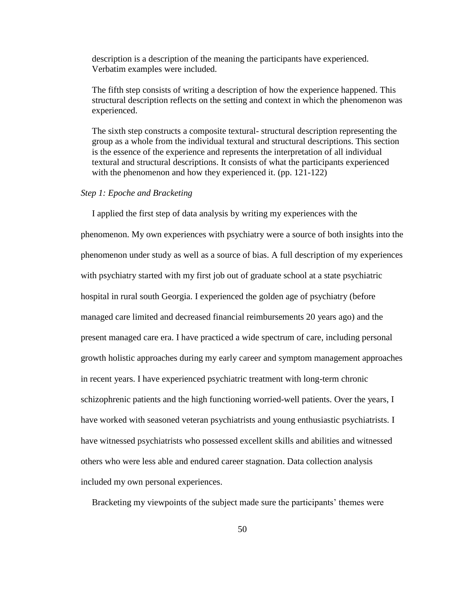description is a description of the meaning the participants have experienced. Verbatim examples were included.

 The fifth step consists of writing a description of how the experience happened. This structural description reflects on the setting and context in which the phenomenon was experienced.

 The sixth step constructs a composite textural- structural description representing the group as a whole from the individual textural and structural descriptions. This section is the essence of the experience and represents the interpretation of all individual textural and structural descriptions. It consists of what the participants experienced with the phenomenon and how they experienced it. (pp. 121-122)

# *Step 1: Epoche and Bracketing*

 I applied the first step of data analysis by writing my experiences with the phenomenon. My own experiences with psychiatry were a source of both insights into the phenomenon under study as well as a source of bias. A full description of my experiences with psychiatry started with my first job out of graduate school at a state psychiatric hospital in rural south Georgia. I experienced the golden age of psychiatry (before managed care limited and decreased financial reimbursements 20 years ago) and the present managed care era. I have practiced a wide spectrum of care, including personal growth holistic approaches during my early career and symptom management approaches in recent years. I have experienced psychiatric treatment with long-term chronic schizophrenic patients and the high functioning worried-well patients. Over the years, I have worked with seasoned veteran psychiatrists and young enthusiastic psychiatrists. I have witnessed psychiatrists who possessed excellent skills and abilities and witnessed others who were less able and endured career stagnation. Data collection analysis included my own personal experiences.

Bracketing my viewpoints of the subject made sure the participants' themes were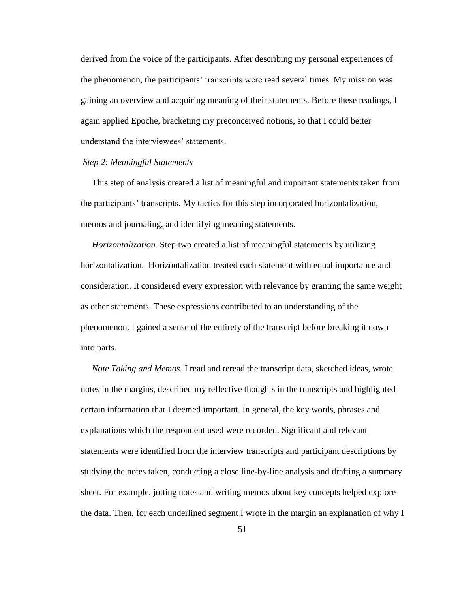derived from the voice of the participants. After describing my personal experiences of the phenomenon, the participants' transcripts were read several times. My mission was gaining an overview and acquiring meaning of their statements. Before these readings, I again applied Epoche, bracketing my preconceived notions, so that I could better understand the interviewees' statements.

# *Step 2: Meaningful Statements*

 This step of analysis created a list of meaningful and important statements taken from the participants" transcripts. My tactics for this step incorporated horizontalization, memos and journaling, and identifying meaning statements.

 *Horizontalization.* Step two created a list of meaningful statements by utilizing horizontalization. Horizontalization treated each statement with equal importance and consideration. It considered every expression with relevance by granting the same weight as other statements. These expressions contributed to an understanding of the phenomenon. I gained a sense of the entirety of the transcript before breaking it down into parts.

 *Note Taking and Memos.* I read and reread the transcript data, sketched ideas, wrote notes in the margins, described my reflective thoughts in the transcripts and highlighted certain information that I deemed important. In general, the key words, phrases and explanations which the respondent used were recorded. Significant and relevant statements were identified from the interview transcripts and participant descriptions by studying the notes taken, conducting a close line-by-line analysis and drafting a summary sheet. For example, jotting notes and writing memos about key concepts helped explore the data. Then, for each underlined segment I wrote in the margin an explanation of why I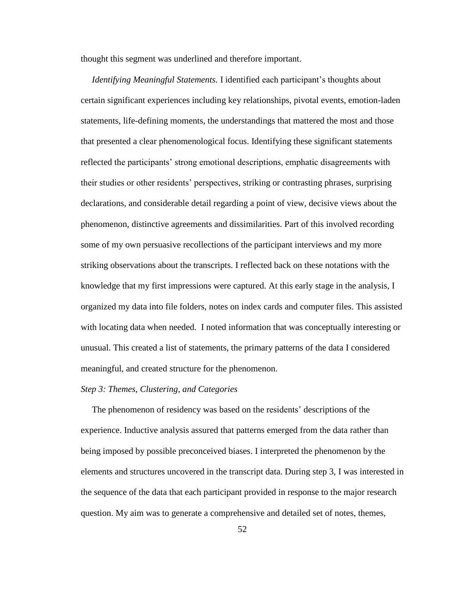thought this segment was underlined and therefore important.

*Identifying Meaningful Statements. I identified each participant's thoughts about* certain significant experiences including key relationships, pivotal events, emotion-laden statements, life-defining moments, the understandings that mattered the most and those that presented a clear phenomenological focus. Identifying these significant statements reflected the participants" strong emotional descriptions, emphatic disagreements with their studies or other residents" perspectives, striking or contrasting phrases, surprising declarations, and considerable detail regarding a point of view, decisive views about the phenomenon, distinctive agreements and dissimilarities. Part of this involved recording some of my own persuasive recollections of the participant interviews and my more striking observations about the transcripts. I reflected back on these notations with the knowledge that my first impressions were captured. At this early stage in the analysis, I organized my data into file folders, notes on index cards and computer files. This assisted with locating data when needed. I noted information that was conceptually interesting or unusual. This created a list of statements, the primary patterns of the data I considered meaningful, and created structure for the phenomenon.

# *Step 3: Themes, Clustering, and Categories*

The phenomenon of residency was based on the residents' descriptions of the experience. Inductive analysis assured that patterns emerged from the data rather than being imposed by possible preconceived biases. I interpreted the phenomenon by the elements and structures uncovered in the transcript data. During step 3, I was interested in the sequence of the data that each participant provided in response to the major research question. My aim was to generate a comprehensive and detailed set of notes, themes,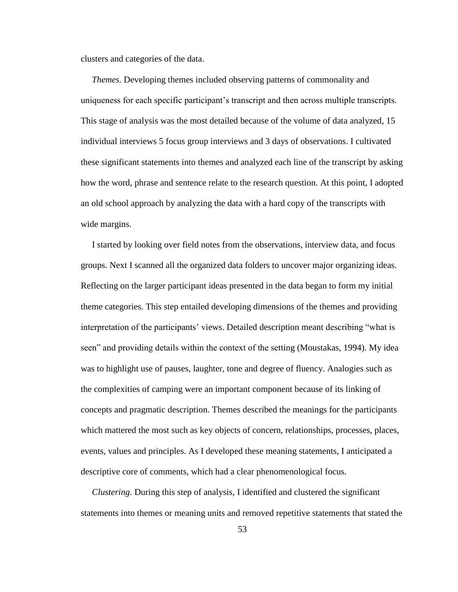clusters and categories of the data.

 *Themes.* Developing themes included observing patterns of commonality and uniqueness for each specific participant"s transcript and then across multiple transcripts. This stage of analysis was the most detailed because of the volume of data analyzed, 15 individual interviews 5 focus group interviews and 3 days of observations. I cultivated these significant statements into themes and analyzed each line of the transcript by asking how the word, phrase and sentence relate to the research question. At this point, I adopted an old school approach by analyzing the data with a hard copy of the transcripts with wide margins.

 I started by looking over field notes from the observations, interview data, and focus groups. Next I scanned all the organized data folders to uncover major organizing ideas. Reflecting on the larger participant ideas presented in the data began to form my initial theme categories. This step entailed developing dimensions of the themes and providing interpretation of the participants' views. Detailed description meant describing "what is seen" and providing details within the context of the setting (Moustakas, 1994). My idea was to highlight use of pauses, laughter, tone and degree of fluency. Analogies such as the complexities of camping were an important component because of its linking of concepts and pragmatic description. Themes described the meanings for the participants which mattered the most such as key objects of concern, relationships, processes, places, events, values and principles. As I developed these meaning statements, I anticipated a descriptive core of comments, which had a clear phenomenological focus.

 *Clustering.* During this step of analysis, I identified and clustered the significant statements into themes or meaning units and removed repetitive statements that stated the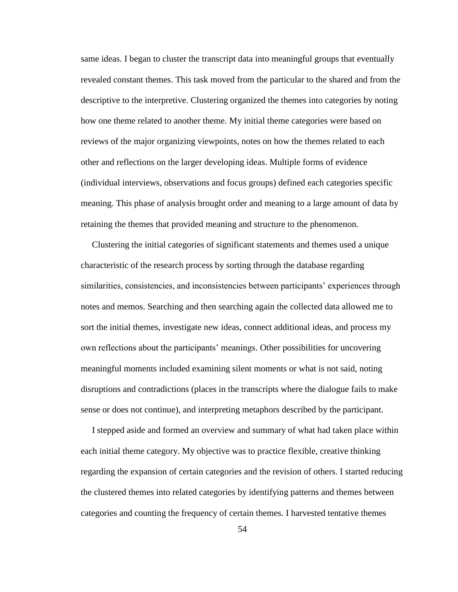same ideas. I began to cluster the transcript data into meaningful groups that eventually revealed constant themes. This task moved from the particular to the shared and from the descriptive to the interpretive. Clustering organized the themes into categories by noting how one theme related to another theme. My initial theme categories were based on reviews of the major organizing viewpoints, notes on how the themes related to each other and reflections on the larger developing ideas. Multiple forms of evidence (individual interviews, observations and focus groups) defined each categories specific meaning. This phase of analysis brought order and meaning to a large amount of data by retaining the themes that provided meaning and structure to the phenomenon.

 Clustering the initial categories of significant statements and themes used a unique characteristic of the research process by sorting through the database regarding similarities, consistencies, and inconsistencies between participants" experiences through notes and memos. Searching and then searching again the collected data allowed me to sort the initial themes, investigate new ideas, connect additional ideas, and process my own reflections about the participants" meanings. Other possibilities for uncovering meaningful moments included examining silent moments or what is not said, noting disruptions and contradictions (places in the transcripts where the dialogue fails to make sense or does not continue), and interpreting metaphors described by the participant.

 I stepped aside and formed an overview and summary of what had taken place within each initial theme category. My objective was to practice flexible, creative thinking regarding the expansion of certain categories and the revision of others. I started reducing the clustered themes into related categories by identifying patterns and themes between categories and counting the frequency of certain themes. I harvested tentative themes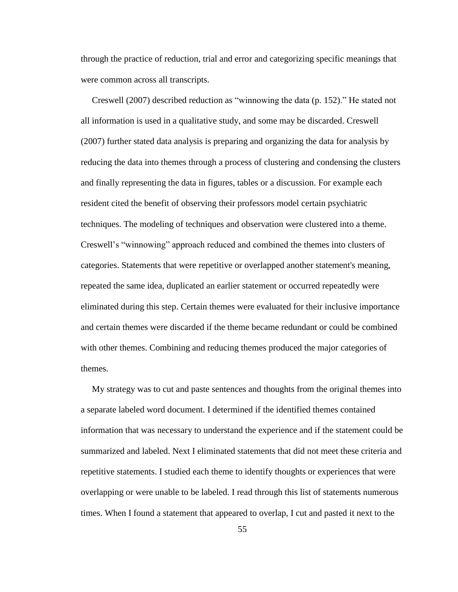through the practice of reduction, trial and error and categorizing specific meanings that were common across all transcripts.

 Creswell (2007) described reduction as "winnowing the data (p. 152)." He stated not all information is used in a qualitative study, and some may be discarded. Creswell (2007) further stated data analysis is preparing and organizing the data for analysis by reducing the data into themes through a process of clustering and condensing the clusters and finally representing the data in figures, tables or a discussion. For example each resident cited the benefit of observing their professors model certain psychiatric techniques. The modeling of techniques and observation were clustered into a theme. Creswell"s "winnowing" approach reduced and combined the themes into clusters of categories. Statements that were repetitive or overlapped another statement's meaning, repeated the same idea, duplicated an earlier statement or occurred repeatedly were eliminated during this step. Certain themes were evaluated for their inclusive importance and certain themes were discarded if the theme became redundant or could be combined with other themes. Combining and reducing themes produced the major categories of themes.

 My strategy was to cut and paste sentences and thoughts from the original themes into a separate labeled word document. I determined if the identified themes contained information that was necessary to understand the experience and if the statement could be summarized and labeled. Next I eliminated statements that did not meet these criteria and repetitive statements. I studied each theme to identify thoughts or experiences that were overlapping or were unable to be labeled. I read through this list of statements numerous times. When I found a statement that appeared to overlap, I cut and pasted it next to the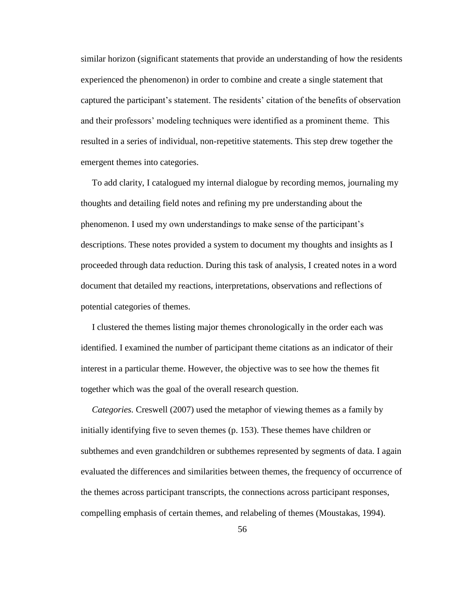similar horizon (significant statements that provide an understanding of how the residents experienced the phenomenon) in order to combine and create a single statement that captured the participant"s statement. The residents" citation of the benefits of observation and their professors" modeling techniques were identified as a prominent theme. This resulted in a series of individual, non-repetitive statements. This step drew together the emergent themes into categories.

 To add clarity, I catalogued my internal dialogue by recording memos, journaling my thoughts and detailing field notes and refining my pre understanding about the phenomenon. I used my own understandings to make sense of the participant"s descriptions. These notes provided a system to document my thoughts and insights as I proceeded through data reduction. During this task of analysis, I created notes in a word document that detailed my reactions, interpretations, observations and reflections of potential categories of themes.

 I clustered the themes listing major themes chronologically in the order each was identified. I examined the number of participant theme citations as an indicator of their interest in a particular theme. However, the objective was to see how the themes fit together which was the goal of the overall research question.

 *Categories.* Creswell (2007) used the metaphor of viewing themes as a family by initially identifying five to seven themes (p. 153). These themes have children or subthemes and even grandchildren or subthemes represented by segments of data. I again evaluated the differences and similarities between themes, the frequency of occurrence of the themes across participant transcripts, the connections across participant responses, compelling emphasis of certain themes, and relabeling of themes (Moustakas, 1994).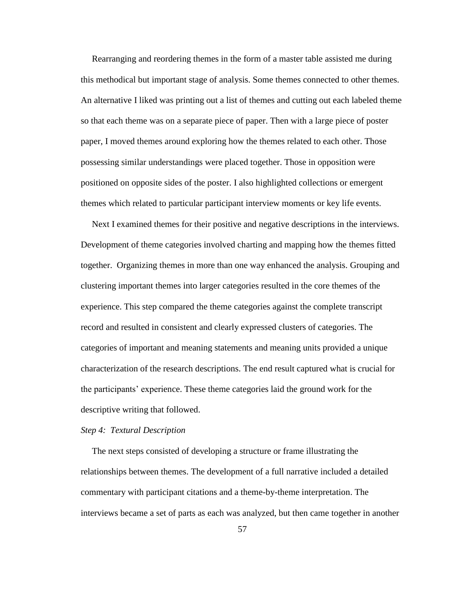Rearranging and reordering themes in the form of a master table assisted me during this methodical but important stage of analysis. Some themes connected to other themes. An alternative I liked was printing out a list of themes and cutting out each labeled theme so that each theme was on a separate piece of paper. Then with a large piece of poster paper, I moved themes around exploring how the themes related to each other. Those possessing similar understandings were placed together. Those in opposition were positioned on opposite sides of the poster. I also highlighted collections or emergent themes which related to particular participant interview moments or key life events.

 Next I examined themes for their positive and negative descriptions in the interviews. Development of theme categories involved charting and mapping how the themes fitted together. Organizing themes in more than one way enhanced the analysis. Grouping and clustering important themes into larger categories resulted in the core themes of the experience. This step compared the theme categories against the complete transcript record and resulted in consistent and clearly expressed clusters of categories. The categories of important and meaning statements and meaning units provided a unique characterization of the research descriptions. The end result captured what is crucial for the participants" experience. These theme categories laid the ground work for the descriptive writing that followed.

## *Step 4: Textural Description*

 The next steps consisted of developing a structure or frame illustrating the relationships between themes. The development of a full narrative included a detailed commentary with participant citations and a theme-by-theme interpretation. The interviews became a set of parts as each was analyzed, but then came together in another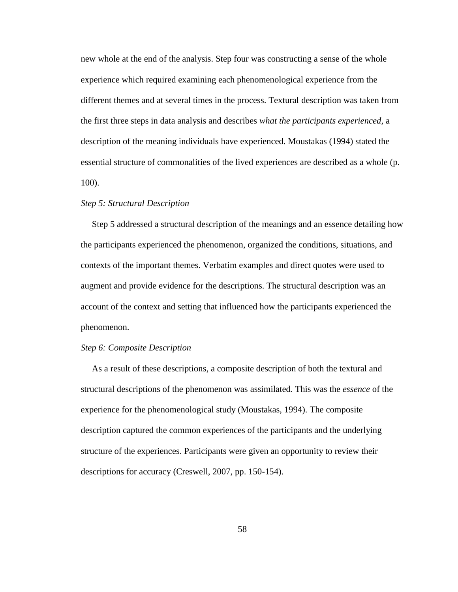new whole at the end of the analysis. Step four was constructing a sense of the whole experience which required examining each phenomenological experience from the different themes and at several times in the process. Textural description was taken from the first three steps in data analysis and describes *what the participants experienced*, a description of the meaning individuals have experienced. Moustakas (1994) stated the essential structure of commonalities of the lived experiences are described as a whole (p. 100).

## *Step 5: Structural Description*

 Step 5 addressed a structural description of the meanings and an essence detailing how the participants experienced the phenomenon, organized the conditions, situations, and contexts of the important themes. Verbatim examples and direct quotes were used to augment and provide evidence for the descriptions. The structural description was an account of the context and setting that influenced how the participants experienced the phenomenon.

# *Step 6: Composite Description*

 As a result of these descriptions, a composite description of both the textural and structural descriptions of the phenomenon was assimilated. This was the *essence* of the experience for the phenomenological study (Moustakas, 1994). The composite description captured the common experiences of the participants and the underlying structure of the experiences. Participants were given an opportunity to review their descriptions for accuracy (Creswell, 2007, pp. 150-154).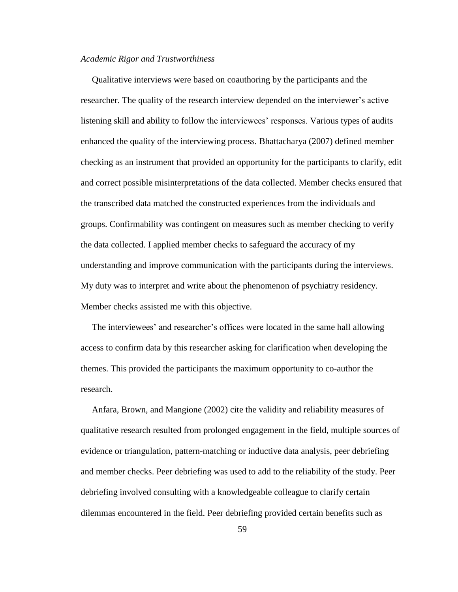## *Academic Rigor and Trustworthiness*

 Qualitative interviews were based on coauthoring by the participants and the researcher. The quality of the research interview depended on the interviewer"s active listening skill and ability to follow the interviewees" responses. Various types of audits enhanced the quality of the interviewing process. Bhattacharya (2007) defined member checking as an instrument that provided an opportunity for the participants to clarify, edit and correct possible misinterpretations of the data collected. Member checks ensured that the transcribed data matched the constructed experiences from the individuals and groups. Confirmability was contingent on measures such as member checking to verify the data collected. I applied member checks to safeguard the accuracy of my understanding and improve communication with the participants during the interviews. My duty was to interpret and write about the phenomenon of psychiatry residency. Member checks assisted me with this objective.

 The interviewees" and researcher"s offices were located in the same hall allowing access to confirm data by this researcher asking for clarification when developing the themes. This provided the participants the maximum opportunity to co-author the research.

 Anfara, Brown, and Mangione (2002) cite the validity and reliability measures of qualitative research resulted from prolonged engagement in the field, multiple sources of evidence or triangulation, pattern-matching or inductive data analysis, peer debriefing and member checks. Peer debriefing was used to add to the reliability of the study. Peer debriefing involved consulting with a knowledgeable colleague to clarify certain dilemmas encountered in the field. Peer debriefing provided certain benefits such as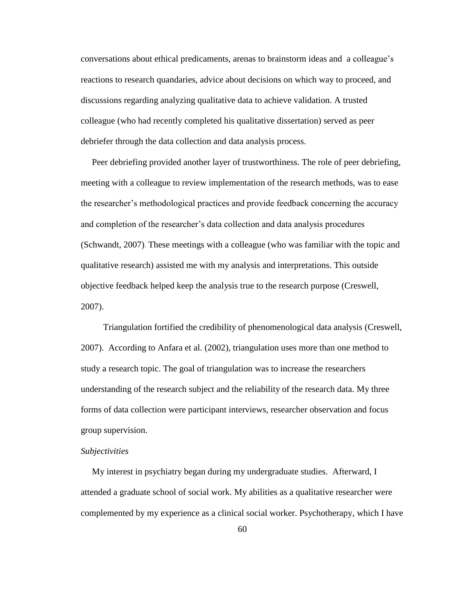conversations about ethical predicaments, arenas to brainstorm ideas and a colleague"s reactions to research quandaries, advice about decisions on which way to proceed, and discussions regarding analyzing qualitative data to achieve validation. A trusted colleague (who had recently completed his qualitative dissertation) served as peer debriefer through the data collection and data analysis process.

 Peer debriefing provided another layer of trustworthiness. The role of peer debriefing, meeting with a colleague to review implementation of the research methods, was to ease the researcher"s methodological practices and provide feedback concerning the accuracy and completion of the researcher"s data collection and data analysis procedures (Schwandt, 2007). These meetings with a colleague (who was familiar with the topic and qualitative research) assisted me with my analysis and interpretations. This outside objective feedback helped keep the analysis true to the research purpose (Creswell, 2007).

 Triangulation fortified the credibility of phenomenological data analysis (Creswell, 2007). According to Anfara et al. (2002), triangulation uses more than one method to study a research topic. The goal of triangulation was to increase the researchers understanding of the research subject and the reliability of the research data. My three forms of data collection were participant interviews, researcher observation and focus group supervision.

# *Subjectivities*

 My interest in psychiatry began during my undergraduate studies. Afterward, I attended a graduate school of social work. My abilities as a qualitative researcher were complemented by my experience as a clinical social worker. Psychotherapy, which I have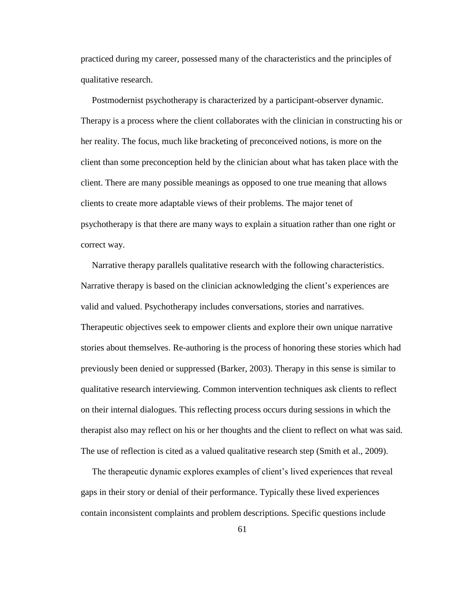practiced during my career, possessed many of the characteristics and the principles of qualitative research.

 Postmodernist psychotherapy is characterized by a participant-observer dynamic. Therapy is a process where the client collaborates with the clinician in constructing his or her reality. The focus, much like bracketing of preconceived notions, is more on the client than some preconception held by the clinician about what has taken place with the client. There are many possible meanings as opposed to one true meaning that allows clients to create more adaptable views of their problems. The major tenet of psychotherapy is that there are many ways to explain a situation rather than one right or correct way.

 Narrative therapy parallels qualitative research with the following characteristics. Narrative therapy is based on the clinician acknowledging the client's experiences are valid and valued. Psychotherapy includes conversations, stories and narratives. Therapeutic objectives seek to empower clients and explore their own unique narrative stories about themselves. Re-authoring is the process of honoring these stories which had previously been denied or suppressed (Barker, 2003). Therapy in this sense is similar to qualitative research interviewing. Common intervention techniques ask clients to reflect on their internal dialogues. This reflecting process occurs during sessions in which the therapist also may reflect on his or her thoughts and the client to reflect on what was said. The use of reflection is cited as a valued qualitative research step (Smith et al., 2009).

 The therapeutic dynamic explores examples of client"s lived experiences that reveal gaps in their story or denial of their performance. Typically these lived experiences contain inconsistent complaints and problem descriptions. Specific questions include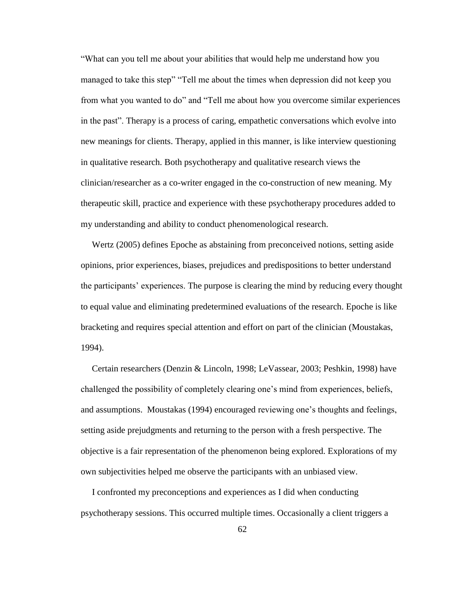"What can you tell me about your abilities that would help me understand how you managed to take this step" "Tell me about the times when depression did not keep you from what you wanted to do" and "Tell me about how you overcome similar experiences in the past". Therapy is a process of caring, empathetic conversations which evolve into new meanings for clients. Therapy, applied in this manner, is like interview questioning in qualitative research. Both psychotherapy and qualitative research views the clinician/researcher as a co-writer engaged in the co-construction of new meaning. My therapeutic skill, practice and experience with these psychotherapy procedures added to my understanding and ability to conduct phenomenological research.

 Wertz (2005) defines Epoche as abstaining from preconceived notions, setting aside opinions, prior experiences, biases, prejudices and predispositions to better understand the participants" experiences. The purpose is clearing the mind by reducing every thought to equal value and eliminating predetermined evaluations of the research. Epoche is like bracketing and requires special attention and effort on part of the clinician (Moustakas, 1994).

 Certain researchers (Denzin & Lincoln, 1998; LeVassear, 2003; Peshkin, 1998) have challenged the possibility of completely clearing one"s mind from experiences, beliefs, and assumptions. Moustakas (1994) encouraged reviewing one"s thoughts and feelings, setting aside prejudgments and returning to the person with a fresh perspective. The objective is a fair representation of the phenomenon being explored. Explorations of my own subjectivities helped me observe the participants with an unbiased view.

 I confronted my preconceptions and experiences as I did when conducting psychotherapy sessions. This occurred multiple times. Occasionally a client triggers a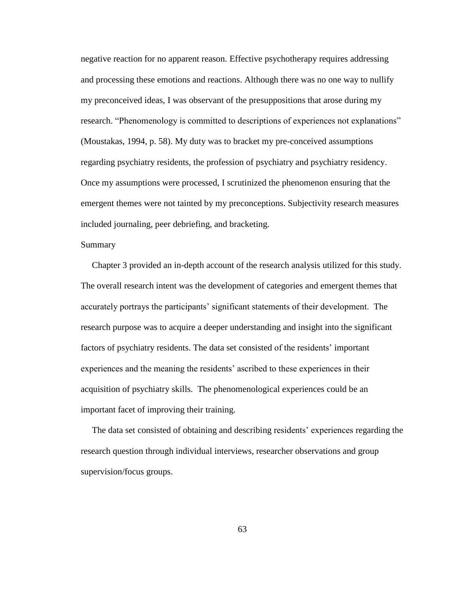negative reaction for no apparent reason. Effective psychotherapy requires addressing and processing these emotions and reactions. Although there was no one way to nullify my preconceived ideas, I was observant of the presuppositions that arose during my research. "Phenomenology is committed to descriptions of experiences not explanations" (Moustakas, 1994, p. 58). My duty was to bracket my pre-conceived assumptions regarding psychiatry residents, the profession of psychiatry and psychiatry residency. Once my assumptions were processed, I scrutinized the phenomenon ensuring that the emergent themes were not tainted by my preconceptions. Subjectivity research measures included journaling, peer debriefing, and bracketing.

# Summary

 Chapter 3 provided an in-depth account of the research analysis utilized for this study. The overall research intent was the development of categories and emergent themes that accurately portrays the participants' significant statements of their development. The research purpose was to acquire a deeper understanding and insight into the significant factors of psychiatry residents. The data set consisted of the residents" important experiences and the meaning the residents' ascribed to these experiences in their acquisition of psychiatry skills. The phenomenological experiences could be an important facet of improving their training.

 The data set consisted of obtaining and describing residents" experiences regarding the research question through individual interviews, researcher observations and group supervision/focus groups.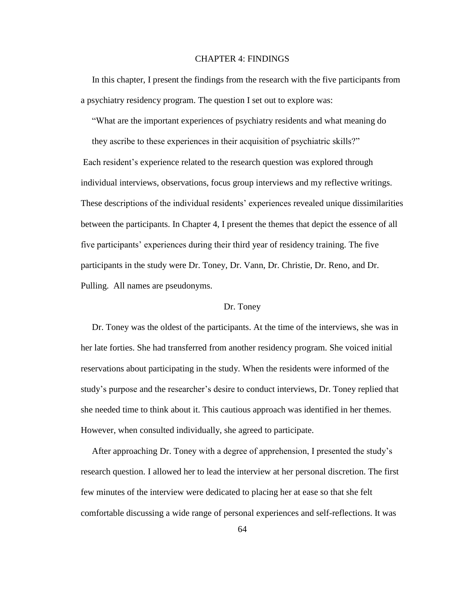# CHAPTER 4: FINDINGS

 In this chapter, I present the findings from the research with the five participants from a psychiatry residency program. The question I set out to explore was:

"What are the important experiences of psychiatry residents and what meaning do

 they ascribe to these experiences in their acquisition of psychiatric skills?" Each resident"s experience related to the research question was explored through individual interviews, observations, focus group interviews and my reflective writings. These descriptions of the individual residents' experiences revealed unique dissimilarities between the participants. In Chapter 4, I present the themes that depict the essence of all five participants" experiences during their third year of residency training. The five participants in the study were Dr. Toney, Dr. Vann, Dr. Christie, Dr. Reno, and Dr. Pulling. All names are pseudonyms.

# Dr. Toney

 Dr. Toney was the oldest of the participants. At the time of the interviews, she was in her late forties. She had transferred from another residency program. She voiced initial reservations about participating in the study. When the residents were informed of the study"s purpose and the researcher"s desire to conduct interviews, Dr. Toney replied that she needed time to think about it. This cautious approach was identified in her themes. However, when consulted individually, she agreed to participate.

 After approaching Dr. Toney with a degree of apprehension, I presented the study"s research question. I allowed her to lead the interview at her personal discretion. The first few minutes of the interview were dedicated to placing her at ease so that she felt comfortable discussing a wide range of personal experiences and self-reflections. It was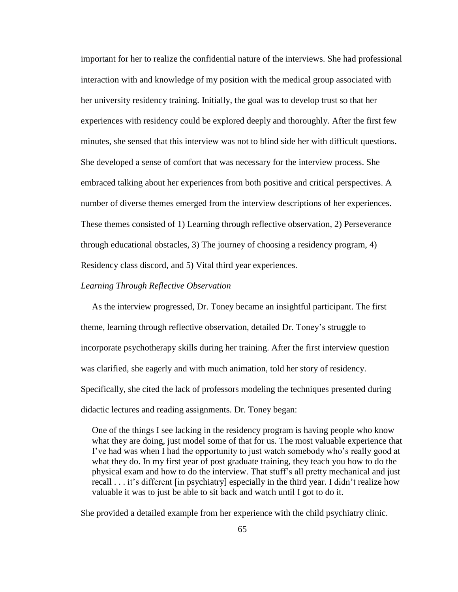important for her to realize the confidential nature of the interviews. She had professional interaction with and knowledge of my position with the medical group associated with her university residency training. Initially, the goal was to develop trust so that her experiences with residency could be explored deeply and thoroughly. After the first few minutes, she sensed that this interview was not to blind side her with difficult questions. She developed a sense of comfort that was necessary for the interview process. She embraced talking about her experiences from both positive and critical perspectives. A number of diverse themes emerged from the interview descriptions of her experiences. These themes consisted of 1) Learning through reflective observation, 2) Perseverance through educational obstacles, 3) The journey of choosing a residency program, 4) Residency class discord, and 5) Vital third year experiences.

### *Learning Through Reflective Observation*

 As the interview progressed, Dr. Toney became an insightful participant. The first theme, learning through reflective observation, detailed Dr. Toney"s struggle to incorporate psychotherapy skills during her training. After the first interview question was clarified, she eagerly and with much animation, told her story of residency. Specifically, she cited the lack of professors modeling the techniques presented during didactic lectures and reading assignments. Dr. Toney began:

 One of the things I see lacking in the residency program is having people who know what they are doing, just model some of that for us. The most valuable experience that I"ve had was when I had the opportunity to just watch somebody who"s really good at what they do. In my first year of post graduate training, they teach you how to do the physical exam and how to do the interview. That stuff"s all pretty mechanical and just recall . . . it's different [in psychiatry] especially in the third year. I didn't realize how valuable it was to just be able to sit back and watch until I got to do it.

She provided a detailed example from her experience with the child psychiatry clinic.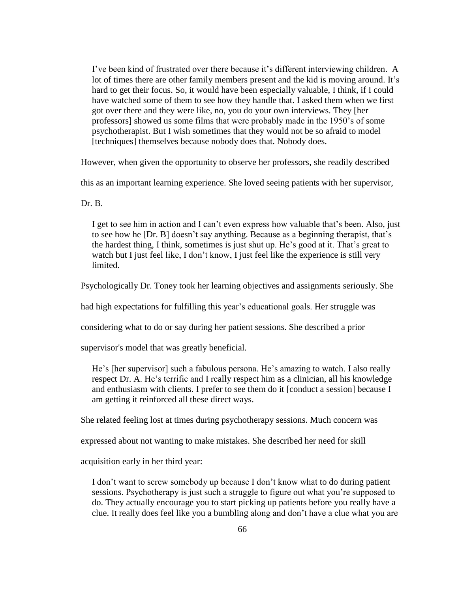I"ve been kind of frustrated over there because it"s different interviewing children. A lot of times there are other family members present and the kid is moving around. It"s hard to get their focus. So, it would have been especially valuable, I think, if I could have watched some of them to see how they handle that. I asked them when we first got over there and they were like, no, you do your own interviews. They [her professors] showed us some films that were probably made in the 1950"s of some psychotherapist. But I wish sometimes that they would not be so afraid to model [techniques] themselves because nobody does that. Nobody does.

However, when given the opportunity to observe her professors, she readily described

this as an important learning experience. She loved seeing patients with her supervisor,

Dr. B.

I get to see him in action and I can't even express how valuable that's been. Also, just to see how he [Dr. B] doesn't say anything. Because as a beginning therapist, that's the hardest thing, I think, sometimes is just shut up. He"s good at it. That"s great to watch but I just feel like, I don't know, I just feel like the experience is still very limited.

Psychologically Dr. Toney took her learning objectives and assignments seriously. She

had high expectations for fulfilling this year's educational goals. Her struggle was

considering what to do or say during her patient sessions. She described a prior

supervisor's model that was greatly beneficial.

He's [her supervisor] such a fabulous persona. He's amazing to watch. I also really respect Dr. A. He's terrific and I really respect him as a clinician, all his knowledge and enthusiasm with clients. I prefer to see them do it [conduct a session] because I am getting it reinforced all these direct ways.

She related feeling lost at times during psychotherapy sessions. Much concern was

expressed about not wanting to make mistakes. She described her need for skill

acquisition early in her third year:

 I don"t want to screw somebody up because I don"t know what to do during patient sessions. Psychotherapy is just such a struggle to figure out what you"re supposed to do. They actually encourage you to start picking up patients before you really have a clue. It really does feel like you a bumbling along and don"t have a clue what you are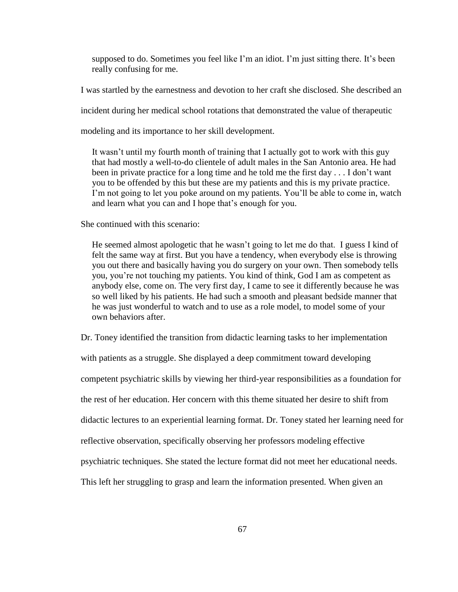supposed to do. Sometimes you feel like I'm an idiot. I'm just sitting there. It's been really confusing for me.

I was startled by the earnestness and devotion to her craft she disclosed. She described an

incident during her medical school rotations that demonstrated the value of therapeutic

modeling and its importance to her skill development.

 It wasn"t until my fourth month of training that I actually got to work with this guy that had mostly a well-to-do clientele of adult males in the San Antonio area. He had been in private practice for a long time and he told me the first day . . . I don"t want you to be offended by this but these are my patients and this is my private practice. I'm not going to let you poke around on my patients. You'll be able to come in, watch and learn what you can and I hope that's enough for you.

She continued with this scenario:

He seemed almost apologetic that he wasn't going to let me do that. I guess I kind of felt the same way at first. But you have a tendency, when everybody else is throwing you out there and basically having you do surgery on your own. Then somebody tells you, you"re not touching my patients. You kind of think, God I am as competent as anybody else, come on. The very first day, I came to see it differently because he was so well liked by his patients. He had such a smooth and pleasant bedside manner that he was just wonderful to watch and to use as a role model, to model some of your own behaviors after.

Dr. Toney identified the transition from didactic learning tasks to her implementation

with patients as a struggle. She displayed a deep commitment toward developing

competent psychiatric skills by viewing her third-year responsibilities as a foundation for

the rest of her education. Her concern with this theme situated her desire to shift from

didactic lectures to an experiential learning format. Dr. Toney stated her learning need for

reflective observation, specifically observing her professors modeling effective

psychiatric techniques. She stated the lecture format did not meet her educational needs.

This left her struggling to grasp and learn the information presented. When given an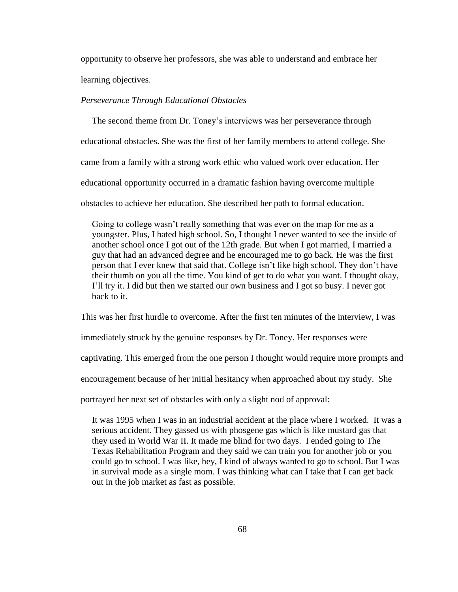opportunity to observe her professors, she was able to understand and embrace her learning objectives.

## *Perseverance Through Educational Obstacles*

 The second theme from Dr. Toney"s interviews was her perseverance through educational obstacles. She was the first of her family members to attend college. She came from a family with a strong work ethic who valued work over education. Her educational opportunity occurred in a dramatic fashion having overcome multiple obstacles to achieve her education. She described her path to formal education.

 Going to college wasn"t really something that was ever on the map for me as a youngster. Plus, I hated high school. So, I thought I never wanted to see the inside of another school once I got out of the 12th grade. But when I got married, I married a guy that had an advanced degree and he encouraged me to go back. He was the first person that I ever knew that said that. College isn"t like high school. They don"t have their thumb on you all the time. You kind of get to do what you want. I thought okay, I"ll try it. I did but then we started our own business and I got so busy. I never got back to it.

This was her first hurdle to overcome. After the first ten minutes of the interview, I was

immediately struck by the genuine responses by Dr. Toney. Her responses were

captivating. This emerged from the one person I thought would require more prompts and

encouragement because of her initial hesitancy when approached about my study. She

portrayed her next set of obstacles with only a slight nod of approval:

 It was 1995 when I was in an industrial accident at the place where I worked. It was a serious accident. They gassed us with phosgene gas which is like mustard gas that they used in World War II. It made me blind for two days. I ended going to The Texas Rehabilitation Program and they said we can train you for another job or you could go to school. I was like, hey, I kind of always wanted to go to school. But I was in survival mode as a single mom. I was thinking what can I take that I can get back out in the job market as fast as possible.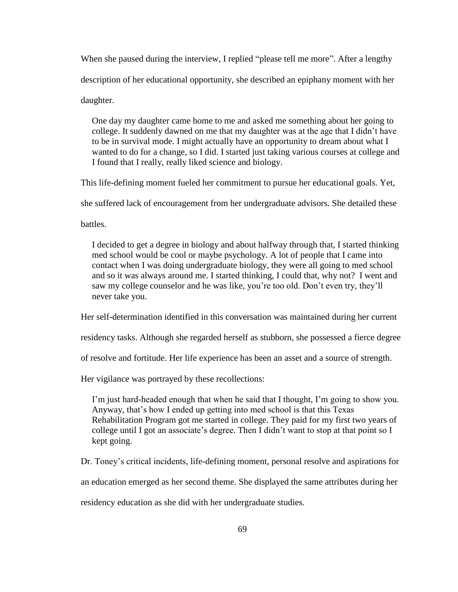When she paused during the interview, I replied "please tell me more". After a lengthy description of her educational opportunity, she described an epiphany moment with her daughter.

 One day my daughter came home to me and asked me something about her going to college. It suddenly dawned on me that my daughter was at the age that I didn"t have to be in survival mode. I might actually have an opportunity to dream about what I wanted to do for a change, so I did. I started just taking various courses at college and I found that I really, really liked science and biology.

This life-defining moment fueled her commitment to pursue her educational goals. Yet,

she suffered lack of encouragement from her undergraduate advisors. She detailed these

battles.

 I decided to get a degree in biology and about halfway through that, I started thinking med school would be cool or maybe psychology. A lot of people that I came into contact when I was doing undergraduate biology, they were all going to med school and so it was always around me. I started thinking, I could that, why not? I went and saw my college counselor and he was like, you"re too old. Don"t even try, they"ll never take you.

Her self-determination identified in this conversation was maintained during her current

residency tasks. Although she regarded herself as stubborn, she possessed a fierce degree

of resolve and fortitude. Her life experience has been an asset and a source of strength.

Her vigilance was portrayed by these recollections:

 I"m just hard-headed enough that when he said that I thought, I"m going to show you. Anyway, that"s how I ended up getting into med school is that this Texas Rehabilitation Program got me started in college. They paid for my first two years of college until I got an associate's degree. Then I didn't want to stop at that point so I kept going.

Dr. Toney"s critical incidents, life-defining moment, personal resolve and aspirations for

an education emerged as her second theme. She displayed the same attributes during her

residency education as she did with her undergraduate studies.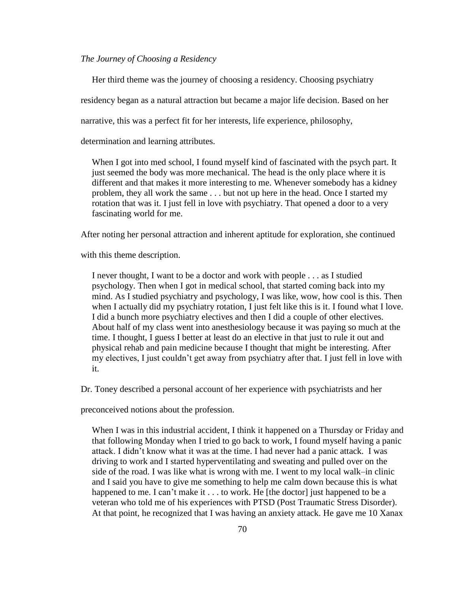## *The Journey of Choosing a Residency*

Her third theme was the journey of choosing a residency. Choosing psychiatry

residency began as a natural attraction but became a major life decision. Based on her

narrative, this was a perfect fit for her interests, life experience, philosophy,

determination and learning attributes.

 When I got into med school, I found myself kind of fascinated with the psych part. It just seemed the body was more mechanical. The head is the only place where it is different and that makes it more interesting to me. Whenever somebody has a kidney problem, they all work the same . . . but not up here in the head. Once I started my rotation that was it. I just fell in love with psychiatry. That opened a door to a very fascinating world for me.

After noting her personal attraction and inherent aptitude for exploration, she continued

with this theme description.

 I never thought, I want to be a doctor and work with people . . . as I studied psychology. Then when I got in medical school, that started coming back into my mind. As I studied psychiatry and psychology, I was like, wow, how cool is this. Then when I actually did my psychiatry rotation, I just felt like this is it. I found what I love. I did a bunch more psychiatry electives and then I did a couple of other electives. About half of my class went into anesthesiology because it was paying so much at the time. I thought, I guess I better at least do an elective in that just to rule it out and physical rehab and pain medicine because I thought that might be interesting. After my electives, I just couldn"t get away from psychiatry after that. I just fell in love with it.

Dr. Toney described a personal account of her experience with psychiatrists and her

preconceived notions about the profession.

 When I was in this industrial accident, I think it happened on a Thursday or Friday and that following Monday when I tried to go back to work, I found myself having a panic attack. I didn"t know what it was at the time. I had never had a panic attack. I was driving to work and I started hyperventilating and sweating and pulled over on the side of the road. I was like what is wrong with me. I went to my local walk–in clinic and I said you have to give me something to help me calm down because this is what happened to me. I can't make it . . . to work. He [the doctor] just happened to be a veteran who told me of his experiences with PTSD (Post Traumatic Stress Disorder). At that point, he recognized that I was having an anxiety attack. He gave me 10 Xanax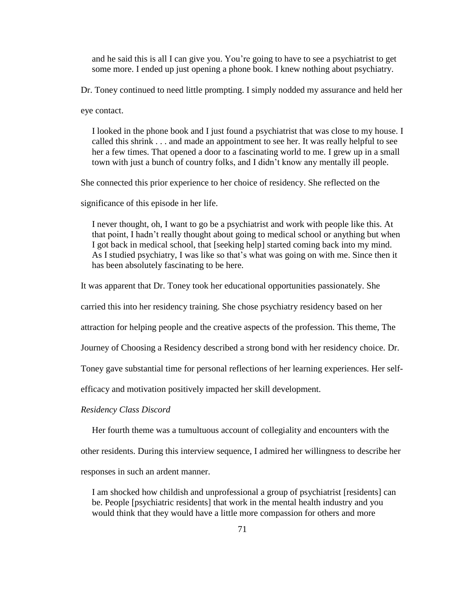and he said this is all I can give you. You"re going to have to see a psychiatrist to get some more. I ended up just opening a phone book. I knew nothing about psychiatry.

Dr. Toney continued to need little prompting. I simply nodded my assurance and held her

eye contact.

 I looked in the phone book and I just found a psychiatrist that was close to my house. I called this shrink . . . and made an appointment to see her. It was really helpful to see her a few times. That opened a door to a fascinating world to me. I grew up in a small town with just a bunch of country folks, and I didn"t know any mentally ill people.

She connected this prior experience to her choice of residency. She reflected on the

significance of this episode in her life.

 I never thought, oh, I want to go be a psychiatrist and work with people like this. At that point, I hadn"t really thought about going to medical school or anything but when I got back in medical school, that [seeking help] started coming back into my mind. As I studied psychiatry, I was like so that's what was going on with me. Since then it has been absolutely fascinating to be here.

It was apparent that Dr. Toney took her educational opportunities passionately. She

carried this into her residency training. She chose psychiatry residency based on her

attraction for helping people and the creative aspects of the profession. This theme, The

Journey of Choosing a Residency described a strong bond with her residency choice. Dr.

Toney gave substantial time for personal reflections of her learning experiences. Her self-

efficacy and motivation positively impacted her skill development.

#### *Residency Class Discord*

Her fourth theme was a tumultuous account of collegiality and encounters with the

other residents. During this interview sequence, I admired her willingness to describe her

responses in such an ardent manner.

 I am shocked how childish and unprofessional a group of psychiatrist [residents] can be. People [psychiatric residents] that work in the mental health industry and you would think that they would have a little more compassion for others and more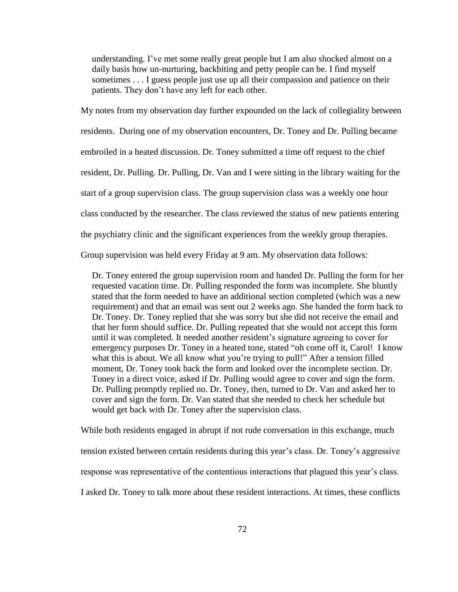understanding. I've met some really great people but I am also shocked almost on a daily basis how un-nurturing, backbiting and petty people can be. I find myself sometimes . . . I guess people just use up all their compassion and patience on their patients. They don't have any left for each other.

My notes from my observation day further expounded on the lack of collegiality between residents. During one of my observation encounters, Dr. Toney and Dr. Pulling became embroiled in a heated discussion. Dr. Toney submitted a time off request to the chief resident, Dr. Pulling. Dr. Pulling, Dr. Van and I were sitting in the library waiting for the start of a group supervision class. The group supervision class was a weekly one hour class conducted by the researcher. The class reviewed the status of new patients entering the psychiatry clinic and the significant experiences from the weekly group therapies.

Group supervision was held every Friday at 9 am. My observation data follows:

 Dr. Toney entered the group supervision room and handed Dr. Pulling the form for her requested vacation time. Dr. Pulling responded the form was incomplete. She bluntly stated that the form needed to have an additional section completed (which was a new requirement) and that an email was sent out 2 weeks ago. She handed the form back to Dr. Toney. Dr. Toney replied that she was sorry but she did not receive the email and that her form should suffice. Dr. Pulling repeated that she would not accept this form until it was completed. It needed another resident's signature agreeing to cover for emergency purposes Dr. Toney in a heated tone, stated "oh come off it, Carol! I know what this is about. We all know what you're trying to pull!" After a tension filled moment, Dr. Toney took back the form and looked over the incomplete section. Dr. Toney in a direct voice, asked if Dr. Pulling would agree to cover and sign the form. Dr. Pulling promptly replied no. Dr. Toney, then, turned to Dr. Van and asked her to cover and sign the form. Dr. Van stated that she needed to check her schedule but would get back with Dr. Toney after the supervision class.

While both residents engaged in abrupt if not rude conversation in this exchange, much tension existed between certain residents during this year"s class. Dr. Toney"s aggressive response was representative of the contentious interactions that plagued this year"s class. I asked Dr. Toney to talk more about these resident interactions. At times, these conflicts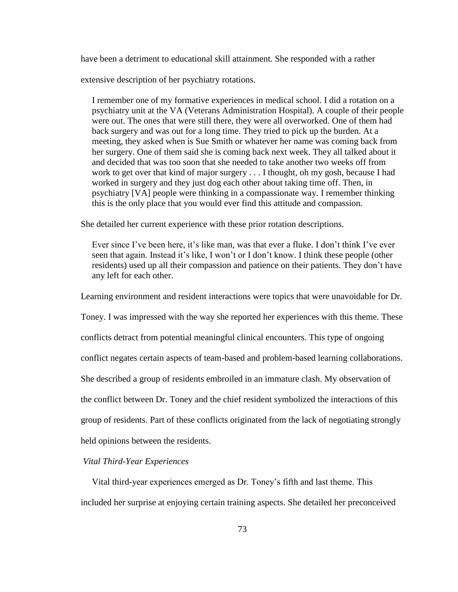have been a detriment to educational skill attainment. She responded with a rather

extensive description of her psychiatry rotations.

 I remember one of my formative experiences in medical school. I did a rotation on a psychiatry unit at the VA (Veterans Administration Hospital). A couple of their people were out. The ones that were still there, they were all overworked. One of them had back surgery and was out for a long time. They tried to pick up the burden. At a meeting, they asked when is Sue Smith or whatever her name was coming back from her surgery. One of them said she is coming back next week. They all talked about it and decided that was too soon that she needed to take another two weeks off from work to get over that kind of major surgery . . . I thought, oh my gosh, because I had worked in surgery and they just dog each other about taking time off. Then, in psychiatry [VA] people were thinking in a compassionate way. I remember thinking this is the only place that you would ever find this attitude and compassion.

She detailed her current experience with these prior rotation descriptions.

Ever since I've been here, it's like man, was that ever a fluke. I don't think I've ever seen that again. Instead it's like, I won't or I don't know. I think these people (other residents) used up all their compassion and patience on their patients. They don"t have any left for each other.

Learning environment and resident interactions were topics that were unavoidable for Dr.

Toney. I was impressed with the way she reported her experiences with this theme. These

conflicts detract from potential meaningful clinical encounters. This type of ongoing

conflict negates certain aspects of team-based and problem-based learning collaborations.

She described a group of residents embroiled in an immature clash. My observation of

the conflict between Dr. Toney and the chief resident symbolized the interactions of this

group of residents. Part of these conflicts originated from the lack of negotiating strongly

held opinions between the residents.

# *Vital Third-Year Experiences*

Vital third-year experiences emerged as Dr. Toney"s fifth and last theme. This

included her surprise at enjoying certain training aspects. She detailed her preconceived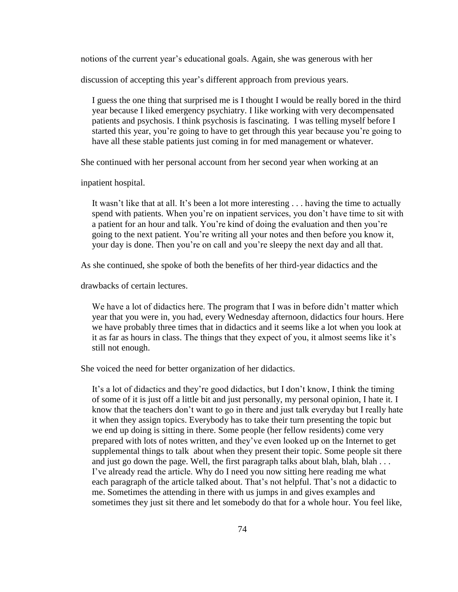notions of the current year"s educational goals. Again, she was generous with her

discussion of accepting this year's different approach from previous years.

 I guess the one thing that surprised me is I thought I would be really bored in the third year because I liked emergency psychiatry. I like working with very decompensated patients and psychosis. I think psychosis is fascinating. I was telling myself before I started this year, you"re going to have to get through this year because you"re going to have all these stable patients just coming in for med management or whatever.

She continued with her personal account from her second year when working at an

inpatient hospital.

It wasn't like that at all. It's been a lot more interesting . . . having the time to actually spend with patients. When you're on inpatient services, you don't have time to sit with a patient for an hour and talk. You"re kind of doing the evaluation and then you"re going to the next patient. You"re writing all your notes and then before you know it, your day is done. Then you"re on call and you"re sleepy the next day and all that.

As she continued, she spoke of both the benefits of her third-year didactics and the

drawbacks of certain lectures.

We have a lot of didactics here. The program that I was in before didn't matter which year that you were in, you had, every Wednesday afternoon, didactics four hours. Here we have probably three times that in didactics and it seems like a lot when you look at it as far as hours in class. The things that they expect of you, it almost seems like it"s still not enough.

She voiced the need for better organization of her didactics.

 It"s a lot of didactics and they"re good didactics, but I don"t know, I think the timing of some of it is just off a little bit and just personally, my personal opinion, I hate it. I know that the teachers don"t want to go in there and just talk everyday but I really hate it when they assign topics. Everybody has to take their turn presenting the topic but we end up doing is sitting in there. Some people (her fellow residents) come very prepared with lots of notes written, and they"ve even looked up on the Internet to get supplemental things to talk about when they present their topic. Some people sit there and just go down the page. Well, the first paragraph talks about blah, blah, blah . . . I"ve already read the article. Why do I need you now sitting here reading me what each paragraph of the article talked about. That's not helpful. That's not a didactic to me. Sometimes the attending in there with us jumps in and gives examples and sometimes they just sit there and let somebody do that for a whole hour. You feel like,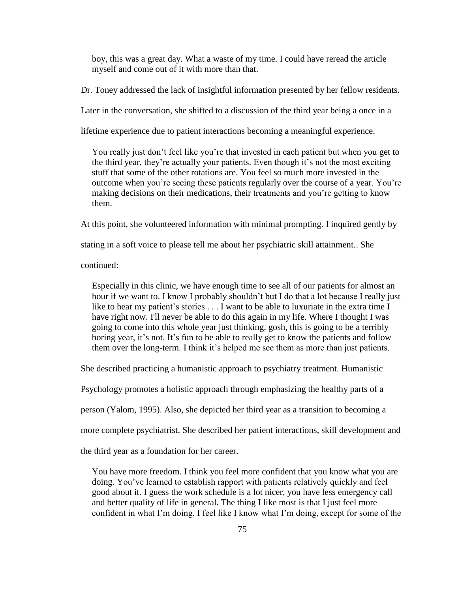boy, this was a great day. What a waste of my time. I could have reread the article myself and come out of it with more than that.

Dr. Toney addressed the lack of insightful information presented by her fellow residents.

Later in the conversation, she shifted to a discussion of the third year being a once in a

lifetime experience due to patient interactions becoming a meaningful experience.

 You really just don"t feel like you"re that invested in each patient but when you get to the third year, they're actually your patients. Even though it's not the most exciting stuff that some of the other rotations are. You feel so much more invested in the outcome when you"re seeing these patients regularly over the course of a year. You"re making decisions on their medications, their treatments and you"re getting to know them.

At this point, she volunteered information with minimal prompting. I inquired gently by

stating in a soft voice to please tell me about her psychiatric skill attainment.. She

continued:

 Especially in this clinic, we have enough time to see all of our patients for almost an hour if we want to. I know I probably shouldn't but I do that a lot because I really just like to hear my patient's stories . . . I want to be able to luxuriate in the extra time I have right now. I'll never be able to do this again in my life. Where I thought I was going to come into this whole year just thinking, gosh, this is going to be a terribly boring year, it's not. It's fun to be able to really get to know the patients and follow them over the long-term. I think it"s helped me see them as more than just patients.

She described practicing a humanistic approach to psychiatry treatment. Humanistic

Psychology promotes a holistic approach through emphasizing the healthy parts of a

person (Yalom, 1995). Also, she depicted her third year as a transition to becoming a

more complete psychiatrist. She described her patient interactions, skill development and

the third year as a foundation for her career.

 You have more freedom. I think you feel more confident that you know what you are doing. You"ve learned to establish rapport with patients relatively quickly and feel good about it. I guess the work schedule is a lot nicer, you have less emergency call and better quality of life in general. The thing I like most is that I just feel more confident in what I"m doing. I feel like I know what I"m doing, except for some of the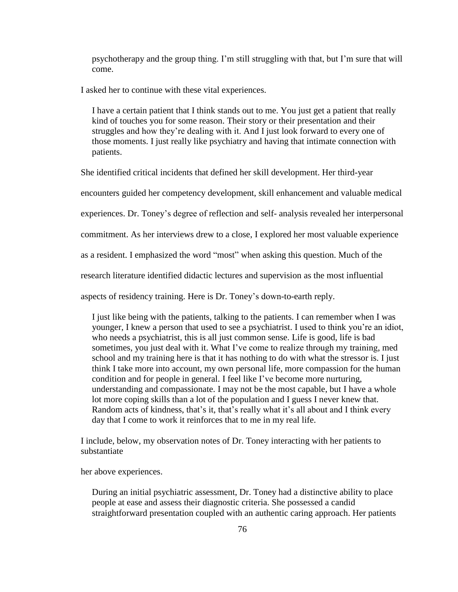psychotherapy and the group thing. I"m still struggling with that, but I"m sure that will come.

I asked her to continue with these vital experiences.

 I have a certain patient that I think stands out to me. You just get a patient that really kind of touches you for some reason. Their story or their presentation and their struggles and how they"re dealing with it. And I just look forward to every one of those moments. I just really like psychiatry and having that intimate connection with patients.

She identified critical incidents that defined her skill development. Her third-year

encounters guided her competency development, skill enhancement and valuable medical

experiences. Dr. Toney"s degree of reflection and self- analysis revealed her interpersonal

commitment. As her interviews drew to a close, I explored her most valuable experience

as a resident. I emphasized the word "most" when asking this question. Much of the

research literature identified didactic lectures and supervision as the most influential

aspects of residency training. Here is Dr. Toney"s down-to-earth reply.

 I just like being with the patients, talking to the patients. I can remember when I was younger, I knew a person that used to see a psychiatrist. I used to think you"re an idiot, who needs a psychiatrist, this is all just common sense. Life is good, life is bad sometimes, you just deal with it. What I"ve come to realize through my training, med school and my training here is that it has nothing to do with what the stressor is. I just think I take more into account, my own personal life, more compassion for the human condition and for people in general. I feel like I"ve become more nurturing, understanding and compassionate. I may not be the most capable, but I have a whole lot more coping skills than a lot of the population and I guess I never knew that. Random acts of kindness, that's it, that's really what it's all about and I think every day that I come to work it reinforces that to me in my real life.

I include, below, my observation notes of Dr. Toney interacting with her patients to substantiate

her above experiences.

 During an initial psychiatric assessment, Dr. Toney had a distinctive ability to place people at ease and assess their diagnostic criteria. She possessed a candid straightforward presentation coupled with an authentic caring approach. Her patients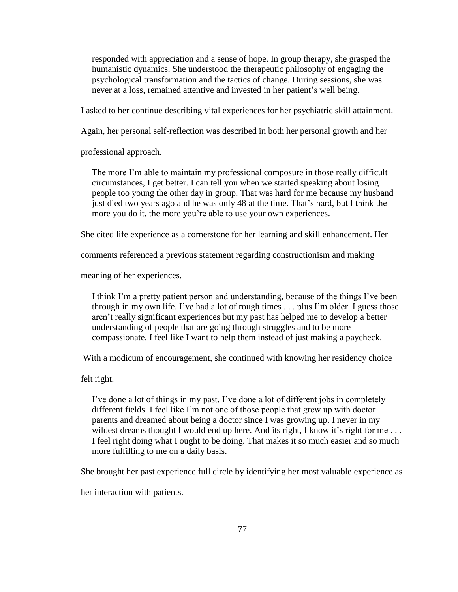responded with appreciation and a sense of hope. In group therapy, she grasped the humanistic dynamics. She understood the therapeutic philosophy of engaging the psychological transformation and the tactics of change. During sessions, she was never at a loss, remained attentive and invested in her patient's well being.

I asked to her continue describing vital experiences for her psychiatric skill attainment.

Again, her personal self-reflection was described in both her personal growth and her

professional approach.

The more I'm able to maintain my professional composure in those really difficult circumstances, I get better. I can tell you when we started speaking about losing people too young the other day in group. That was hard for me because my husband just died two years ago and he was only 48 at the time. That"s hard, but I think the more you do it, the more you"re able to use your own experiences.

She cited life experience as a cornerstone for her learning and skill enhancement. Her

comments referenced a previous statement regarding constructionism and making

meaning of her experiences.

 I think I"m a pretty patient person and understanding, because of the things I"ve been through in my own life. I've had a lot of rough times  $\ldots$  plus I'm older. I guess those aren"t really significant experiences but my past has helped me to develop a better understanding of people that are going through struggles and to be more compassionate. I feel like I want to help them instead of just making a paycheck.

With a modicum of encouragement, she continued with knowing her residency choice

felt right.

 I"ve done a lot of things in my past. I"ve done a lot of different jobs in completely different fields. I feel like I"m not one of those people that grew up with doctor parents and dreamed about being a doctor since I was growing up. I never in my wildest dreams thought I would end up here. And its right, I know it's right for me... I feel right doing what I ought to be doing. That makes it so much easier and so much more fulfilling to me on a daily basis.

She brought her past experience full circle by identifying her most valuable experience as

her interaction with patients.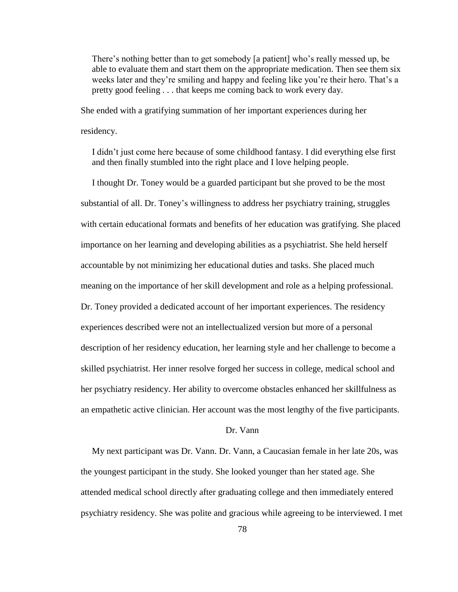There's nothing better than to get somebody [a patient] who's really messed up, be able to evaluate them and start them on the appropriate medication. Then see them six weeks later and they"re smiling and happy and feeling like you"re their hero. That"s a pretty good feeling . . . that keeps me coming back to work every day.

She ended with a gratifying summation of her important experiences during her

residency.

 I didn"t just come here because of some childhood fantasy. I did everything else first and then finally stumbled into the right place and I love helping people.

 I thought Dr. Toney would be a guarded participant but she proved to be the most substantial of all. Dr. Toney's willingness to address her psychiatry training, struggles with certain educational formats and benefits of her education was gratifying. She placed importance on her learning and developing abilities as a psychiatrist. She held herself accountable by not minimizing her educational duties and tasks. She placed much meaning on the importance of her skill development and role as a helping professional. Dr. Toney provided a dedicated account of her important experiences. The residency experiences described were not an intellectualized version but more of a personal description of her residency education, her learning style and her challenge to become a skilled psychiatrist. Her inner resolve forged her success in college, medical school and her psychiatry residency. Her ability to overcome obstacles enhanced her skillfulness as an empathetic active clinician. Her account was the most lengthy of the five participants.

## Dr. Vann

 My next participant was Dr. Vann. Dr. Vann, a Caucasian female in her late 20s, was the youngest participant in the study. She looked younger than her stated age. She attended medical school directly after graduating college and then immediately entered psychiatry residency. She was polite and gracious while agreeing to be interviewed. I met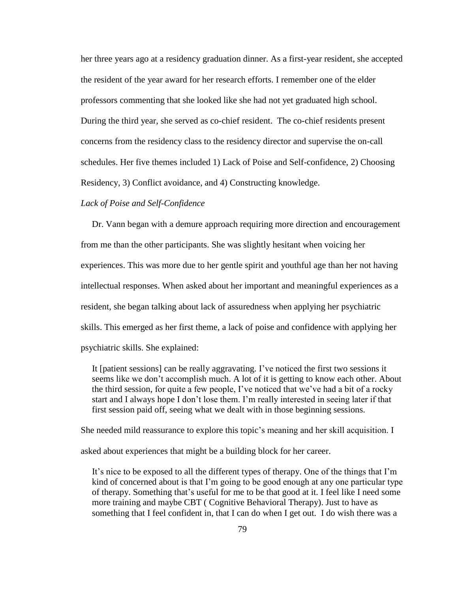her three years ago at a residency graduation dinner. As a first-year resident, she accepted the resident of the year award for her research efforts. I remember one of the elder professors commenting that she looked like she had not yet graduated high school. During the third year, she served as co-chief resident. The co-chief residents present concerns from the residency class to the residency director and supervise the on-call schedules. Her five themes included 1) Lack of Poise and Self-confidence, 2) Choosing Residency, 3) Conflict avoidance, and 4) Constructing knowledge.

# *Lack of Poise and Self-Confidence*

 Dr. Vann began with a demure approach requiring more direction and encouragement from me than the other participants. She was slightly hesitant when voicing her experiences. This was more due to her gentle spirit and youthful age than her not having intellectual responses. When asked about her important and meaningful experiences as a resident, she began talking about lack of assuredness when applying her psychiatric skills. This emerged as her first theme, a lack of poise and confidence with applying her psychiatric skills. She explained:

It [patient sessions] can be really aggravating. I've noticed the first two sessions it seems like we don"t accomplish much. A lot of it is getting to know each other. About the third session, for quite a few people, I"ve noticed that we"ve had a bit of a rocky start and I always hope I don"t lose them. I"m really interested in seeing later if that first session paid off, seeing what we dealt with in those beginning sessions.

She needed mild reassurance to explore this topic's meaning and her skill acquisition. I

asked about experiences that might be a building block for her career.

 It"s nice to be exposed to all the different types of therapy. One of the things that I"m kind of concerned about is that I"m going to be good enough at any one particular type of therapy. Something that"s useful for me to be that good at it. I feel like I need some more training and maybe CBT ( Cognitive Behavioral Therapy). Just to have as something that I feel confident in, that I can do when I get out. I do wish there was a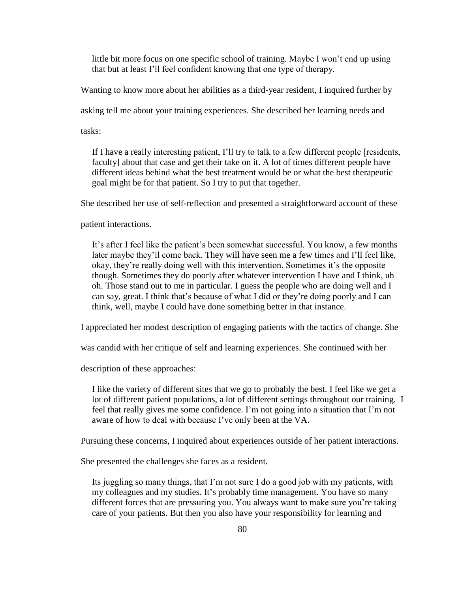little bit more focus on one specific school of training. Maybe I won"t end up using that but at least I"ll feel confident knowing that one type of therapy.

Wanting to know more about her abilities as a third-year resident, I inquired further by

asking tell me about your training experiences. She described her learning needs and

tasks:

 If I have a really interesting patient, I"ll try to talk to a few different people [residents, faculty] about that case and get their take on it. A lot of times different people have different ideas behind what the best treatment would be or what the best therapeutic goal might be for that patient. So I try to put that together.

She described her use of self-reflection and presented a straightforward account of these

patient interactions.

 It"s after I feel like the patient"s been somewhat successful. You know, a few months later maybe they"ll come back. They will have seen me a few times and I"ll feel like, okay, they"re really doing well with this intervention. Sometimes it"s the opposite though. Sometimes they do poorly after whatever intervention I have and I think, uh oh. Those stand out to me in particular. I guess the people who are doing well and I can say, great. I think that"s because of what I did or they"re doing poorly and I can think, well, maybe I could have done something better in that instance.

I appreciated her modest description of engaging patients with the tactics of change. She

was candid with her critique of self and learning experiences. She continued with her

description of these approaches:

 I like the variety of different sites that we go to probably the best. I feel like we get a lot of different patient populations, a lot of different settings throughout our training. I feel that really gives me some confidence. I'm not going into a situation that I'm not aware of how to deal with because I"ve only been at the VA.

Pursuing these concerns, I inquired about experiences outside of her patient interactions.

She presented the challenges she faces as a resident.

 Its juggling so many things, that I"m not sure I do a good job with my patients, with my colleagues and my studies. It's probably time management. You have so many different forces that are pressuring you. You always want to make sure you"re taking care of your patients. But then you also have your responsibility for learning and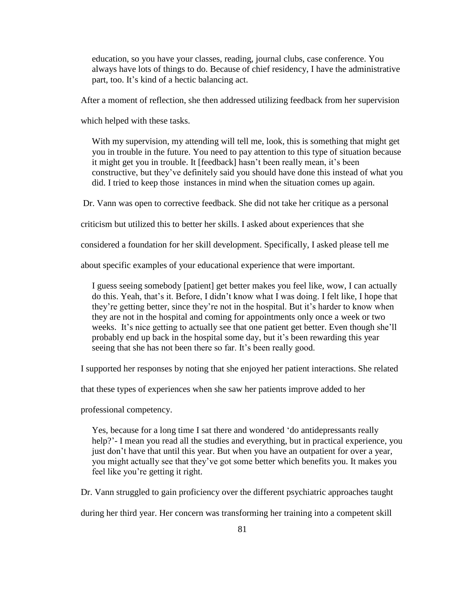education, so you have your classes, reading, journal clubs, case conference. You always have lots of things to do. Because of chief residency, I have the administrative part, too. It's kind of a hectic balancing act.

After a moment of reflection, she then addressed utilizing feedback from her supervision

which helped with these tasks.

 With my supervision, my attending will tell me, look, this is something that might get you in trouble in the future. You need to pay attention to this type of situation because it might get you in trouble. It [feedback] hasn't been really mean, it's been constructive, but they"ve definitely said you should have done this instead of what you did. I tried to keep those instances in mind when the situation comes up again.

Dr. Vann was open to corrective feedback. She did not take her critique as a personal

criticism but utilized this to better her skills. I asked about experiences that she

considered a foundation for her skill development. Specifically, I asked please tell me

about specific examples of your educational experience that were important.

 I guess seeing somebody [patient] get better makes you feel like, wow, I can actually do this. Yeah, that's it. Before, I didn't know what I was doing. I felt like, I hope that they"re getting better, since they"re not in the hospital. But it"s harder to know when they are not in the hospital and coming for appointments only once a week or two weeks. It's nice getting to actually see that one patient get better. Even though she'll probably end up back in the hospital some day, but it"s been rewarding this year seeing that she has not been there so far. It's been really good.

I supported her responses by noting that she enjoyed her patient interactions. She related

that these types of experiences when she saw her patients improve added to her

professional competency.

 Yes, because for a long time I sat there and wondered "do antidepressants really help?'- I mean you read all the studies and everything, but in practical experience, you just don't have that until this year. But when you have an outpatient for over a year, you might actually see that they"ve got some better which benefits you. It makes you feel like you"re getting it right.

Dr. Vann struggled to gain proficiency over the different psychiatric approaches taught

during her third year. Her concern was transforming her training into a competent skill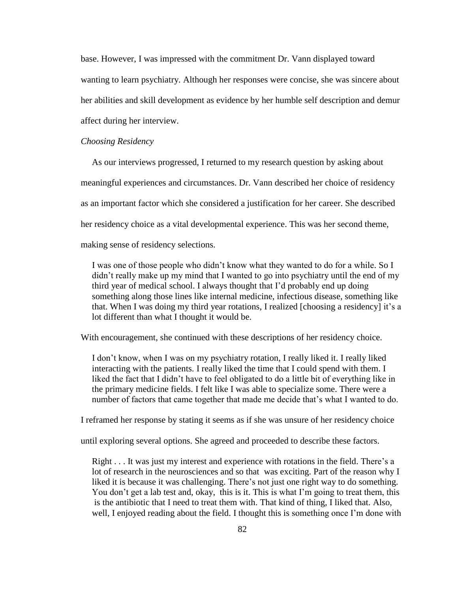base. However, I was impressed with the commitment Dr. Vann displayed toward wanting to learn psychiatry. Although her responses were concise, she was sincere about her abilities and skill development as evidence by her humble self description and demur affect during her interview.

#### *Choosing Residency*

As our interviews progressed, I returned to my research question by asking about

meaningful experiences and circumstances. Dr. Vann described her choice of residency

as an important factor which she considered a justification for her career. She described

her residency choice as a vital developmental experience. This was her second theme,

making sense of residency selections.

 I was one of those people who didn"t know what they wanted to do for a while. So I didn"t really make up my mind that I wanted to go into psychiatry until the end of my third year of medical school. I always thought that I"d probably end up doing something along those lines like internal medicine, infectious disease, something like that. When I was doing my third year rotations, I realized [choosing a residency] it's a lot different than what I thought it would be.

With encouragement, she continued with these descriptions of her residency choice.

 I don"t know, when I was on my psychiatry rotation, I really liked it. I really liked interacting with the patients. I really liked the time that I could spend with them. I liked the fact that I didn't have to feel obligated to do a little bit of everything like in the primary medicine fields. I felt like I was able to specialize some. There were a number of factors that came together that made me decide that's what I wanted to do.

I reframed her response by stating it seems as if she was unsure of her residency choice

until exploring several options. She agreed and proceeded to describe these factors.

Right . . . It was just my interest and experience with rotations in the field. There's a lot of research in the neurosciences and so that was exciting. Part of the reason why I liked it is because it was challenging. There"s not just one right way to do something. You don't get a lab test and, okay, this is it. This is what I'm going to treat them, this is the antibiotic that I need to treat them with. That kind of thing, I liked that. Also, well, I enjoyed reading about the field. I thought this is something once I'm done with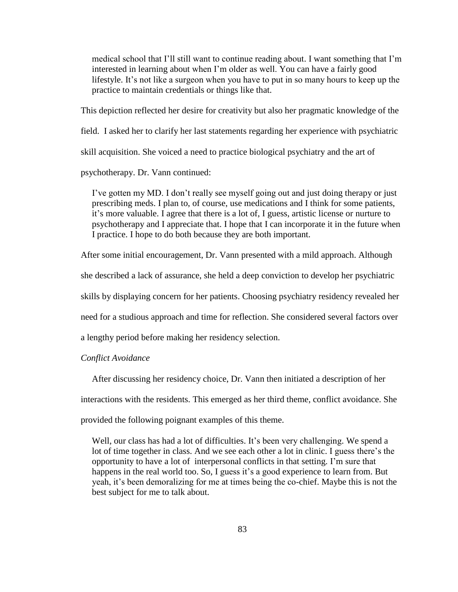medical school that I"ll still want to continue reading about. I want something that I"m interested in learning about when I"m older as well. You can have a fairly good lifestyle. It's not like a surgeon when you have to put in so many hours to keep up the practice to maintain credentials or things like that.

This depiction reflected her desire for creativity but also her pragmatic knowledge of the

field. I asked her to clarify her last statements regarding her experience with psychiatric

skill acquisition. She voiced a need to practice biological psychiatry and the art of

psychotherapy. Dr. Vann continued:

 I"ve gotten my MD. I don"t really see myself going out and just doing therapy or just prescribing meds. I plan to, of course, use medications and I think for some patients, it's more valuable. I agree that there is a lot of, I guess, artistic license or nurture to psychotherapy and I appreciate that. I hope that I can incorporate it in the future when I practice. I hope to do both because they are both important.

After some initial encouragement, Dr. Vann presented with a mild approach. Although

she described a lack of assurance, she held a deep conviction to develop her psychiatric

skills by displaying concern for her patients. Choosing psychiatry residency revealed her

need for a studious approach and time for reflection. She considered several factors over

a lengthy period before making her residency selection.

## *Conflict Avoidance*

After discussing her residency choice, Dr. Vann then initiated a description of her

interactions with the residents. This emerged as her third theme, conflict avoidance. She

provided the following poignant examples of this theme.

Well, our class has had a lot of difficulties. It's been very challenging. We spend a lot of time together in class. And we see each other a lot in clinic. I guess there"s the opportunity to have a lot of interpersonal conflicts in that setting. I"m sure that happens in the real world too. So, I guess it's a good experience to learn from. But yeah, it"s been demoralizing for me at times being the co-chief. Maybe this is not the best subject for me to talk about.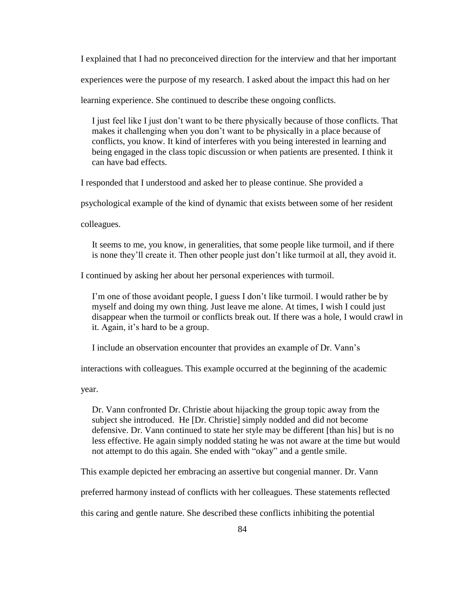I explained that I had no preconceived direction for the interview and that her important

experiences were the purpose of my research. I asked about the impact this had on her

learning experience. She continued to describe these ongoing conflicts.

 I just feel like I just don"t want to be there physically because of those conflicts. That makes it challenging when you don"t want to be physically in a place because of conflicts, you know. It kind of interferes with you being interested in learning and being engaged in the class topic discussion or when patients are presented. I think it can have bad effects.

I responded that I understood and asked her to please continue. She provided a

psychological example of the kind of dynamic that exists between some of her resident

colleagues.

 It seems to me, you know, in generalities, that some people like turmoil, and if there is none they"ll create it. Then other people just don"t like turmoil at all, they avoid it.

I continued by asking her about her personal experiences with turmoil.

 I"m one of those avoidant people, I guess I don"t like turmoil. I would rather be by myself and doing my own thing. Just leave me alone. At times, I wish I could just disappear when the turmoil or conflicts break out. If there was a hole, I would crawl in it. Again, it"s hard to be a group.

I include an observation encounter that provides an example of Dr. Vann"s

interactions with colleagues. This example occurred at the beginning of the academic

year.

 Dr. Vann confronted Dr. Christie about hijacking the group topic away from the subject she introduced. He [Dr. Christie] simply nodded and did not become defensive. Dr. Vann continued to state her style may be different [than his] but is no less effective. He again simply nodded stating he was not aware at the time but would not attempt to do this again. She ended with "okay" and a gentle smile.

This example depicted her embracing an assertive but congenial manner. Dr. Vann

preferred harmony instead of conflicts with her colleagues. These statements reflected

this caring and gentle nature. She described these conflicts inhibiting the potential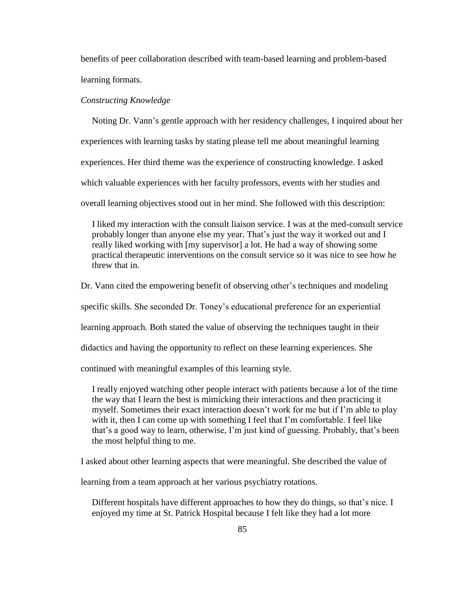benefits of peer collaboration described with team-based learning and problem-based learning formats.

### *Constructing Knowledge*

 Noting Dr. Vann"s gentle approach with her residency challenges, I inquired about her experiences with learning tasks by stating please tell me about meaningful learning experiences. Her third theme was the experience of constructing knowledge. I asked which valuable experiences with her faculty professors, events with her studies and overall learning objectives stood out in her mind. She followed with this description:

 I liked my interaction with the consult liaison service. I was at the med-consult service probably longer than anyone else my year. That"s just the way it worked out and I really liked working with [my supervisor] a lot. He had a way of showing some practical therapeutic interventions on the consult service so it was nice to see how he threw that in.

Dr. Vann cited the empowering benefit of observing other"s techniques and modeling

specific skills. She seconded Dr. Toney's educational preference for an experiential

learning approach. Both stated the value of observing the techniques taught in their

didactics and having the opportunity to reflect on these learning experiences. She

continued with meaningful examples of this learning style.

 I really enjoyed watching other people interact with patients because a lot of the time the way that I learn the best is mimicking their interactions and then practicing it myself. Sometimes their exact interaction doesn"t work for me but if I"m able to play with it, then I can come up with something I feel that I'm comfortable. I feel like that's a good way to learn, otherwise, I'm just kind of guessing. Probably, that's been the most helpful thing to me.

I asked about other learning aspects that were meaningful. She described the value of

learning from a team approach at her various psychiatry rotations.

Different hospitals have different approaches to how they do things, so that's nice. I enjoyed my time at St. Patrick Hospital because I felt like they had a lot more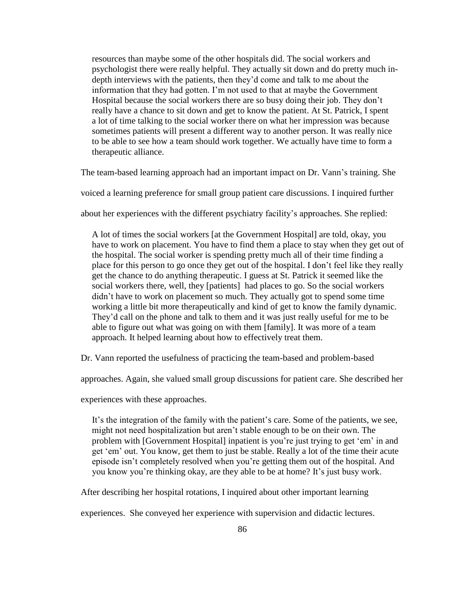resources than maybe some of the other hospitals did. The social workers and psychologist there were really helpful. They actually sit down and do pretty much in depth interviews with the patients, then they"d come and talk to me about the information that they had gotten. I"m not used to that at maybe the Government Hospital because the social workers there are so busy doing their job. They don"t really have a chance to sit down and get to know the patient. At St. Patrick, I spent a lot of time talking to the social worker there on what her impression was because sometimes patients will present a different way to another person. It was really nice to be able to see how a team should work together. We actually have time to form a therapeutic alliance.

The team-based learning approach had an important impact on Dr. Vann"s training. She

voiced a learning preference for small group patient care discussions. I inquired further

about her experiences with the different psychiatry facility's approaches. She replied:

 A lot of times the social workers [at the Government Hospital] are told, okay, you have to work on placement. You have to find them a place to stay when they get out of the hospital. The social worker is spending pretty much all of their time finding a place for this person to go once they get out of the hospital. I don"t feel like they really get the chance to do anything therapeutic. I guess at St. Patrick it seemed like the social workers there, well, they [patients] had places to go. So the social workers didn"t have to work on placement so much. They actually got to spend some time working a little bit more therapeutically and kind of get to know the family dynamic. They"d call on the phone and talk to them and it was just really useful for me to be able to figure out what was going on with them [family]. It was more of a team approach. It helped learning about how to effectively treat them.

Dr. Vann reported the usefulness of practicing the team-based and problem-based

approaches. Again, she valued small group discussions for patient care. She described her

experiences with these approaches.

It's the integration of the family with the patient's care. Some of the patients, we see, might not need hospitalization but aren"t stable enough to be on their own. The problem with [Government Hospital] inpatient is you"re just trying to get "em" in and get "em" out. You know, get them to just be stable. Really a lot of the time their acute episode isn"t completely resolved when you"re getting them out of the hospital. And you know you"re thinking okay, are they able to be at home? It"s just busy work.

After describing her hospital rotations, I inquired about other important learning

experiences. She conveyed her experience with supervision and didactic lectures.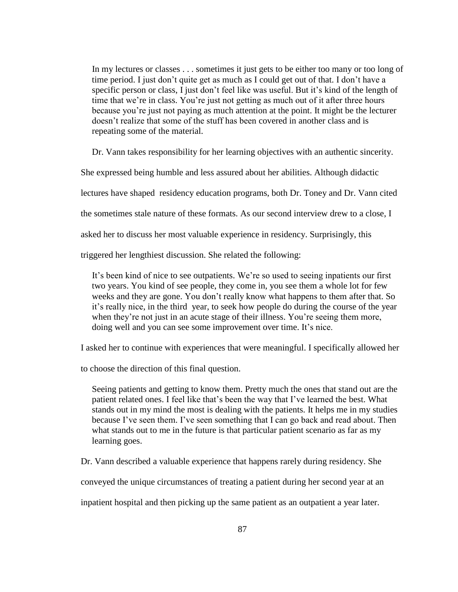In my lectures or classes . . . sometimes it just gets to be either too many or too long of time period. I just don't quite get as much as I could get out of that. I don't have a specific person or class, I just don"t feel like was useful. But it"s kind of the length of time that we're in class. You're just not getting as much out of it after three hours because you"re just not paying as much attention at the point. It might be the lecturer doesn"t realize that some of the stuff has been covered in another class and is repeating some of the material.

Dr. Vann takes responsibility for her learning objectives with an authentic sincerity.

She expressed being humble and less assured about her abilities. Although didactic

lectures have shaped residency education programs, both Dr. Toney and Dr. Vann cited

the sometimes stale nature of these formats. As our second interview drew to a close, I

asked her to discuss her most valuable experience in residency. Surprisingly, this

triggered her lengthiest discussion. She related the following:

 It"s been kind of nice to see outpatients. We"re so used to seeing inpatients our first two years. You kind of see people, they come in, you see them a whole lot for few weeks and they are gone. You don"t really know what happens to them after that. So it's really nice, in the third year, to seek how people do during the course of the year when they're not just in an acute stage of their illness. You're seeing them more, doing well and you can see some improvement over time. It's nice.

I asked her to continue with experiences that were meaningful. I specifically allowed her

to choose the direction of this final question.

 Seeing patients and getting to know them. Pretty much the ones that stand out are the patient related ones. I feel like that"s been the way that I"ve learned the best. What stands out in my mind the most is dealing with the patients. It helps me in my studies because I've seen them. I've seen something that I can go back and read about. Then what stands out to me in the future is that particular patient scenario as far as my learning goes.

Dr. Vann described a valuable experience that happens rarely during residency. She

conveyed the unique circumstances of treating a patient during her second year at an

inpatient hospital and then picking up the same patient as an outpatient a year later.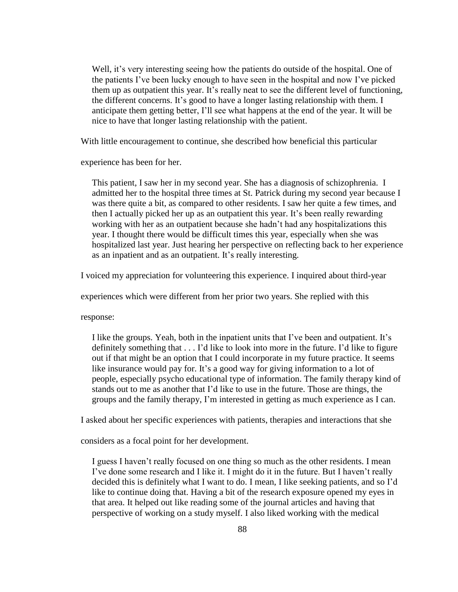Well, it's very interesting seeing how the patients do outside of the hospital. One of the patients I"ve been lucky enough to have seen in the hospital and now I"ve picked them up as outpatient this year. It"s really neat to see the different level of functioning, the different concerns. It's good to have a longer lasting relationship with them. I anticipate them getting better, I"ll see what happens at the end of the year. It will be nice to have that longer lasting relationship with the patient.

With little encouragement to continue, she described how beneficial this particular

experience has been for her.

 This patient, I saw her in my second year. She has a diagnosis of schizophrenia. I admitted her to the hospital three times at St. Patrick during my second year because I was there quite a bit, as compared to other residents. I saw her quite a few times, and then I actually picked her up as an outpatient this year. It"s been really rewarding working with her as an outpatient because she hadn"t had any hospitalizations this year. I thought there would be difficult times this year, especially when she was hospitalized last year. Just hearing her perspective on reflecting back to her experience as an inpatient and as an outpatient. It's really interesting.

I voiced my appreciation for volunteering this experience. I inquired about third-year

experiences which were different from her prior two years. She replied with this

response:

 I like the groups. Yeah, both in the inpatient units that I"ve been and outpatient. It"s definitely something that  $\dots$  I'd like to look into more in the future. I'd like to figure out if that might be an option that I could incorporate in my future practice. It seems like insurance would pay for. It's a good way for giving information to a lot of people, especially psycho educational type of information. The family therapy kind of stands out to me as another that I"d like to use in the future. Those are things, the groups and the family therapy, I"m interested in getting as much experience as I can.

I asked about her specific experiences with patients, therapies and interactions that she

considers as a focal point for her development.

 I guess I haven"t really focused on one thing so much as the other residents. I mean I"ve done some research and I like it. I might do it in the future. But I haven"t really decided this is definitely what I want to do. I mean, I like seeking patients, and so I"d like to continue doing that. Having a bit of the research exposure opened my eyes in that area. It helped out like reading some of the journal articles and having that perspective of working on a study myself. I also liked working with the medical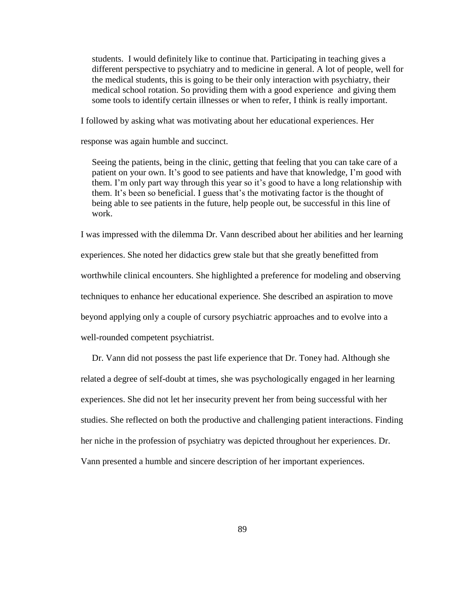students. I would definitely like to continue that. Participating in teaching gives a different perspective to psychiatry and to medicine in general. A lot of people, well for the medical students, this is going to be their only interaction with psychiatry, their medical school rotation. So providing them with a good experience and giving them some tools to identify certain illnesses or when to refer, I think is really important.

I followed by asking what was motivating about her educational experiences. Her

response was again humble and succinct.

 Seeing the patients, being in the clinic, getting that feeling that you can take care of a patient on your own. It's good to see patients and have that knowledge, I'm good with them. I'm only part way through this year so it's good to have a long relationship with them. It's been so beneficial. I guess that's the motivating factor is the thought of being able to see patients in the future, help people out, be successful in this line of work.

I was impressed with the dilemma Dr. Vann described about her abilities and her learning experiences. She noted her didactics grew stale but that she greatly benefitted from worthwhile clinical encounters. She highlighted a preference for modeling and observing techniques to enhance her educational experience. She described an aspiration to move beyond applying only a couple of cursory psychiatric approaches and to evolve into a well-rounded competent psychiatrist.

 Dr. Vann did not possess the past life experience that Dr. Toney had. Although she related a degree of self-doubt at times, she was psychologically engaged in her learning experiences. She did not let her insecurity prevent her from being successful with her studies. She reflected on both the productive and challenging patient interactions. Finding her niche in the profession of psychiatry was depicted throughout her experiences. Dr. Vann presented a humble and sincere description of her important experiences.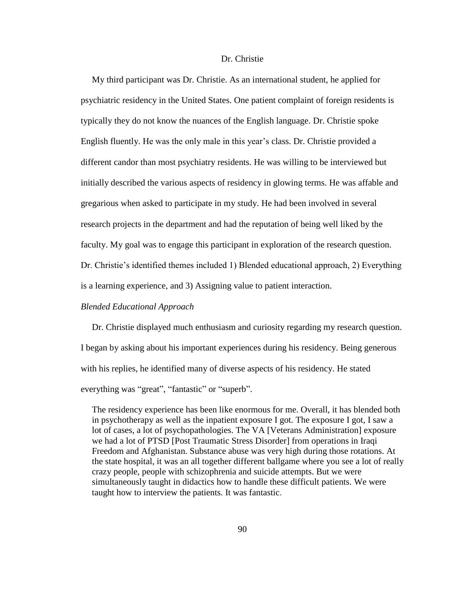## Dr. Christie

 My third participant was Dr. Christie. As an international student, he applied for psychiatric residency in the United States. One patient complaint of foreign residents is typically they do not know the nuances of the English language. Dr. Christie spoke English fluently. He was the only male in this year"s class. Dr. Christie provided a different candor than most psychiatry residents. He was willing to be interviewed but initially described the various aspects of residency in glowing terms. He was affable and gregarious when asked to participate in my study. He had been involved in several research projects in the department and had the reputation of being well liked by the faculty. My goal was to engage this participant in exploration of the research question. Dr. Christie's identified themes included 1) Blended educational approach, 2) Everything is a learning experience, and 3) Assigning value to patient interaction.

## *Blended Educational Approach*

 Dr. Christie displayed much enthusiasm and curiosity regarding my research question. I began by asking about his important experiences during his residency. Being generous with his replies, he identified many of diverse aspects of his residency. He stated everything was "great", "fantastic" or "superb".

 The residency experience has been like enormous for me. Overall, it has blended both in psychotherapy as well as the inpatient exposure I got. The exposure I got, I saw a lot of cases, a lot of psychopathologies. The VA [Veterans Administration] exposure we had a lot of PTSD [Post Traumatic Stress Disorder] from operations in Iraqi Freedom and Afghanistan. Substance abuse was very high during those rotations. At the state hospital, it was an all together different ballgame where you see a lot of really crazy people, people with schizophrenia and suicide attempts. But we were simultaneously taught in didactics how to handle these difficult patients. We were taught how to interview the patients. It was fantastic.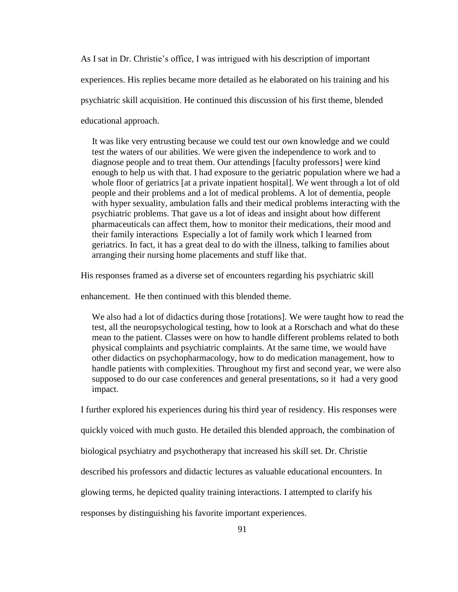As I sat in Dr. Christie"s office, I was intrigued with his description of important experiences. His replies became more detailed as he elaborated on his training and his psychiatric skill acquisition. He continued this discussion of his first theme, blended educational approach.

 It was like very entrusting because we could test our own knowledge and we could test the waters of our abilities. We were given the independence to work and to diagnose people and to treat them. Our attendings [faculty professors] were kind enough to help us with that. I had exposure to the geriatric population where we had a whole floor of geriatrics [at a private inpatient hospital]. We went through a lot of old people and their problems and a lot of medical problems. A lot of dementia, people with hyper sexuality, ambulation falls and their medical problems interacting with the psychiatric problems. That gave us a lot of ideas and insight about how different pharmaceuticals can affect them, how to monitor their medications, their mood and their family interactions Especially a lot of family work which I learned from geriatrics. In fact, it has a great deal to do with the illness, talking to families about arranging their nursing home placements and stuff like that.

His responses framed as a diverse set of encounters regarding his psychiatric skill

enhancement. He then continued with this blended theme.

 We also had a lot of didactics during those [rotations]. We were taught how to read the test, all the neuropsychological testing, how to look at a Rorschach and what do these mean to the patient. Classes were on how to handle different problems related to both physical complaints and psychiatric complaints. At the same time, we would have other didactics on psychopharmacology, how to do medication management, how to handle patients with complexities. Throughout my first and second year, we were also supposed to do our case conferences and general presentations, so it had a very good impact.

I further explored his experiences during his third year of residency. His responses were

quickly voiced with much gusto. He detailed this blended approach, the combination of

biological psychiatry and psychotherapy that increased his skill set. Dr. Christie

described his professors and didactic lectures as valuable educational encounters. In

glowing terms, he depicted quality training interactions. I attempted to clarify his

responses by distinguishing his favorite important experiences.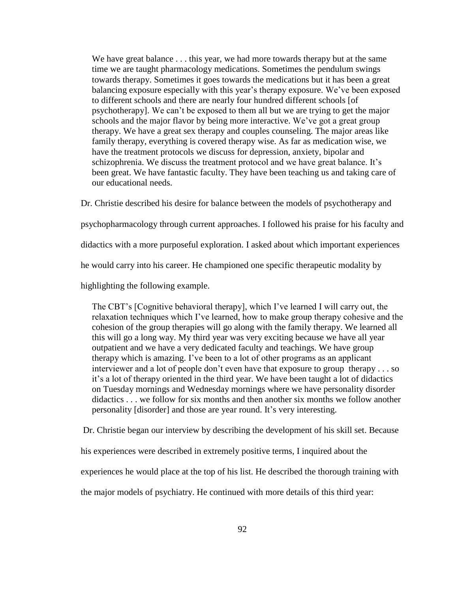We have great balance . . . this year, we had more towards therapy but at the same time we are taught pharmacology medications. Sometimes the pendulum swings towards therapy. Sometimes it goes towards the medications but it has been a great balancing exposure especially with this year's therapy exposure. We've been exposed to different schools and there are nearly four hundred different schools [of psychotherapy]. We can"t be exposed to them all but we are trying to get the major schools and the major flavor by being more interactive. We"ve got a great group therapy. We have a great sex therapy and couples counseling. The major areas like family therapy, everything is covered therapy wise. As far as medication wise, we have the treatment protocols we discuss for depression, anxiety, bipolar and schizophrenia. We discuss the treatment protocol and we have great balance. It's been great. We have fantastic faculty. They have been teaching us and taking care of our educational needs.

Dr. Christie described his desire for balance between the models of psychotherapy and

psychopharmacology through current approaches. I followed his praise for his faculty and

didactics with a more purposeful exploration. I asked about which important experiences

he would carry into his career. He championed one specific therapeutic modality by

highlighting the following example.

 The CBT"s [Cognitive behavioral therapy], which I"ve learned I will carry out, the relaxation techniques which I"ve learned, how to make group therapy cohesive and the cohesion of the group therapies will go along with the family therapy. We learned all this will go a long way. My third year was very exciting because we have all year outpatient and we have a very dedicated faculty and teachings. We have group therapy which is amazing. I"ve been to a lot of other programs as an applicant interviewer and a lot of people don"t even have that exposure to group therapy . . . so it"s a lot of therapy oriented in the third year. We have been taught a lot of didactics on Tuesday mornings and Wednesday mornings where we have personality disorder didactics . . . we follow for six months and then another six months we follow another personality [disorder] and those are year round. It"s very interesting.

Dr. Christie began our interview by describing the development of his skill set. Because

his experiences were described in extremely positive terms, I inquired about the

experiences he would place at the top of his list. He described the thorough training with

the major models of psychiatry. He continued with more details of this third year: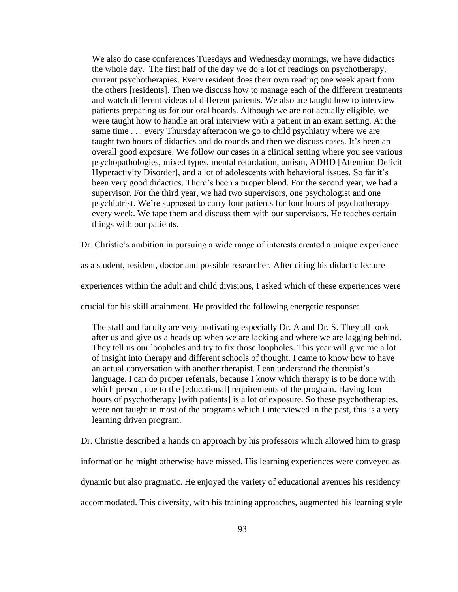We also do case conferences Tuesdays and Wednesday mornings, we have didactics the whole day. The first half of the day we do a lot of readings on psychotherapy, current psychotherapies. Every resident does their own reading one week apart from the others [residents]. Then we discuss how to manage each of the different treatments and watch different videos of different patients. We also are taught how to interview patients preparing us for our oral boards. Although we are not actually eligible, we were taught how to handle an oral interview with a patient in an exam setting. At the same time . . . every Thursday afternoon we go to child psychiatry where we are taught two hours of didactics and do rounds and then we discuss cases. It's been an overall good exposure. We follow our cases in a clinical setting where you see various psychopathologies, mixed types, mental retardation, autism, ADHD [Attention Deficit Hyperactivity Disorder], and a lot of adolescents with behavioral issues. So far it"s been very good didactics. There"s been a proper blend. For the second year, we had a supervisor. For the third year, we had two supervisors, one psychologist and one psychiatrist. We"re supposed to carry four patients for four hours of psychotherapy every week. We tape them and discuss them with our supervisors. He teaches certain things with our patients.

Dr. Christie's ambition in pursuing a wide range of interests created a unique experience

as a student, resident, doctor and possible researcher. After citing his didactic lecture

experiences within the adult and child divisions, I asked which of these experiences were

crucial for his skill attainment. He provided the following energetic response:

 The staff and faculty are very motivating especially Dr. A and Dr. S. They all look after us and give us a heads up when we are lacking and where we are lagging behind. They tell us our loopholes and try to fix those loopholes. This year will give me a lot of insight into therapy and different schools of thought. I came to know how to have an actual conversation with another therapist. I can understand the therapist"s language. I can do proper referrals, because I know which therapy is to be done with which person, due to the [educational] requirements of the program. Having four hours of psychotherapy [with patients] is a lot of exposure. So these psychotherapies, were not taught in most of the programs which I interviewed in the past, this is a very learning driven program.

Dr. Christie described a hands on approach by his professors which allowed him to grasp information he might otherwise have missed. His learning experiences were conveyed as dynamic but also pragmatic. He enjoyed the variety of educational avenues his residency accommodated. This diversity, with his training approaches, augmented his learning style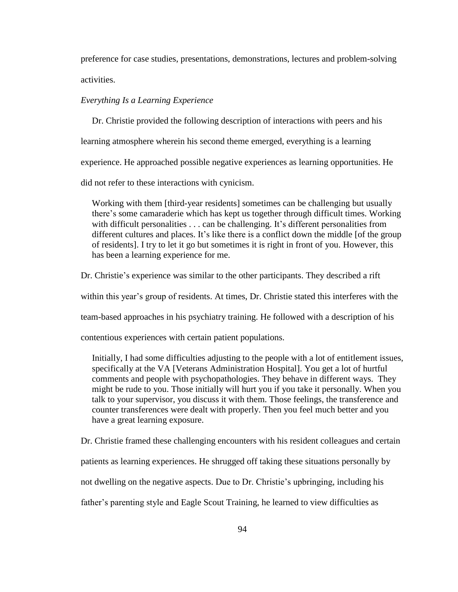preference for case studies, presentations, demonstrations, lectures and problem-solving activities.

## *Everything Is a Learning Experience*

 Dr. Christie provided the following description of interactions with peers and his learning atmosphere wherein his second theme emerged, everything is a learning experience. He approached possible negative experiences as learning opportunities. He did not refer to these interactions with cynicism.

 Working with them [third-year residents] sometimes can be challenging but usually there"s some camaraderie which has kept us together through difficult times. Working with difficult personalities . . . can be challenging. It's different personalities from different cultures and places. It's like there is a conflict down the middle [of the group of residents]. I try to let it go but sometimes it is right in front of you. However, this has been a learning experience for me.

Dr. Christie's experience was similar to the other participants. They described a rift

within this year's group of residents. At times, Dr. Christie stated this interferes with the

team-based approaches in his psychiatry training. He followed with a description of his

contentious experiences with certain patient populations.

 Initially, I had some difficulties adjusting to the people with a lot of entitlement issues, specifically at the VA [Veterans Administration Hospital]. You get a lot of hurtful comments and people with psychopathologies. They behave in different ways. They might be rude to you. Those initially will hurt you if you take it personally. When you talk to your supervisor, you discuss it with them. Those feelings, the transference and counter transferences were dealt with properly. Then you feel much better and you have a great learning exposure.

Dr. Christie framed these challenging encounters with his resident colleagues and certain

patients as learning experiences. He shrugged off taking these situations personally by

not dwelling on the negative aspects. Due to Dr. Christie"s upbringing, including his

father"s parenting style and Eagle Scout Training, he learned to view difficulties as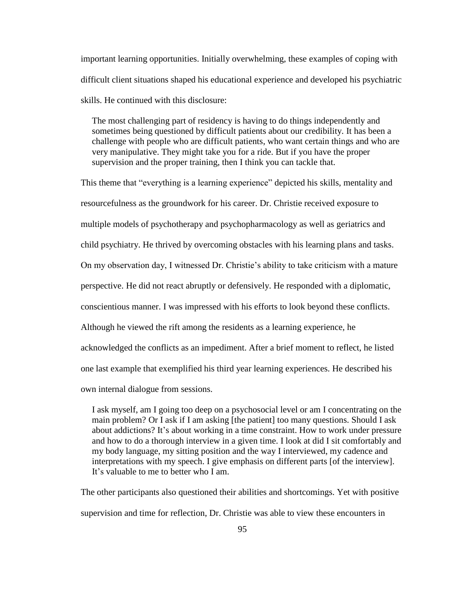important learning opportunities. Initially overwhelming, these examples of coping with difficult client situations shaped his educational experience and developed his psychiatric skills. He continued with this disclosure:

 The most challenging part of residency is having to do things independently and sometimes being questioned by difficult patients about our credibility. It has been a challenge with people who are difficult patients, who want certain things and who are very manipulative. They might take you for a ride. But if you have the proper supervision and the proper training, then I think you can tackle that.

This theme that "everything is a learning experience" depicted his skills, mentality and resourcefulness as the groundwork for his career. Dr. Christie received exposure to multiple models of psychotherapy and psychopharmacology as well as geriatrics and child psychiatry. He thrived by overcoming obstacles with his learning plans and tasks. On my observation day, I witnessed Dr. Christie's ability to take criticism with a mature perspective. He did not react abruptly or defensively. He responded with a diplomatic, conscientious manner. I was impressed with his efforts to look beyond these conflicts. Although he viewed the rift among the residents as a learning experience, he acknowledged the conflicts as an impediment. After a brief moment to reflect, he listed one last example that exemplified his third year learning experiences. He described his own internal dialogue from sessions.

 I ask myself, am I going too deep on a psychosocial level or am I concentrating on the main problem? Or I ask if I am asking [the patient] too many questions. Should I ask about addictions? It's about working in a time constraint. How to work under pressure and how to do a thorough interview in a given time. I look at did I sit comfortably and my body language, my sitting position and the way I interviewed, my cadence and interpretations with my speech. I give emphasis on different parts [of the interview]. It's valuable to me to better who I am.

The other participants also questioned their abilities and shortcomings. Yet with positive supervision and time for reflection, Dr. Christie was able to view these encounters in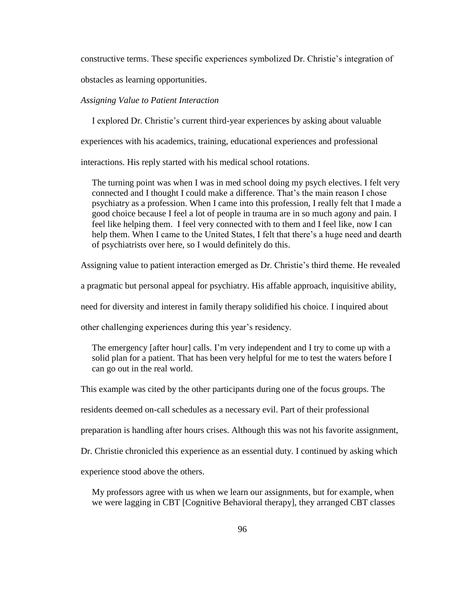constructive terms. These specific experiences symbolized Dr. Christie"s integration of

obstacles as learning opportunities.

### *Assigning Value to Patient Interaction*

I explored Dr. Christie"s current third-year experiences by asking about valuable

experiences with his academics, training, educational experiences and professional

interactions. His reply started with his medical school rotations.

 The turning point was when I was in med school doing my psych electives. I felt very connected and I thought I could make a difference. That"s the main reason I chose psychiatry as a profession. When I came into this profession, I really felt that I made a good choice because I feel a lot of people in trauma are in so much agony and pain. I feel like helping them. I feel very connected with to them and I feel like, now I can help them. When I came to the United States, I felt that there's a huge need and dearth of psychiatrists over here, so I would definitely do this.

Assigning value to patient interaction emerged as Dr. Christie"s third theme. He revealed

a pragmatic but personal appeal for psychiatry. His affable approach, inquisitive ability,

need for diversity and interest in family therapy solidified his choice. I inquired about

other challenging experiences during this year"s residency.

 The emergency [after hour] calls. I"m very independent and I try to come up with a solid plan for a patient. That has been very helpful for me to test the waters before I can go out in the real world.

This example was cited by the other participants during one of the focus groups. The

residents deemed on-call schedules as a necessary evil. Part of their professional

preparation is handling after hours crises. Although this was not his favorite assignment,

Dr. Christie chronicled this experience as an essential duty. I continued by asking which

experience stood above the others.

 My professors agree with us when we learn our assignments, but for example, when we were lagging in CBT [Cognitive Behavioral therapy], they arranged CBT classes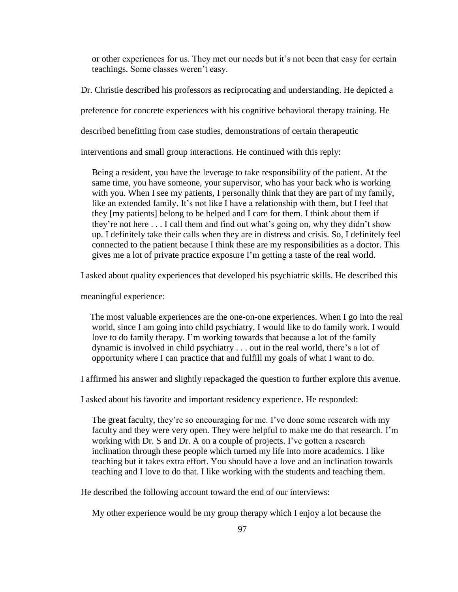or other experiences for us. They met our needs but it"s not been that easy for certain teachings. Some classes weren"t easy.

Dr. Christie described his professors as reciprocating and understanding. He depicted a

preference for concrete experiences with his cognitive behavioral therapy training. He

described benefitting from case studies, demonstrations of certain therapeutic

interventions and small group interactions. He continued with this reply:

 Being a resident, you have the leverage to take responsibility of the patient. At the same time, you have someone, your supervisor, who has your back who is working with you. When I see my patients, I personally think that they are part of my family, like an extended family. It's not like I have a relationship with them, but I feel that they [my patients] belong to be helped and I care for them. I think about them if they're not here  $\dots$  I call them and find out what's going on, why they didn't show up. I definitely take their calls when they are in distress and crisis. So, I definitely feel connected to the patient because I think these are my responsibilities as a doctor. This gives me a lot of private practice exposure I"m getting a taste of the real world.

I asked about quality experiences that developed his psychiatric skills. He described this

meaningful experience:

 The most valuable experiences are the one-on-one experiences. When I go into the real world, since I am going into child psychiatry, I would like to do family work. I would love to do family therapy. I"m working towards that because a lot of the family dynamic is involved in child psychiatry . . . out in the real world, there"s a lot of opportunity where I can practice that and fulfill my goals of what I want to do.

I affirmed his answer and slightly repackaged the question to further explore this avenue.

I asked about his favorite and important residency experience. He responded:

 The great faculty, they"re so encouraging for me. I"ve done some research with my faculty and they were very open. They were helpful to make me do that research. I"m working with Dr. S and Dr. A on a couple of projects. I've gotten a research inclination through these people which turned my life into more academics. I like teaching but it takes extra effort. You should have a love and an inclination towards teaching and I love to do that. I like working with the students and teaching them.

He described the following account toward the end of our interviews:

My other experience would be my group therapy which I enjoy a lot because the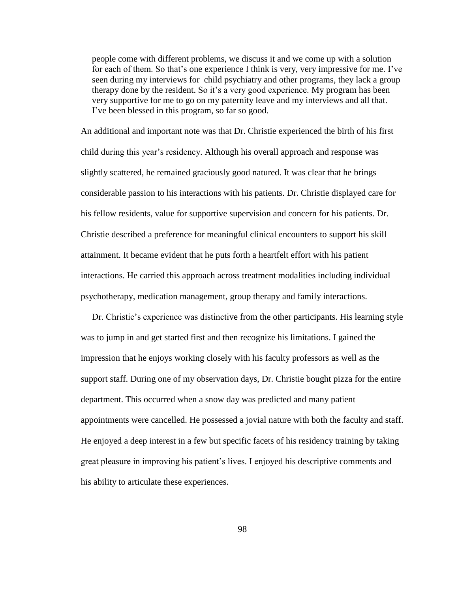people come with different problems, we discuss it and we come up with a solution for each of them. So that's one experience I think is very, very impressive for me. I've seen during my interviews for child psychiatry and other programs, they lack a group therapy done by the resident. So it"s a very good experience. My program has been very supportive for me to go on my paternity leave and my interviews and all that. I"ve been blessed in this program, so far so good.

An additional and important note was that Dr. Christie experienced the birth of his first child during this year"s residency. Although his overall approach and response was slightly scattered, he remained graciously good natured. It was clear that he brings considerable passion to his interactions with his patients. Dr. Christie displayed care for his fellow residents, value for supportive supervision and concern for his patients. Dr. Christie described a preference for meaningful clinical encounters to support his skill attainment. It became evident that he puts forth a heartfelt effort with his patient interactions. He carried this approach across treatment modalities including individual psychotherapy, medication management, group therapy and family interactions.

Dr. Christie's experience was distinctive from the other participants. His learning style was to jump in and get started first and then recognize his limitations. I gained the impression that he enjoys working closely with his faculty professors as well as the support staff. During one of my observation days, Dr. Christie bought pizza for the entire department. This occurred when a snow day was predicted and many patient appointments were cancelled. He possessed a jovial nature with both the faculty and staff. He enjoyed a deep interest in a few but specific facets of his residency training by taking great pleasure in improving his patient's lives. I enjoyed his descriptive comments and his ability to articulate these experiences.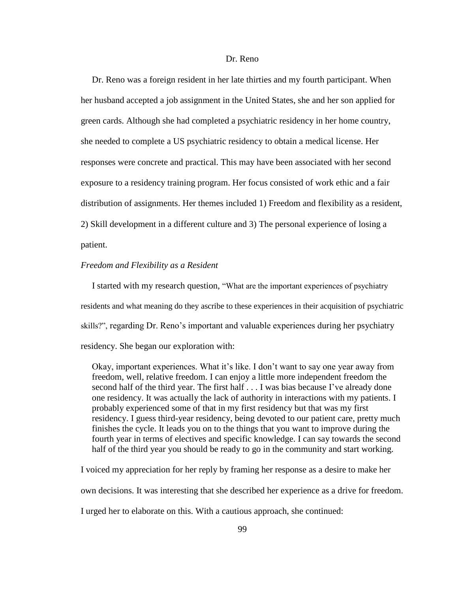### Dr. Reno

 Dr. Reno was a foreign resident in her late thirties and my fourth participant. When her husband accepted a job assignment in the United States, she and her son applied for green cards. Although she had completed a psychiatric residency in her home country, she needed to complete a US psychiatric residency to obtain a medical license. Her responses were concrete and practical. This may have been associated with her second exposure to a residency training program. Her focus consisted of work ethic and a fair distribution of assignments. Her themes included 1) Freedom and flexibility as a resident, 2) Skill development in a different culture and 3) The personal experience of losing a patient.

## *Freedom and Flexibility as a Resident*

 I started with my research question, "What are the important experiences of psychiatry residents and what meaning do they ascribe to these experiences in their acquisition of psychiatric skills?", regarding Dr. Reno"s important and valuable experiences during her psychiatry residency. She began our exploration with:

 Okay, important experiences. What it"s like. I don"t want to say one year away from freedom, well, relative freedom. I can enjoy a little more independent freedom the second half of the third year. The first half . . . I was bias because I"ve already done one residency. It was actually the lack of authority in interactions with my patients. I probably experienced some of that in my first residency but that was my first residency. I guess third-year residency, being devoted to our patient care, pretty much finishes the cycle. It leads you on to the things that you want to improve during the fourth year in terms of electives and specific knowledge. I can say towards the second half of the third year you should be ready to go in the community and start working.

I voiced my appreciation for her reply by framing her response as a desire to make her

own decisions. It was interesting that she described her experience as a drive for freedom.

I urged her to elaborate on this. With a cautious approach, she continued: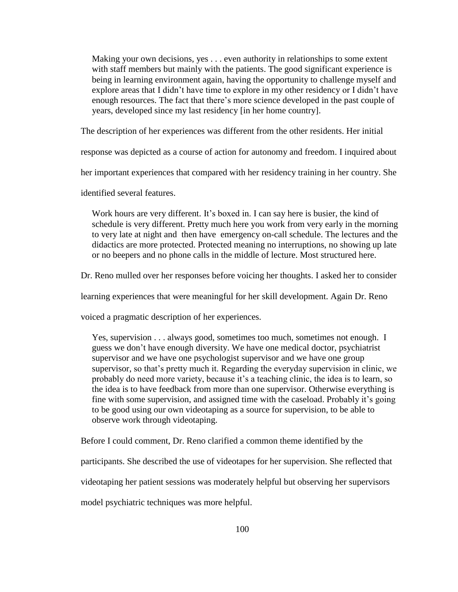Making your own decisions, yes . . . even authority in relationships to some extent with staff members but mainly with the patients. The good significant experience is being in learning environment again, having the opportunity to challenge myself and explore areas that I didn't have time to explore in my other residency or I didn't have enough resources. The fact that there"s more science developed in the past couple of years, developed since my last residency [in her home country].

The description of her experiences was different from the other residents. Her initial

response was depicted as a course of action for autonomy and freedom. I inquired about

her important experiences that compared with her residency training in her country. She

identified several features.

Work hours are very different. It's boxed in. I can say here is busier, the kind of schedule is very different. Pretty much here you work from very early in the morning to very late at night and then have emergency on-call schedule. The lectures and the didactics are more protected. Protected meaning no interruptions, no showing up late or no beepers and no phone calls in the middle of lecture. Most structured here.

Dr. Reno mulled over her responses before voicing her thoughts. I asked her to consider

learning experiences that were meaningful for her skill development. Again Dr. Reno

voiced a pragmatic description of her experiences.

 Yes, supervision . . . always good, sometimes too much, sometimes not enough. I guess we don"t have enough diversity. We have one medical doctor, psychiatrist supervisor and we have one psychologist supervisor and we have one group supervisor, so that's pretty much it. Regarding the everyday supervision in clinic, we probably do need more variety, because it's a teaching clinic, the idea is to learn, so the idea is to have feedback from more than one supervisor. Otherwise everything is fine with some supervision, and assigned time with the caseload. Probably it"s going to be good using our own videotaping as a source for supervision, to be able to observe work through videotaping.

Before I could comment, Dr. Reno clarified a common theme identified by the

participants. She described the use of videotapes for her supervision. She reflected that

videotaping her patient sessions was moderately helpful but observing her supervisors

model psychiatric techniques was more helpful.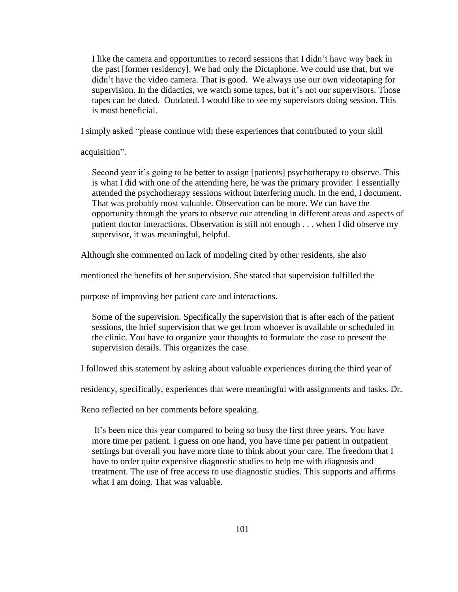I like the camera and opportunities to record sessions that I didn"t have way back in the past [former residency]. We had only the Dictaphone. We could use that, but we didn"t have the video camera. That is good. We always use our own videotaping for supervision. In the didactics, we watch some tapes, but it's not our supervisors. Those tapes can be dated. Outdated. I would like to see my supervisors doing session. This is most beneficial.

I simply asked "please continue with these experiences that contributed to your skill

acquisition".

Second year it's going to be better to assign [patients] psychotherapy to observe. This is what I did with one of the attending here, he was the primary provider. I essentially attended the psychotherapy sessions without interfering much. In the end, I document. That was probably most valuable. Observation can be more. We can have the opportunity through the years to observe our attending in different areas and aspects of patient doctor interactions. Observation is still not enough . . . when I did observe my supervisor, it was meaningful, helpful.

Although she commented on lack of modeling cited by other residents, she also

mentioned the benefits of her supervision. She stated that supervision fulfilled the

purpose of improving her patient care and interactions.

 Some of the supervision. Specifically the supervision that is after each of the patient sessions, the brief supervision that we get from whoever is available or scheduled in the clinic. You have to organize your thoughts to formulate the case to present the supervision details. This organizes the case.

I followed this statement by asking about valuable experiences during the third year of

residency, specifically, experiences that were meaningful with assignments and tasks. Dr.

Reno reflected on her comments before speaking.

 It"s been nice this year compared to being so busy the first three years. You have more time per patient. I guess on one hand, you have time per patient in outpatient settings but overall you have more time to think about your care. The freedom that I have to order quite expensive diagnostic studies to help me with diagnosis and treatment. The use of free access to use diagnostic studies. This supports and affirms what I am doing. That was valuable.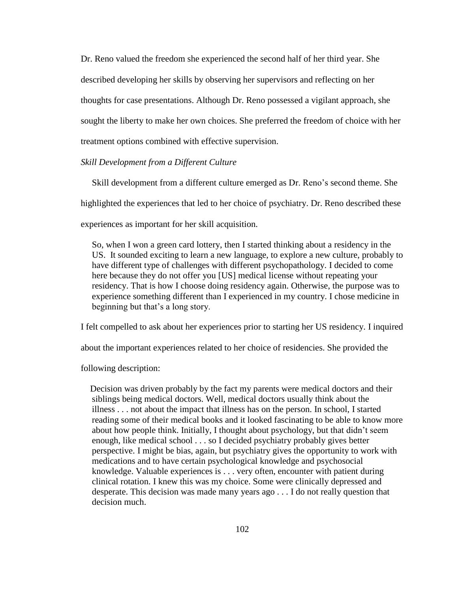Dr. Reno valued the freedom she experienced the second half of her third year. She described developing her skills by observing her supervisors and reflecting on her thoughts for case presentations. Although Dr. Reno possessed a vigilant approach, she sought the liberty to make her own choices. She preferred the freedom of choice with her treatment options combined with effective supervision.

## *Skill Development from a Different Culture*

 Skill development from a different culture emerged as Dr. Reno"s second theme. She highlighted the experiences that led to her choice of psychiatry. Dr. Reno described these experiences as important for her skill acquisition.

 So, when I won a green card lottery, then I started thinking about a residency in the US. It sounded exciting to learn a new language, to explore a new culture, probably to have different type of challenges with different psychopathology. I decided to come here because they do not offer you [US] medical license without repeating your residency. That is how I choose doing residency again. Otherwise, the purpose was to experience something different than I experienced in my country. I chose medicine in beginning but that's a long story.

I felt compelled to ask about her experiences prior to starting her US residency. I inquired

about the important experiences related to her choice of residencies. She provided the

following description:

 Decision was driven probably by the fact my parents were medical doctors and their siblings being medical doctors. Well, medical doctors usually think about the illness . . . not about the impact that illness has on the person. In school, I started reading some of their medical books and it looked fascinating to be able to know more about how people think. Initially, I thought about psychology, but that didn"t seem enough, like medical school . . . so I decided psychiatry probably gives better perspective. I might be bias, again, but psychiatry gives the opportunity to work with medications and to have certain psychological knowledge and psychosocial knowledge. Valuable experiences is . . . very often, encounter with patient during clinical rotation. I knew this was my choice. Some were clinically depressed and desperate. This decision was made many years ago . . . I do not really question that decision much.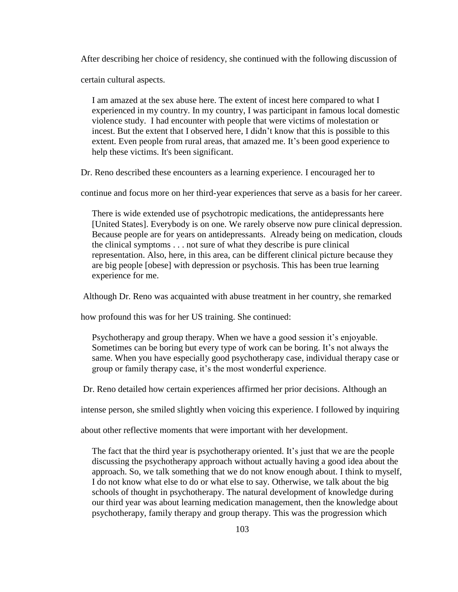After describing her choice of residency, she continued with the following discussion of

certain cultural aspects.

 I am amazed at the sex abuse here. The extent of incest here compared to what I experienced in my country. In my country, I was participant in famous local domestic violence study. I had encounter with people that were victims of molestation or incest. But the extent that I observed here, I didn"t know that this is possible to this extent. Even people from rural areas, that amazed me. It's been good experience to help these victims. It's been significant.

Dr. Reno described these encounters as a learning experience. I encouraged her to

continue and focus more on her third-year experiences that serve as a basis for her career.

 There is wide extended use of psychotropic medications, the antidepressants here [United States]. Everybody is on one. We rarely observe now pure clinical depression. Because people are for years on antidepressants. Already being on medication, clouds the clinical symptoms . . . not sure of what they describe is pure clinical representation. Also, here, in this area, can be different clinical picture because they are big people [obese] with depression or psychosis. This has been true learning experience for me.

Although Dr. Reno was acquainted with abuse treatment in her country, she remarked

how profound this was for her US training. She continued:

Psychotherapy and group therapy. When we have a good session it's enjoyable. Sometimes can be boring but every type of work can be boring. It's not always the same. When you have especially good psychotherapy case, individual therapy case or group or family therapy case, it"s the most wonderful experience.

Dr. Reno detailed how certain experiences affirmed her prior decisions. Although an

intense person, she smiled slightly when voicing this experience. I followed by inquiring

about other reflective moments that were important with her development.

The fact that the third year is psychotherapy oriented. It's just that we are the people discussing the psychotherapy approach without actually having a good idea about the approach. So, we talk something that we do not know enough about. I think to myself, I do not know what else to do or what else to say. Otherwise, we talk about the big schools of thought in psychotherapy. The natural development of knowledge during our third year was about learning medication management, then the knowledge about psychotherapy, family therapy and group therapy. This was the progression which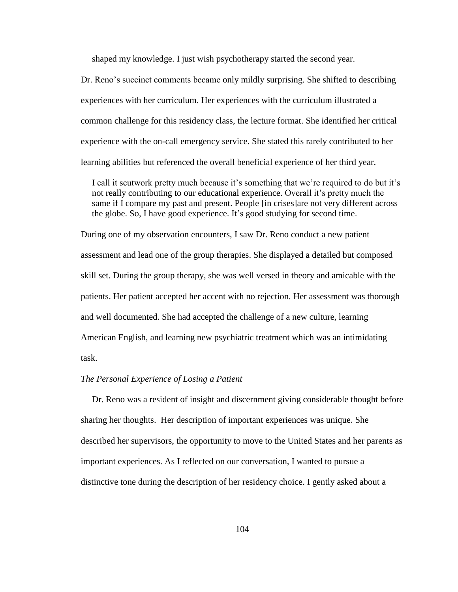shaped my knowledge. I just wish psychotherapy started the second year.

Dr. Reno's succinct comments became only mildly surprising. She shifted to describing experiences with her curriculum. Her experiences with the curriculum illustrated a common challenge for this residency class, the lecture format. She identified her critical experience with the on-call emergency service. She stated this rarely contributed to her learning abilities but referenced the overall beneficial experience of her third year.

I call it scutwork pretty much because it's something that we're required to do but it's not really contributing to our educational experience. Overall it"s pretty much the same if I compare my past and present. People [in crises]are not very different across the globe. So, I have good experience. It's good studying for second time.

During one of my observation encounters, I saw Dr. Reno conduct a new patient assessment and lead one of the group therapies. She displayed a detailed but composed skill set. During the group therapy, she was well versed in theory and amicable with the patients. Her patient accepted her accent with no rejection. Her assessment was thorough and well documented. She had accepted the challenge of a new culture, learning American English, and learning new psychiatric treatment which was an intimidating task.

## *The Personal Experience of Losing a Patient*

 Dr. Reno was a resident of insight and discernment giving considerable thought before sharing her thoughts. Her description of important experiences was unique. She described her supervisors, the opportunity to move to the United States and her parents as important experiences. As I reflected on our conversation, I wanted to pursue a distinctive tone during the description of her residency choice. I gently asked about a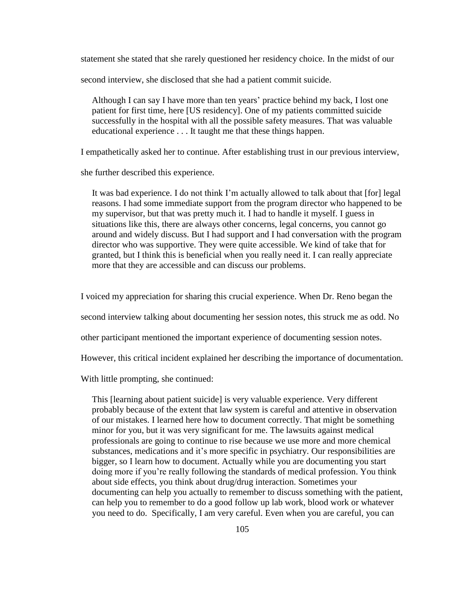statement she stated that she rarely questioned her residency choice. In the midst of our

second interview, she disclosed that she had a patient commit suicide.

 Although I can say I have more than ten years" practice behind my back, I lost one patient for first time, here [US residency]. One of my patients committed suicide successfully in the hospital with all the possible safety measures. That was valuable educational experience . . . It taught me that these things happen.

I empathetically asked her to continue. After establishing trust in our previous interview,

she further described this experience.

 It was bad experience. I do not think I"m actually allowed to talk about that [for] legal reasons. I had some immediate support from the program director who happened to be my supervisor, but that was pretty much it. I had to handle it myself. I guess in situations like this, there are always other concerns, legal concerns, you cannot go around and widely discuss. But I had support and I had conversation with the program director who was supportive. They were quite accessible. We kind of take that for granted, but I think this is beneficial when you really need it. I can really appreciate more that they are accessible and can discuss our problems.

I voiced my appreciation for sharing this crucial experience. When Dr. Reno began the

second interview talking about documenting her session notes, this struck me as odd. No

other participant mentioned the important experience of documenting session notes.

However, this critical incident explained her describing the importance of documentation.

With little prompting, she continued:

 This [learning about patient suicide] is very valuable experience. Very different probably because of the extent that law system is careful and attentive in observation of our mistakes. I learned here how to document correctly. That might be something minor for you, but it was very significant for me. The lawsuits against medical professionals are going to continue to rise because we use more and more chemical substances, medications and it"s more specific in psychiatry. Our responsibilities are bigger, so I learn how to document. Actually while you are documenting you start doing more if you"re really following the standards of medical profession. You think about side effects, you think about drug/drug interaction. Sometimes your documenting can help you actually to remember to discuss something with the patient, can help you to remember to do a good follow up lab work, blood work or whatever you need to do. Specifically, I am very careful. Even when you are careful, you can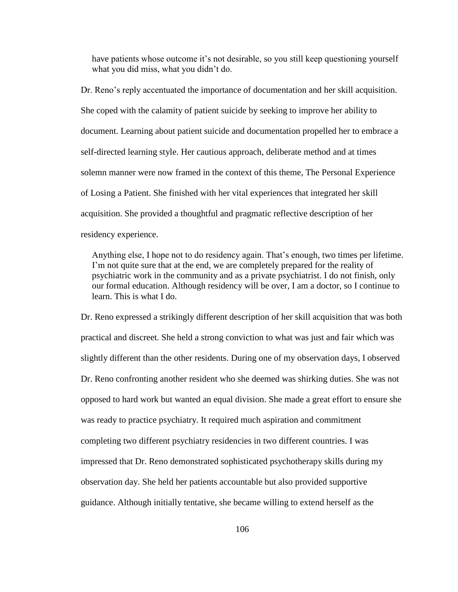have patients whose outcome it's not desirable, so you still keep questioning yourself what you did miss, what you didn't do.

Dr. Reno's reply accentuated the importance of documentation and her skill acquisition. She coped with the calamity of patient suicide by seeking to improve her ability to document. Learning about patient suicide and documentation propelled her to embrace a self-directed learning style. Her cautious approach, deliberate method and at times solemn manner were now framed in the context of this theme, The Personal Experience of Losing a Patient. She finished with her vital experiences that integrated her skill acquisition. She provided a thoughtful and pragmatic reflective description of her residency experience.

 Anything else, I hope not to do residency again. That"s enough, two times per lifetime. I'm not quite sure that at the end, we are completely prepared for the reality of psychiatric work in the community and as a private psychiatrist. I do not finish, only our formal education. Although residency will be over, I am a doctor, so I continue to learn. This is what I do.

Dr. Reno expressed a strikingly different description of her skill acquisition that was both practical and discreet. She held a strong conviction to what was just and fair which was slightly different than the other residents. During one of my observation days, I observed Dr. Reno confronting another resident who she deemed was shirking duties. She was not opposed to hard work but wanted an equal division. She made a great effort to ensure she was ready to practice psychiatry. It required much aspiration and commitment completing two different psychiatry residencies in two different countries. I was impressed that Dr. Reno demonstrated sophisticated psychotherapy skills during my observation day. She held her patients accountable but also provided supportive guidance. Although initially tentative, she became willing to extend herself as the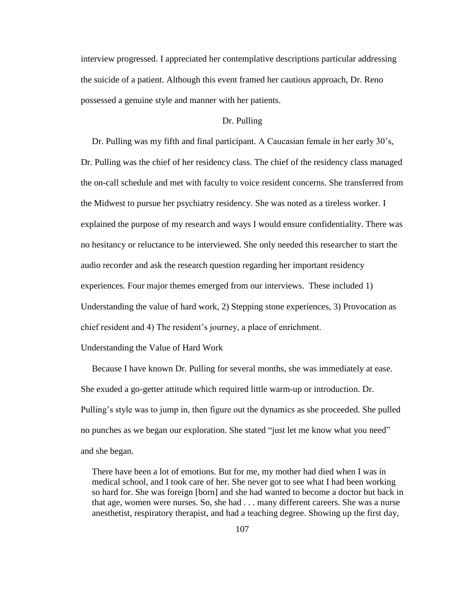interview progressed. I appreciated her contemplative descriptions particular addressing the suicide of a patient. Although this event framed her cautious approach, Dr. Reno possessed a genuine style and manner with her patients.

## Dr. Pulling

 Dr. Pulling was my fifth and final participant. A Caucasian female in her early 30"s, Dr. Pulling was the chief of her residency class. The chief of the residency class managed the on-call schedule and met with faculty to voice resident concerns. She transferred from the Midwest to pursue her psychiatry residency. She was noted as a tireless worker. I explained the purpose of my research and ways I would ensure confidentiality. There was no hesitancy or reluctance to be interviewed. She only needed this researcher to start the audio recorder and ask the research question regarding her important residency experiences. Four major themes emerged from our interviews. These included 1) Understanding the value of hard work, 2) Stepping stone experiences, 3) Provocation as chief resident and 4) The resident's journey, a place of enrichment.

## Understanding the Value of Hard Work

 Because I have known Dr. Pulling for several months, she was immediately at ease. She exuded a go-getter attitude which required little warm-up or introduction. Dr. Pulling's style was to jump in, then figure out the dynamics as she proceeded. She pulled no punches as we began our exploration. She stated "just let me know what you need" and she began.

 There have been a lot of emotions. But for me, my mother had died when I was in medical school, and I took care of her. She never got to see what I had been working so hard for. She was foreign [born] and she had wanted to become a doctor but back in that age, women were nurses. So, she had . . . many different careers. She was a nurse anesthetist, respiratory therapist, and had a teaching degree. Showing up the first day,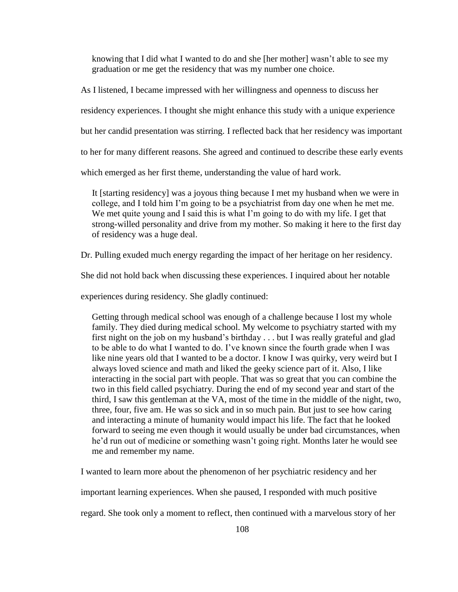knowing that I did what I wanted to do and she [her mother] wasn"t able to see my graduation or me get the residency that was my number one choice.

As I listened, I became impressed with her willingness and openness to discuss her

residency experiences. I thought she might enhance this study with a unique experience

but her candid presentation was stirring. I reflected back that her residency was important

to her for many different reasons. She agreed and continued to describe these early events

which emerged as her first theme, understanding the value of hard work.

 It [starting residency] was a joyous thing because I met my husband when we were in college, and I told him I"m going to be a psychiatrist from day one when he met me. We met quite young and I said this is what I'm going to do with my life. I get that strong-willed personality and drive from my mother. So making it here to the first day of residency was a huge deal.

Dr. Pulling exuded much energy regarding the impact of her heritage on her residency.

She did not hold back when discussing these experiences. I inquired about her notable

experiences during residency. She gladly continued:

 Getting through medical school was enough of a challenge because I lost my whole family. They died during medical school. My welcome to psychiatry started with my first night on the job on my husband"s birthday . . . but I was really grateful and glad to be able to do what I wanted to do. I"ve known since the fourth grade when I was like nine years old that I wanted to be a doctor. I know I was quirky, very weird but I always loved science and math and liked the geeky science part of it. Also, I like interacting in the social part with people. That was so great that you can combine the two in this field called psychiatry. During the end of my second year and start of the third, I saw this gentleman at the VA, most of the time in the middle of the night, two, three, four, five am. He was so sick and in so much pain. But just to see how caring and interacting a minute of humanity would impact his life. The fact that he looked forward to seeing me even though it would usually be under bad circumstances, when he"d run out of medicine or something wasn"t going right. Months later he would see me and remember my name.

I wanted to learn more about the phenomenon of her psychiatric residency and her

important learning experiences. When she paused, I responded with much positive

regard. She took only a moment to reflect, then continued with a marvelous story of her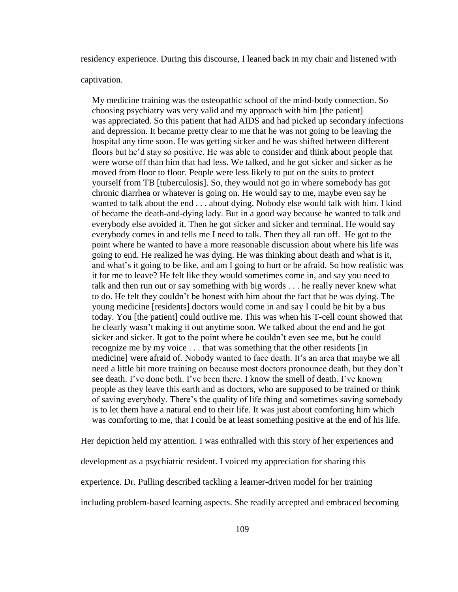residency experience. During this discourse, I leaned back in my chair and listened with

captivation.

 My medicine training was the osteopathic school of the mind-body connection. So choosing psychiatry was very valid and my approach with him [the patient] was appreciated. So this patient that had AIDS and had picked up secondary infections and depression. It became pretty clear to me that he was not going to be leaving the hospital any time soon. He was getting sicker and he was shifted between different floors but he"d stay so positive. He was able to consider and think about people that were worse off than him that had less. We talked, and he got sicker and sicker as he moved from floor to floor. People were less likely to put on the suits to protect yourself from TB [tuberculosis]. So, they would not go in where somebody has got chronic diarrhea or whatever is going on. He would say to me, maybe even say he wanted to talk about the end . . . about dying. Nobody else would talk with him. I kind of became the death-and-dying lady. But in a good way because he wanted to talk and everybody else avoided it. Then he got sicker and sicker and terminal. He would say everybody comes in and tells me I need to talk. Then they all run off. He got to the point where he wanted to have a more reasonable discussion about where his life was going to end. He realized he was dying. He was thinking about death and what is it, and what"s it going to be like, and am I going to hurt or be afraid. So how realistic was it for me to leave? He felt like they would sometimes come in, and say you need to talk and then run out or say something with big words . . . he really never knew what to do. He felt they couldn"t be honest with him about the fact that he was dying. The young medicine [residents] doctors would come in and say I could be hit by a bus today. You [the patient] could outlive me. This was when his T-cell count showed that he clearly wasn"t making it out anytime soon. We talked about the end and he got sicker and sicker. It got to the point where he couldn't even see me, but he could recognize me by my voice . . . that was something that the other residents [in medicine] were afraid of. Nobody wanted to face death. It's an area that maybe we all need a little bit more training on because most doctors pronounce death, but they don"t see death. I've done both. I've been there. I know the smell of death. I've known people as they leave this earth and as doctors, who are supposed to be trained or think of saving everybody. There"s the quality of life thing and sometimes saving somebody is to let them have a natural end to their life. It was just about comforting him which was comforting to me, that I could be at least something positive at the end of his life.

Her depiction held my attention. I was enthralled with this story of her experiences and

development as a psychiatric resident. I voiced my appreciation for sharing this

experience. Dr. Pulling described tackling a learner-driven model for her training

including problem-based learning aspects. She readily accepted and embraced becoming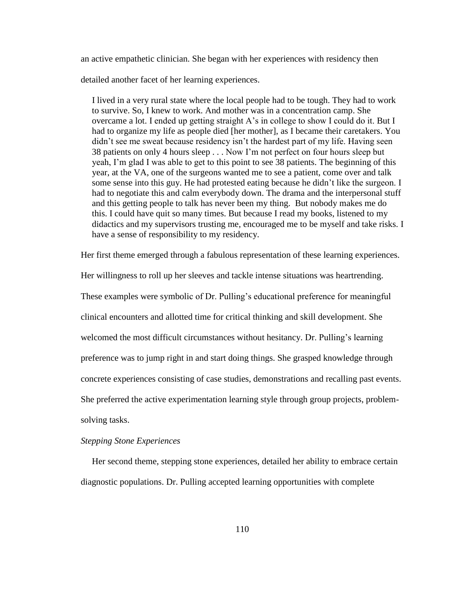an active empathetic clinician. She began with her experiences with residency then

detailed another facet of her learning experiences.

 I lived in a very rural state where the local people had to be tough. They had to work to survive. So, I knew to work. And mother was in a concentration camp. She overcame a lot. I ended up getting straight A"s in college to show I could do it. But I had to organize my life as people died [her mother], as I became their caretakers. You didn't see me sweat because residency isn't the hardest part of my life. Having seen 38 patients on only 4 hours sleep . . . Now I"m not perfect on four hours sleep but yeah, I"m glad I was able to get to this point to see 38 patients. The beginning of this year, at the VA, one of the surgeons wanted me to see a patient, come over and talk some sense into this guy. He had protested eating because he didn"t like the surgeon. I had to negotiate this and calm everybody down. The drama and the interpersonal stuff and this getting people to talk has never been my thing. But nobody makes me do this. I could have quit so many times. But because I read my books, listened to my didactics and my supervisors trusting me, encouraged me to be myself and take risks. I have a sense of responsibility to my residency.

Her first theme emerged through a fabulous representation of these learning experiences.

Her willingness to roll up her sleeves and tackle intense situations was heartrending. These examples were symbolic of Dr. Pulling's educational preference for meaningful clinical encounters and allotted time for critical thinking and skill development. She welcomed the most difficult circumstances without hesitancy. Dr. Pulling"s learning preference was to jump right in and start doing things. She grasped knowledge through concrete experiences consisting of case studies, demonstrations and recalling past events. She preferred the active experimentation learning style through group projects, problemsolving tasks.

## *Stepping Stone Experiences*

 Her second theme, stepping stone experiences, detailed her ability to embrace certain diagnostic populations. Dr. Pulling accepted learning opportunities with complete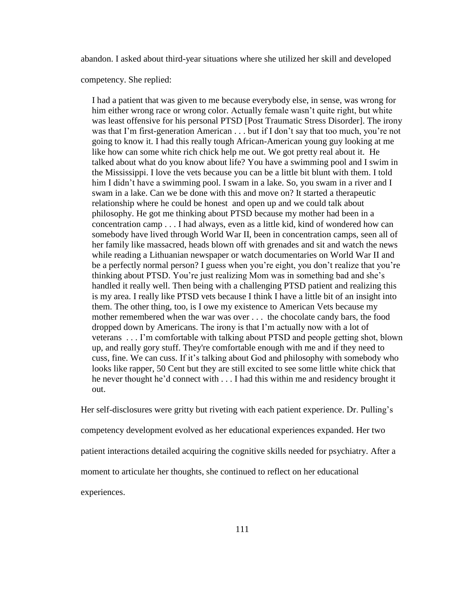abandon. I asked about third-year situations where she utilized her skill and developed

competency. She replied:

 I had a patient that was given to me because everybody else, in sense, was wrong for him either wrong race or wrong color. Actually female wasn"t quite right, but white was least offensive for his personal PTSD [Post Traumatic Stress Disorder]. The irony was that I'm first-generation American . . . but if I don't say that too much, you're not going to know it. I had this really tough African-American young guy looking at me like how can some white rich chick help me out. We got pretty real about it. He talked about what do you know about life? You have a swimming pool and I swim in the Mississippi. I love the vets because you can be a little bit blunt with them. I told him I didn't have a swimming pool. I swam in a lake. So, you swam in a river and I swam in a lake. Can we be done with this and move on? It started a therapeutic relationship where he could be honest and open up and we could talk about philosophy. He got me thinking about PTSD because my mother had been in a concentration camp . . . I had always, even as a little kid, kind of wondered how can somebody have lived through World War II, been in concentration camps, seen all of her family like massacred, heads blown off with grenades and sit and watch the news while reading a Lithuanian newspaper or watch documentaries on World War II and be a perfectly normal person? I guess when you're eight, you don't realize that you're thinking about PTSD. You"re just realizing Mom was in something bad and she"s handled it really well. Then being with a challenging PTSD patient and realizing this is my area. I really like PTSD vets because I think I have a little bit of an insight into them. The other thing, too, is I owe my existence to American Vets because my mother remembered when the war was over . . . the chocolate candy bars, the food dropped down by Americans. The irony is that I"m actually now with a lot of veterans . . . I"m comfortable with talking about PTSD and people getting shot, blown up, and really gory stuff. They're comfortable enough with me and if they need to cuss, fine. We can cuss. If it"s talking about God and philosophy with somebody who looks like rapper, 50 Cent but they are still excited to see some little white chick that he never thought he"d connect with . . . I had this within me and residency brought it out.

Her self-disclosures were gritty but riveting with each patient experience. Dr. Pulling's competency development evolved as her educational experiences expanded. Her two patient interactions detailed acquiring the cognitive skills needed for psychiatry. After a moment to articulate her thoughts, she continued to reflect on her educational experiences.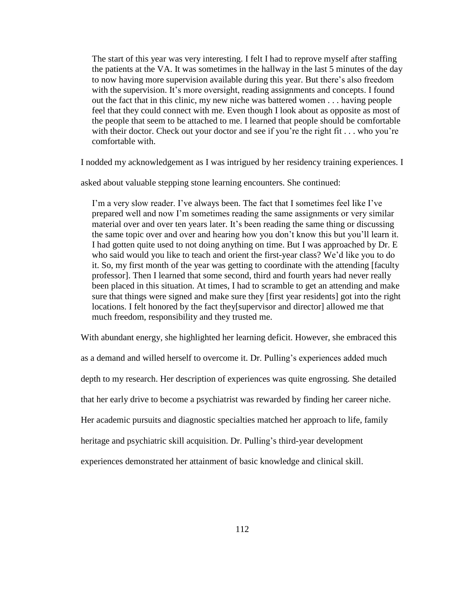The start of this year was very interesting. I felt I had to reprove myself after staffing the patients at the VA. It was sometimes in the hallway in the last 5 minutes of the day to now having more supervision available during this year. But there"s also freedom with the supervision. It's more oversight, reading assignments and concepts. I found out the fact that in this clinic, my new niche was battered women . . . having people feel that they could connect with me. Even though I look about as opposite as most of the people that seem to be attached to me. I learned that people should be comfortable with their doctor. Check out your doctor and see if you're the right fit . . . who you're comfortable with.

I nodded my acknowledgement as I was intrigued by her residency training experiences. I

asked about valuable stepping stone learning encounters. She continued:

I'm a very slow reader. I've always been. The fact that I sometimes feel like I've prepared well and now I"m sometimes reading the same assignments or very similar material over and over ten years later. It's been reading the same thing or discussing the same topic over and over and hearing how you don"t know this but you"ll learn it. I had gotten quite used to not doing anything on time. But I was approached by Dr. E who said would you like to teach and orient the first-year class? We"d like you to do it. So, my first month of the year was getting to coordinate with the attending [faculty professor]. Then I learned that some second, third and fourth years had never really been placed in this situation. At times, I had to scramble to get an attending and make sure that things were signed and make sure they [first year residents] got into the right locations. I felt honored by the fact they[supervisor and director] allowed me that much freedom, responsibility and they trusted me.

With abundant energy, she highlighted her learning deficit. However, she embraced this

as a demand and willed herself to overcome it. Dr. Pulling"s experiences added much

depth to my research. Her description of experiences was quite engrossing. She detailed

that her early drive to become a psychiatrist was rewarded by finding her career niche.

Her academic pursuits and diagnostic specialties matched her approach to life, family

heritage and psychiatric skill acquisition. Dr. Pulling's third-year development

experiences demonstrated her attainment of basic knowledge and clinical skill.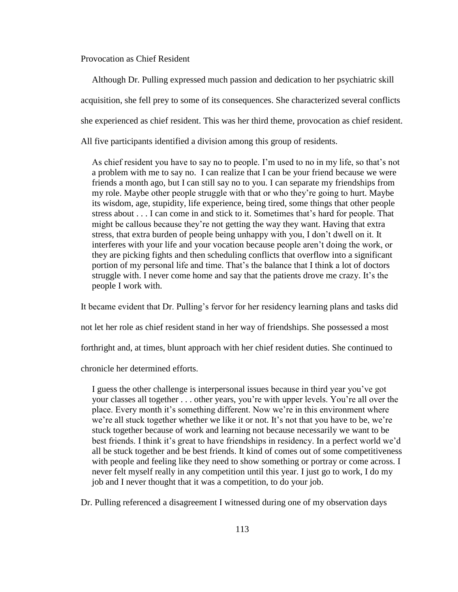Provocation as Chief Resident

 Although Dr. Pulling expressed much passion and dedication to her psychiatric skill acquisition, she fell prey to some of its consequences. She characterized several conflicts she experienced as chief resident. This was her third theme, provocation as chief resident. All five participants identified a division among this group of residents.

 As chief resident you have to say no to people. I"m used to no in my life, so that"s not a problem with me to say no. I can realize that I can be your friend because we were friends a month ago, but I can still say no to you. I can separate my friendships from my role. Maybe other people struggle with that or who they"re going to hurt. Maybe its wisdom, age, stupidity, life experience, being tired, some things that other people stress about . . . I can come in and stick to it. Sometimes that"s hard for people. That might be callous because they"re not getting the way they want. Having that extra stress, that extra burden of people being unhappy with you, I don"t dwell on it. It interferes with your life and your vocation because people aren"t doing the work, or they are picking fights and then scheduling conflicts that overflow into a significant portion of my personal life and time. That"s the balance that I think a lot of doctors struggle with. I never come home and say that the patients drove me crazy. It's the people I work with.

It became evident that Dr. Pulling"s fervor for her residency learning plans and tasks did

not let her role as chief resident stand in her way of friendships. She possessed a most

forthright and, at times, blunt approach with her chief resident duties. She continued to

chronicle her determined efforts.

 I guess the other challenge is interpersonal issues because in third year you"ve got your classes all together . . . other years, you"re with upper levels. You"re all over the place. Every month it's something different. Now we're in this environment where we're all stuck together whether we like it or not. It's not that you have to be, we're stuck together because of work and learning not because necessarily we want to be best friends. I think it"s great to have friendships in residency. In a perfect world we"d all be stuck together and be best friends. It kind of comes out of some competitiveness with people and feeling like they need to show something or portray or come across. I never felt myself really in any competition until this year. I just go to work, I do my job and I never thought that it was a competition, to do your job.

Dr. Pulling referenced a disagreement I witnessed during one of my observation days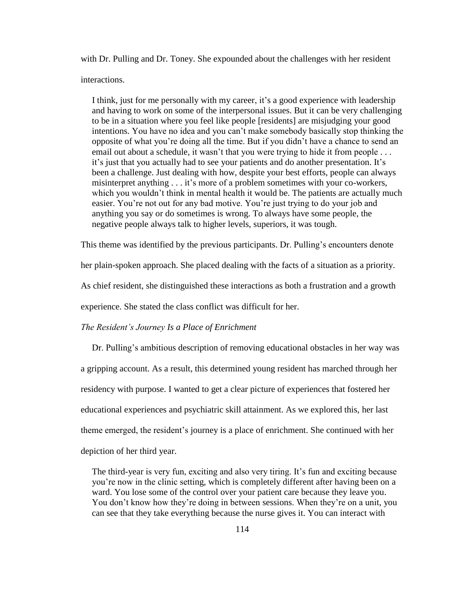with Dr. Pulling and Dr. Toney. She expounded about the challenges with her resident interactions.

I think, just for me personally with my career, it's a good experience with leadership and having to work on some of the interpersonal issues. But it can be very challenging to be in a situation where you feel like people [residents] are misjudging your good intentions. You have no idea and you can"t make somebody basically stop thinking the opposite of what you"re doing all the time. But if you didn"t have a chance to send an email out about a schedule, it wasn't that you were trying to hide it from people . . . it's just that you actually had to see your patients and do another presentation. It's been a challenge. Just dealing with how, despite your best efforts, people can always misinterpret anything . . . it's more of a problem sometimes with your co-workers, which you wouldn't think in mental health it would be. The patients are actually much easier. You"re not out for any bad motive. You"re just trying to do your job and anything you say or do sometimes is wrong. To always have some people, the negative people always talk to higher levels, superiors, it was tough.

This theme was identified by the previous participants. Dr. Pulling"s encounters denote her plain-spoken approach. She placed dealing with the facts of a situation as a priority. As chief resident, she distinguished these interactions as both a frustration and a growth experience. She stated the class conflict was difficult for her.

#### *The Resident's Journey Is a Place of Enrichment*

Dr. Pulling's ambitious description of removing educational obstacles in her way was a gripping account. As a result, this determined young resident has marched through her residency with purpose. I wanted to get a clear picture of experiences that fostered her educational experiences and psychiatric skill attainment. As we explored this, her last theme emerged, the resident"s journey is a place of enrichment. She continued with her depiction of her third year.

 The third-year is very fun, exciting and also very tiring. It"s fun and exciting because you"re now in the clinic setting, which is completely different after having been on a ward. You lose some of the control over your patient care because they leave you. You don't know how they're doing in between sessions. When they're on a unit, you can see that they take everything because the nurse gives it. You can interact with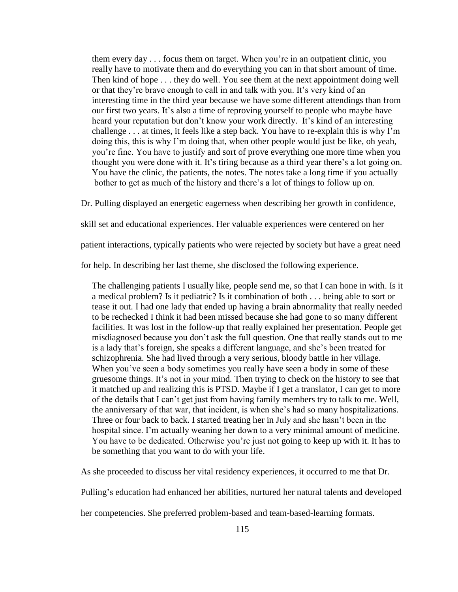them every day . . . focus them on target. When you"re in an outpatient clinic, you really have to motivate them and do everything you can in that short amount of time. Then kind of hope . . . they do well. You see them at the next appointment doing well or that they're brave enough to call in and talk with you. It's very kind of an interesting time in the third year because we have some different attendings than from our first two years. It"s also a time of reproving yourself to people who maybe have heard your reputation but don't know your work directly. It's kind of an interesting challenge . . . at times, it feels like a step back. You have to re-explain this is why I"m doing this, this is why I"m doing that, when other people would just be like, oh yeah, you"re fine. You have to justify and sort of prove everything one more time when you thought you were done with it. It's tiring because as a third year there's a lot going on. You have the clinic, the patients, the notes. The notes take a long time if you actually bother to get as much of the history and there"s a lot of things to follow up on.

Dr. Pulling displayed an energetic eagerness when describing her growth in confidence,

skill set and educational experiences. Her valuable experiences were centered on her

patient interactions, typically patients who were rejected by society but have a great need

for help. In describing her last theme, she disclosed the following experience.

 The challenging patients I usually like, people send me, so that I can hone in with. Is it a medical problem? Is it pediatric? Is it combination of both . . . being able to sort or tease it out. I had one lady that ended up having a brain abnormality that really needed to be rechecked I think it had been missed because she had gone to so many different facilities. It was lost in the follow-up that really explained her presentation. People get misdiagnosed because you don"t ask the full question. One that really stands out to me is a lady that"s foreign, she speaks a different language, and she"s been treated for schizophrenia. She had lived through a very serious, bloody battle in her village. When you've seen a body sometimes you really have seen a body in some of these gruesome things. It's not in your mind. Then trying to check on the history to see that it matched up and realizing this is PTSD. Maybe if I get a translator, I can get to more of the details that I can"t get just from having family members try to talk to me. Well, the anniversary of that war, that incident, is when she"s had so many hospitalizations. Three or four back to back. I started treating her in July and she hasn"t been in the hospital since. I'm actually weaning her down to a very minimal amount of medicine. You have to be dedicated. Otherwise you"re just not going to keep up with it. It has to be something that you want to do with your life.

As she proceeded to discuss her vital residency experiences, it occurred to me that Dr.

Pulling"s education had enhanced her abilities, nurtured her natural talents and developed

her competencies. She preferred problem-based and team-based-learning formats.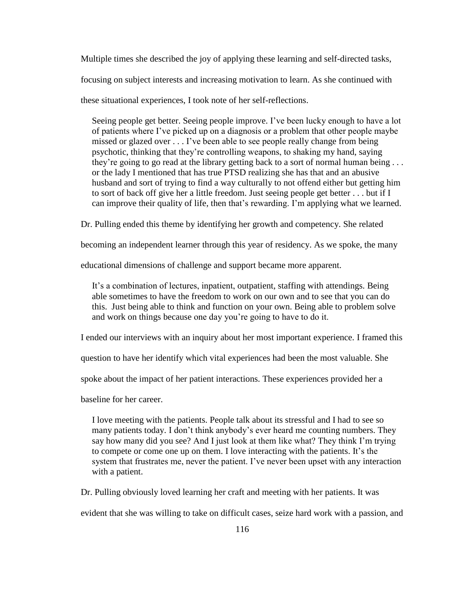Multiple times she described the joy of applying these learning and self-directed tasks,

focusing on subject interests and increasing motivation to learn. As she continued with

these situational experiences, I took note of her self-reflections.

 Seeing people get better. Seeing people improve. I"ve been lucky enough to have a lot of patients where I"ve picked up on a diagnosis or a problem that other people maybe missed or glazed over . . . I"ve been able to see people really change from being psychotic, thinking that they"re controlling weapons, to shaking my hand, saying they're going to go read at the library getting back to a sort of normal human being ... or the lady I mentioned that has true PTSD realizing she has that and an abusive husband and sort of trying to find a way culturally to not offend either but getting him to sort of back off give her a little freedom. Just seeing people get better . . . but if I can improve their quality of life, then that"s rewarding. I"m applying what we learned.

Dr. Pulling ended this theme by identifying her growth and competency. She related

becoming an independent learner through this year of residency. As we spoke, the many

educational dimensions of challenge and support became more apparent.

 It"s a combination of lectures, inpatient, outpatient, staffing with attendings. Being able sometimes to have the freedom to work on our own and to see that you can do this. Just being able to think and function on your own. Being able to problem solve and work on things because one day you"re going to have to do it.

I ended our interviews with an inquiry about her most important experience. I framed this

question to have her identify which vital experiences had been the most valuable. She

spoke about the impact of her patient interactions. These experiences provided her a

baseline for her career.

 I love meeting with the patients. People talk about its stressful and I had to see so many patients today. I don"t think anybody"s ever heard me counting numbers. They say how many did you see? And I just look at them like what? They think I"m trying to compete or come one up on them. I love interacting with the patients. It's the system that frustrates me, never the patient. I've never been upset with any interaction with a patient.

Dr. Pulling obviously loved learning her craft and meeting with her patients. It was

evident that she was willing to take on difficult cases, seize hard work with a passion, and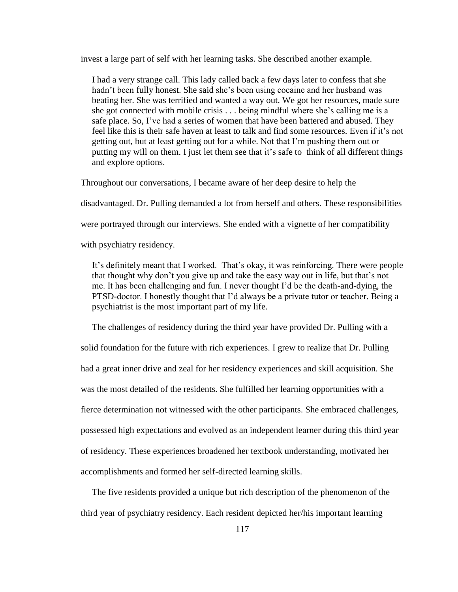invest a large part of self with her learning tasks. She described another example.

 I had a very strange call. This lady called back a few days later to confess that she hadn't been fully honest. She said she's been using cocaine and her husband was beating her. She was terrified and wanted a way out. We got her resources, made sure she got connected with mobile crisis . . . being mindful where she"s calling me is a safe place. So, I"ve had a series of women that have been battered and abused. They feel like this is their safe haven at least to talk and find some resources. Even if it's not getting out, but at least getting out for a while. Not that I"m pushing them out or putting my will on them. I just let them see that it's safe to think of all different things and explore options.

Throughout our conversations, I became aware of her deep desire to help the

disadvantaged. Dr. Pulling demanded a lot from herself and others. These responsibilities

were portrayed through our interviews. She ended with a vignette of her compatibility

with psychiatry residency.

It's definitely meant that I worked. That's okay, it was reinforcing. There were people that thought why don"t you give up and take the easy way out in life, but that"s not me. It has been challenging and fun. I never thought I"d be the death-and-dying, the PTSD-doctor. I honestly thought that I"d always be a private tutor or teacher. Being a psychiatrist is the most important part of my life.

 The challenges of residency during the third year have provided Dr. Pulling with a solid foundation for the future with rich experiences. I grew to realize that Dr. Pulling had a great inner drive and zeal for her residency experiences and skill acquisition. She was the most detailed of the residents. She fulfilled her learning opportunities with a fierce determination not witnessed with the other participants. She embraced challenges, possessed high expectations and evolved as an independent learner during this third year of residency. These experiences broadened her textbook understanding, motivated her accomplishments and formed her self-directed learning skills.

 The five residents provided a unique but rich description of the phenomenon of the third year of psychiatry residency. Each resident depicted her/his important learning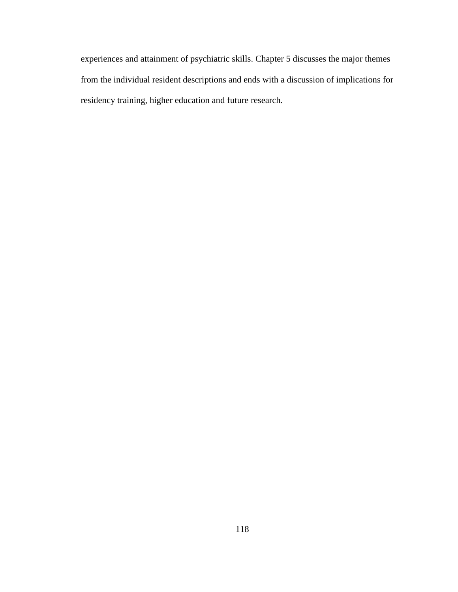experiences and attainment of psychiatric skills. Chapter 5 discusses the major themes from the individual resident descriptions and ends with a discussion of implications for residency training, higher education and future research.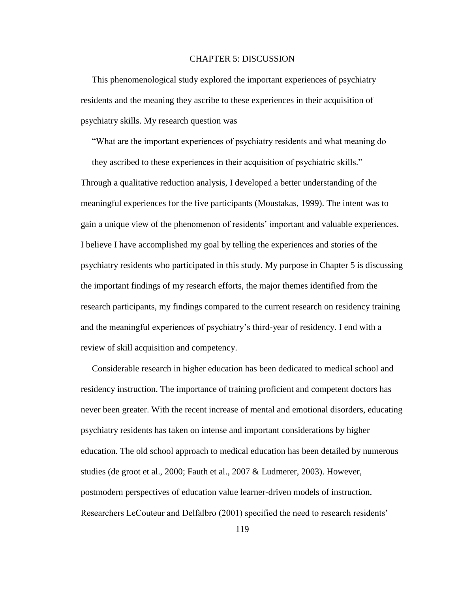#### CHAPTER 5: DISCUSSION

 This phenomenological study explored the important experiences of psychiatry residents and the meaning they ascribe to these experiences in their acquisition of psychiatry skills. My research question was

"What are the important experiences of psychiatry residents and what meaning do

 they ascribed to these experiences in their acquisition of psychiatric skills." Through a qualitative reduction analysis, I developed a better understanding of the meaningful experiences for the five participants (Moustakas, 1999). The intent was to gain a unique view of the phenomenon of residents" important and valuable experiences. I believe I have accomplished my goal by telling the experiences and stories of the psychiatry residents who participated in this study. My purpose in Chapter 5 is discussing the important findings of my research efforts, the major themes identified from the research participants, my findings compared to the current research on residency training and the meaningful experiences of psychiatry"s third-year of residency. I end with a review of skill acquisition and competency.

 Considerable research in higher education has been dedicated to medical school and residency instruction. The importance of training proficient and competent doctors has never been greater. With the recent increase of mental and emotional disorders, educating psychiatry residents has taken on intense and important considerations by higher education. The old school approach to medical education has been detailed by numerous studies (de groot et al., 2000; Fauth et al., 2007 & Ludmerer, 2003). However, postmodern perspectives of education value learner-driven models of instruction. Researchers LeCouteur and Delfalbro (2001) specified the need to research residents"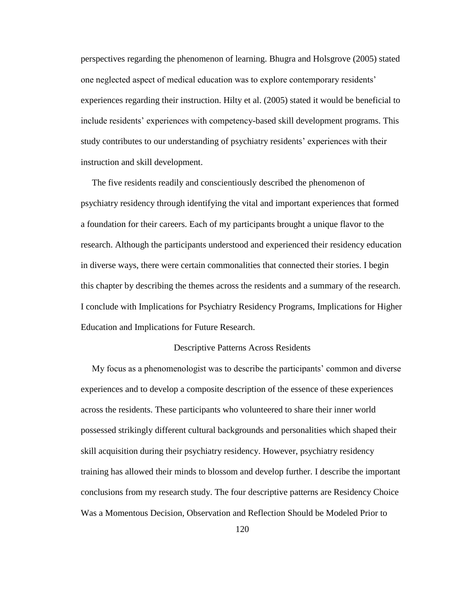perspectives regarding the phenomenon of learning. Bhugra and Holsgrove (2005) stated one neglected aspect of medical education was to explore contemporary residents" experiences regarding their instruction. Hilty et al. (2005) stated it would be beneficial to include residents" experiences with competency-based skill development programs. This study contributes to our understanding of psychiatry residents" experiences with their instruction and skill development.

 The five residents readily and conscientiously described the phenomenon of psychiatry residency through identifying the vital and important experiences that formed a foundation for their careers. Each of my participants brought a unique flavor to the research. Although the participants understood and experienced their residency education in diverse ways, there were certain commonalities that connected their stories. I begin this chapter by describing the themes across the residents and a summary of the research. I conclude with Implications for Psychiatry Residency Programs, Implications for Higher Education and Implications for Future Research.

### Descriptive Patterns Across Residents

 My focus as a phenomenologist was to describe the participants" common and diverse experiences and to develop a composite description of the essence of these experiences across the residents. These participants who volunteered to share their inner world possessed strikingly different cultural backgrounds and personalities which shaped their skill acquisition during their psychiatry residency. However, psychiatry residency training has allowed their minds to blossom and develop further. I describe the important conclusions from my research study. The four descriptive patterns are Residency Choice Was a Momentous Decision, Observation and Reflection Should be Modeled Prior to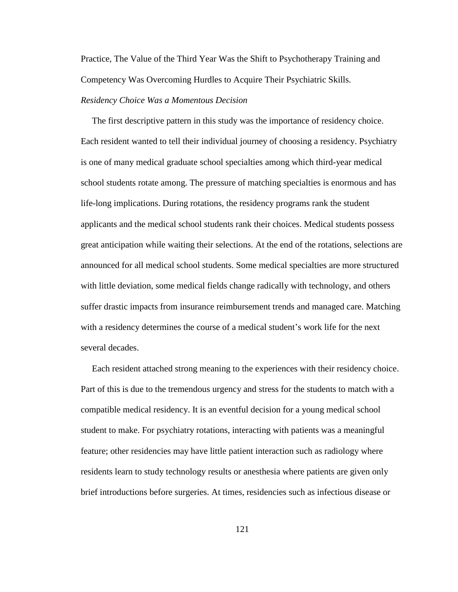Practice, The Value of the Third Year Was the Shift to Psychotherapy Training and Competency Was Overcoming Hurdles to Acquire Their Psychiatric Skills.

# *Residency Choice Was a Momentous Decision*

 The first descriptive pattern in this study was the importance of residency choice. Each resident wanted to tell their individual journey of choosing a residency. Psychiatry is one of many medical graduate school specialties among which third-year medical school students rotate among. The pressure of matching specialties is enormous and has life-long implications. During rotations, the residency programs rank the student applicants and the medical school students rank their choices. Medical students possess great anticipation while waiting their selections. At the end of the rotations, selections are announced for all medical school students. Some medical specialties are more structured with little deviation, some medical fields change radically with technology, and others suffer drastic impacts from insurance reimbursement trends and managed care. Matching with a residency determines the course of a medical student's work life for the next several decades.

 Each resident attached strong meaning to the experiences with their residency choice. Part of this is due to the tremendous urgency and stress for the students to match with a compatible medical residency. It is an eventful decision for a young medical school student to make. For psychiatry rotations, interacting with patients was a meaningful feature; other residencies may have little patient interaction such as radiology where residents learn to study technology results or anesthesia where patients are given only brief introductions before surgeries. At times, residencies such as infectious disease or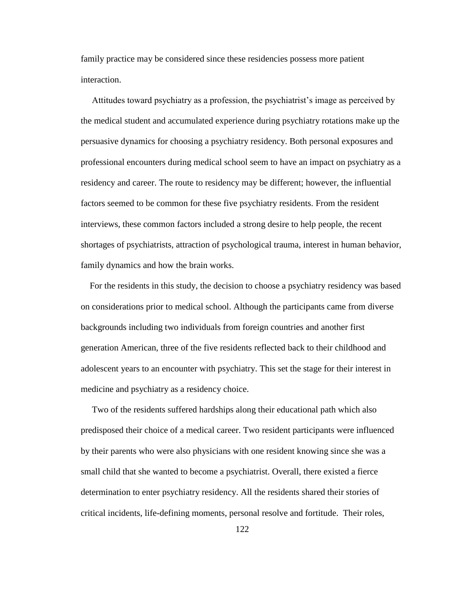family practice may be considered since these residencies possess more patient interaction.

 Attitudes toward psychiatry as a profession, the psychiatrist"s image as perceived by the medical student and accumulated experience during psychiatry rotations make up the persuasive dynamics for choosing a psychiatry residency. Both personal exposures and professional encounters during medical school seem to have an impact on psychiatry as a residency and career. The route to residency may be different; however, the influential factors seemed to be common for these five psychiatry residents. From the resident interviews, these common factors included a strong desire to help people, the recent shortages of psychiatrists, attraction of psychological trauma, interest in human behavior, family dynamics and how the brain works.

 For the residents in this study, the decision to choose a psychiatry residency was based on considerations prior to medical school. Although the participants came from diverse backgrounds including two individuals from foreign countries and another first generation American, three of the five residents reflected back to their childhood and adolescent years to an encounter with psychiatry. This set the stage for their interest in medicine and psychiatry as a residency choice.

 Two of the residents suffered hardships along their educational path which also predisposed their choice of a medical career. Two resident participants were influenced by their parents who were also physicians with one resident knowing since she was a small child that she wanted to become a psychiatrist. Overall, there existed a fierce determination to enter psychiatry residency. All the residents shared their stories of critical incidents, life-defining moments, personal resolve and fortitude. Their roles,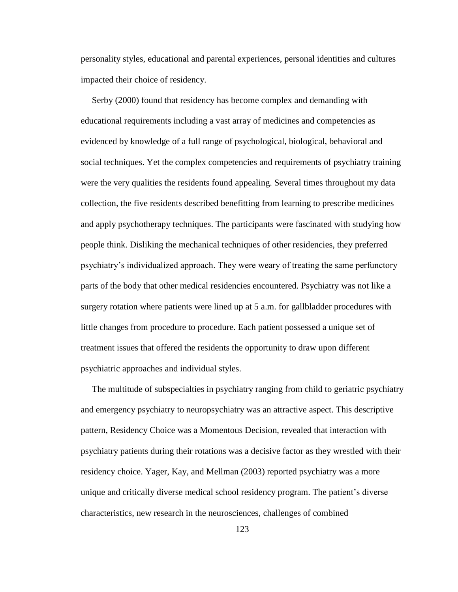personality styles, educational and parental experiences, personal identities and cultures impacted their choice of residency.

 Serby (2000) found that residency has become complex and demanding with educational requirements including a vast array of medicines and competencies as evidenced by knowledge of a full range of psychological, biological, behavioral and social techniques. Yet the complex competencies and requirements of psychiatry training were the very qualities the residents found appealing. Several times throughout my data collection, the five residents described benefitting from learning to prescribe medicines and apply psychotherapy techniques. The participants were fascinated with studying how people think. Disliking the mechanical techniques of other residencies, they preferred psychiatry"s individualized approach. They were weary of treating the same perfunctory parts of the body that other medical residencies encountered. Psychiatry was not like a surgery rotation where patients were lined up at 5 a.m. for gallbladder procedures with little changes from procedure to procedure. Each patient possessed a unique set of treatment issues that offered the residents the opportunity to draw upon different psychiatric approaches and individual styles.

 The multitude of subspecialties in psychiatry ranging from child to geriatric psychiatry and emergency psychiatry to neuropsychiatry was an attractive aspect. This descriptive pattern, Residency Choice was a Momentous Decision, revealed that interaction with psychiatry patients during their rotations was a decisive factor as they wrestled with their residency choice. Yager, Kay, and Mellman (2003) reported psychiatry was a more unique and critically diverse medical school residency program. The patient's diverse characteristics, new research in the neurosciences, challenges of combined

123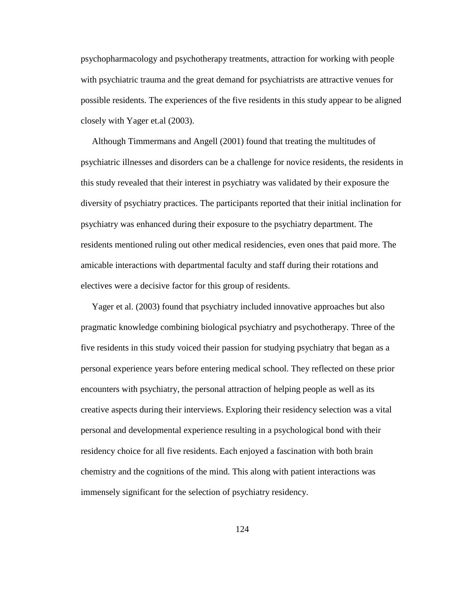psychopharmacology and psychotherapy treatments, attraction for working with people with psychiatric trauma and the great demand for psychiatrists are attractive venues for possible residents. The experiences of the five residents in this study appear to be aligned closely with Yager et.al (2003).

 Although Timmermans and Angell (2001) found that treating the multitudes of psychiatric illnesses and disorders can be a challenge for novice residents, the residents in this study revealed that their interest in psychiatry was validated by their exposure the diversity of psychiatry practices. The participants reported that their initial inclination for psychiatry was enhanced during their exposure to the psychiatry department. The residents mentioned ruling out other medical residencies, even ones that paid more. The amicable interactions with departmental faculty and staff during their rotations and electives were a decisive factor for this group of residents.

 Yager et al. (2003) found that psychiatry included innovative approaches but also pragmatic knowledge combining biological psychiatry and psychotherapy. Three of the five residents in this study voiced their passion for studying psychiatry that began as a personal experience years before entering medical school. They reflected on these prior encounters with psychiatry, the personal attraction of helping people as well as its creative aspects during their interviews. Exploring their residency selection was a vital personal and developmental experience resulting in a psychological bond with their residency choice for all five residents. Each enjoyed a fascination with both brain chemistry and the cognitions of the mind. This along with patient interactions was immensely significant for the selection of psychiatry residency.

124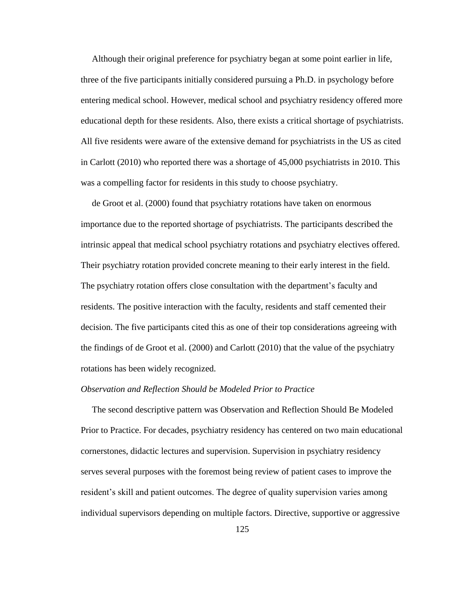Although their original preference for psychiatry began at some point earlier in life, three of the five participants initially considered pursuing a Ph.D. in psychology before entering medical school. However, medical school and psychiatry residency offered more educational depth for these residents. Also, there exists a critical shortage of psychiatrists. All five residents were aware of the extensive demand for psychiatrists in the US as cited in Carlott (2010) who reported there was a shortage of 45,000 psychiatrists in 2010. This was a compelling factor for residents in this study to choose psychiatry.

 de Groot et al. (2000) found that psychiatry rotations have taken on enormous importance due to the reported shortage of psychiatrists. The participants described the intrinsic appeal that medical school psychiatry rotations and psychiatry electives offered. Their psychiatry rotation provided concrete meaning to their early interest in the field. The psychiatry rotation offers close consultation with the department"s faculty and residents. The positive interaction with the faculty, residents and staff cemented their decision. The five participants cited this as one of their top considerations agreeing with the findings of de Groot et al. (2000) and Carlott (2010) that the value of the psychiatry rotations has been widely recognized.

#### *Observation and Reflection Should be Modeled Prior to Practice*

 The second descriptive pattern was Observation and Reflection Should Be Modeled Prior to Practice. For decades, psychiatry residency has centered on two main educational cornerstones, didactic lectures and supervision. Supervision in psychiatry residency serves several purposes with the foremost being review of patient cases to improve the resident"s skill and patient outcomes. The degree of quality supervision varies among individual supervisors depending on multiple factors. Directive, supportive or aggressive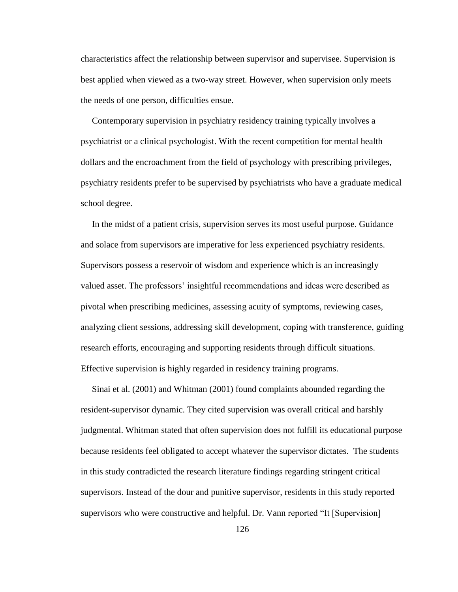characteristics affect the relationship between supervisor and supervisee. Supervision is best applied when viewed as a two-way street. However, when supervision only meets the needs of one person, difficulties ensue.

 Contemporary supervision in psychiatry residency training typically involves a psychiatrist or a clinical psychologist. With the recent competition for mental health dollars and the encroachment from the field of psychology with prescribing privileges, psychiatry residents prefer to be supervised by psychiatrists who have a graduate medical school degree.

 In the midst of a patient crisis, supervision serves its most useful purpose. Guidance and solace from supervisors are imperative for less experienced psychiatry residents. Supervisors possess a reservoir of wisdom and experience which is an increasingly valued asset. The professors" insightful recommendations and ideas were described as pivotal when prescribing medicines, assessing acuity of symptoms, reviewing cases, analyzing client sessions, addressing skill development, coping with transference, guiding research efforts, encouraging and supporting residents through difficult situations. Effective supervision is highly regarded in residency training programs.

 Sinai et al. (2001) and Whitman (2001) found complaints abounded regarding the resident-supervisor dynamic. They cited supervision was overall critical and harshly judgmental. Whitman stated that often supervision does not fulfill its educational purpose because residents feel obligated to accept whatever the supervisor dictates. The students in this study contradicted the research literature findings regarding stringent critical supervisors. Instead of the dour and punitive supervisor, residents in this study reported supervisors who were constructive and helpful. Dr. Vann reported "It [Supervision]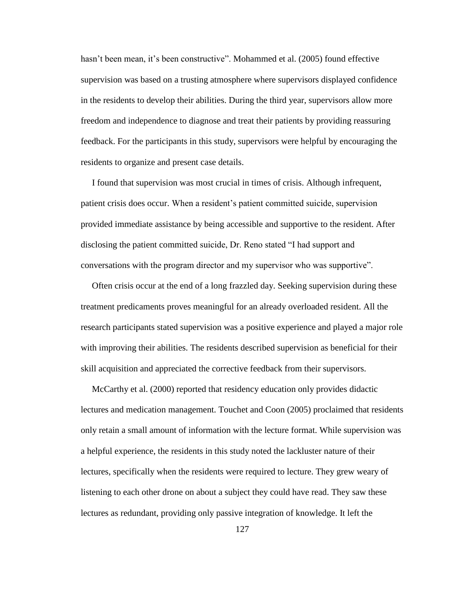hasn't been mean, it's been constructive". Mohammed et al. (2005) found effective supervision was based on a trusting atmosphere where supervisors displayed confidence in the residents to develop their abilities. During the third year, supervisors allow more freedom and independence to diagnose and treat their patients by providing reassuring feedback. For the participants in this study, supervisors were helpful by encouraging the residents to organize and present case details.

 I found that supervision was most crucial in times of crisis. Although infrequent, patient crisis does occur. When a resident"s patient committed suicide, supervision provided immediate assistance by being accessible and supportive to the resident. After disclosing the patient committed suicide, Dr. Reno stated "I had support and conversations with the program director and my supervisor who was supportive".

 Often crisis occur at the end of a long frazzled day. Seeking supervision during these treatment predicaments proves meaningful for an already overloaded resident. All the research participants stated supervision was a positive experience and played a major role with improving their abilities. The residents described supervision as beneficial for their skill acquisition and appreciated the corrective feedback from their supervisors.

 McCarthy et al. (2000) reported that residency education only provides didactic lectures and medication management. Touchet and Coon (2005) proclaimed that residents only retain a small amount of information with the lecture format. While supervision was a helpful experience, the residents in this study noted the lackluster nature of their lectures, specifically when the residents were required to lecture. They grew weary of listening to each other drone on about a subject they could have read. They saw these lectures as redundant, providing only passive integration of knowledge. It left the

127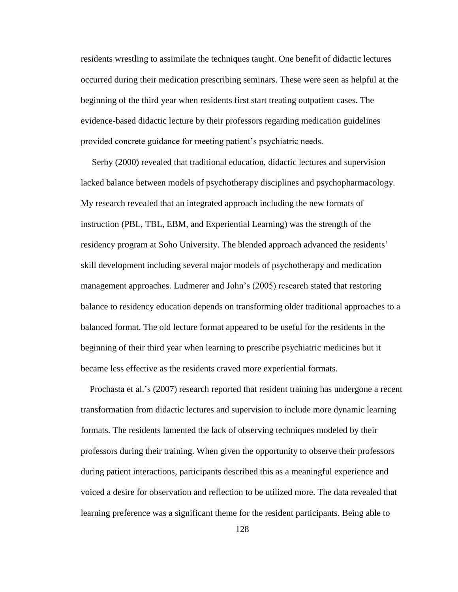residents wrestling to assimilate the techniques taught. One benefit of didactic lectures occurred during their medication prescribing seminars. These were seen as helpful at the beginning of the third year when residents first start treating outpatient cases. The evidence-based didactic lecture by their professors regarding medication guidelines provided concrete guidance for meeting patient"s psychiatric needs.

 Serby (2000) revealed that traditional education, didactic lectures and supervision lacked balance between models of psychotherapy disciplines and psychopharmacology. My research revealed that an integrated approach including the new formats of instruction (PBL, TBL, EBM, and Experiential Learning) was the strength of the residency program at Soho University. The blended approach advanced the residents' skill development including several major models of psychotherapy and medication management approaches. Ludmerer and John"s (2005) research stated that restoring balance to residency education depends on transforming older traditional approaches to a balanced format. The old lecture format appeared to be useful for the residents in the beginning of their third year when learning to prescribe psychiatric medicines but it became less effective as the residents craved more experiential formats.

 Prochasta et al."s (2007) research reported that resident training has undergone a recent transformation from didactic lectures and supervision to include more dynamic learning formats. The residents lamented the lack of observing techniques modeled by their professors during their training. When given the opportunity to observe their professors during patient interactions, participants described this as a meaningful experience and voiced a desire for observation and reflection to be utilized more. The data revealed that learning preference was a significant theme for the resident participants. Being able to

128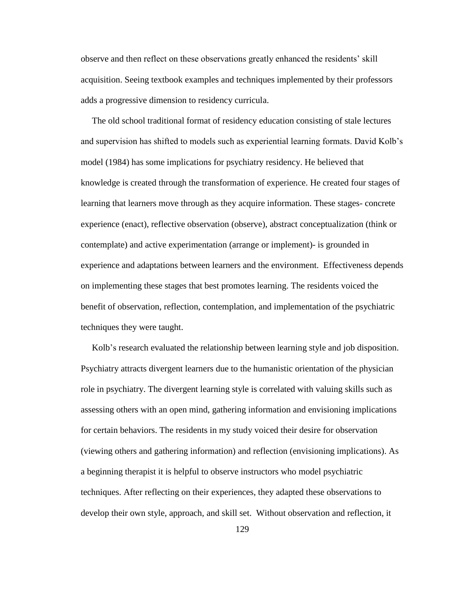observe and then reflect on these observations greatly enhanced the residents" skill acquisition. Seeing textbook examples and techniques implemented by their professors adds a progressive dimension to residency curricula.

 The old school traditional format of residency education consisting of stale lectures and supervision has shifted to models such as experiential learning formats. David Kolb"s model (1984) has some implications for psychiatry residency. He believed that knowledge is created through the transformation of experience. He created four stages of learning that learners move through as they acquire information. These stages- concrete experience (enact), reflective observation (observe), abstract conceptualization (think or contemplate) and active experimentation (arrange or implement)- is grounded in experience and adaptations between learners and the environment. Effectiveness depends on implementing these stages that best promotes learning. The residents voiced the benefit of observation, reflection, contemplation, and implementation of the psychiatric techniques they were taught.

 Kolb"s research evaluated the relationship between learning style and job disposition. Psychiatry attracts divergent learners due to the humanistic orientation of the physician role in psychiatry. The divergent learning style is correlated with valuing skills such as assessing others with an open mind, gathering information and envisioning implications for certain behaviors. The residents in my study voiced their desire for observation (viewing others and gathering information) and reflection (envisioning implications). As a beginning therapist it is helpful to observe instructors who model psychiatric techniques. After reflecting on their experiences, they adapted these observations to develop their own style, approach, and skill set. Without observation and reflection, it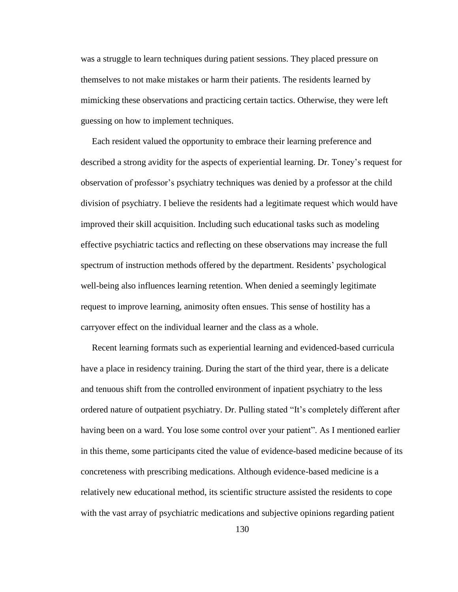was a struggle to learn techniques during patient sessions. They placed pressure on themselves to not make mistakes or harm their patients. The residents learned by mimicking these observations and practicing certain tactics. Otherwise, they were left guessing on how to implement techniques.

 Each resident valued the opportunity to embrace their learning preference and described a strong avidity for the aspects of experiential learning. Dr. Toney"s request for observation of professor"s psychiatry techniques was denied by a professor at the child division of psychiatry. I believe the residents had a legitimate request which would have improved their skill acquisition. Including such educational tasks such as modeling effective psychiatric tactics and reflecting on these observations may increase the full spectrum of instruction methods offered by the department. Residents" psychological well-being also influences learning retention. When denied a seemingly legitimate request to improve learning, animosity often ensues. This sense of hostility has a carryover effect on the individual learner and the class as a whole.

 Recent learning formats such as experiential learning and evidenced-based curricula have a place in residency training. During the start of the third year, there is a delicate and tenuous shift from the controlled environment of inpatient psychiatry to the less ordered nature of outpatient psychiatry. Dr. Pulling stated "It"s completely different after having been on a ward. You lose some control over your patient". As I mentioned earlier in this theme, some participants cited the value of evidence-based medicine because of its concreteness with prescribing medications. Although evidence-based medicine is a relatively new educational method, its scientific structure assisted the residents to cope with the vast array of psychiatric medications and subjective opinions regarding patient

130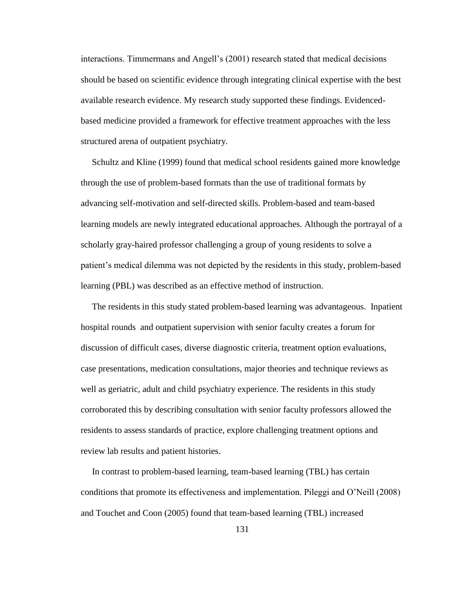interactions. Timmermans and Angell"s (2001) research stated that medical decisions should be based on scientific evidence through integrating clinical expertise with the best available research evidence. My research study supported these findings. Evidencedbased medicine provided a framework for effective treatment approaches with the less structured arena of outpatient psychiatry.

 Schultz and Kline (1999) found that medical school residents gained more knowledge through the use of problem-based formats than the use of traditional formats by advancing self-motivation and self-directed skills. Problem-based and team-based learning models are newly integrated educational approaches. Although the portrayal of a scholarly gray-haired professor challenging a group of young residents to solve a patient"s medical dilemma was not depicted by the residents in this study, problem-based learning (PBL) was described as an effective method of instruction.

 The residents in this study stated problem-based learning was advantageous. Inpatient hospital rounds and outpatient supervision with senior faculty creates a forum for discussion of difficult cases, diverse diagnostic criteria, treatment option evaluations, case presentations, medication consultations, major theories and technique reviews as well as geriatric, adult and child psychiatry experience. The residents in this study corroborated this by describing consultation with senior faculty professors allowed the residents to assess standards of practice, explore challenging treatment options and review lab results and patient histories.

 In contrast to problem-based learning, team-based learning (TBL) has certain conditions that promote its effectiveness and implementation. Pileggi and O"Neill (2008) and Touchet and Coon (2005) found that team-based learning (TBL) increased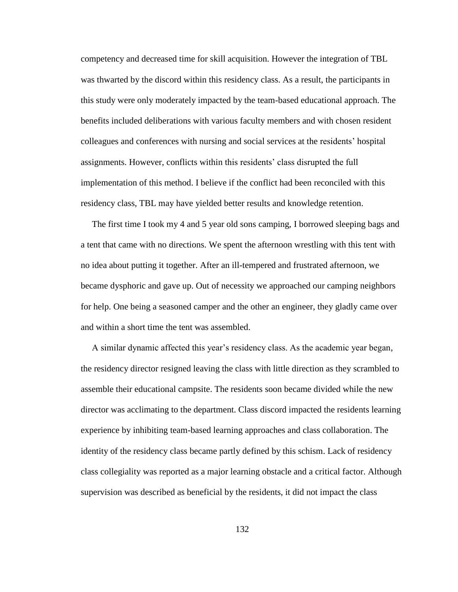competency and decreased time for skill acquisition. However the integration of TBL was thwarted by the discord within this residency class. As a result, the participants in this study were only moderately impacted by the team-based educational approach. The benefits included deliberations with various faculty members and with chosen resident colleagues and conferences with nursing and social services at the residents" hospital assignments. However, conflicts within this residents" class disrupted the full implementation of this method. I believe if the conflict had been reconciled with this residency class, TBL may have yielded better results and knowledge retention.

 The first time I took my 4 and 5 year old sons camping, I borrowed sleeping bags and a tent that came with no directions. We spent the afternoon wrestling with this tent with no idea about putting it together. After an ill-tempered and frustrated afternoon, we became dysphoric and gave up. Out of necessity we approached our camping neighbors for help. One being a seasoned camper and the other an engineer, they gladly came over and within a short time the tent was assembled.

 A similar dynamic affected this year"s residency class. As the academic year began, the residency director resigned leaving the class with little direction as they scrambled to assemble their educational campsite. The residents soon became divided while the new director was acclimating to the department. Class discord impacted the residents learning experience by inhibiting team-based learning approaches and class collaboration. The identity of the residency class became partly defined by this schism. Lack of residency class collegiality was reported as a major learning obstacle and a critical factor. Although supervision was described as beneficial by the residents, it did not impact the class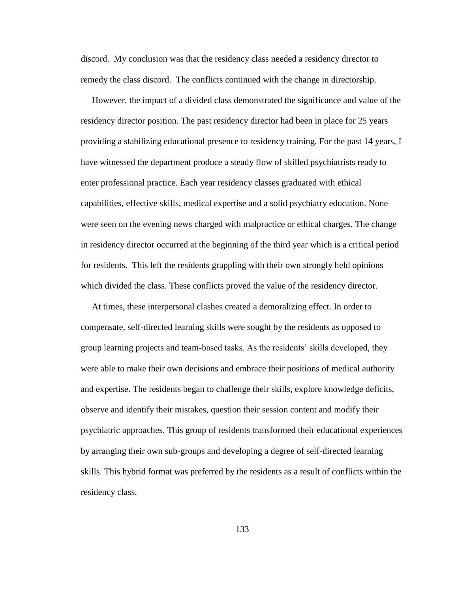discord. My conclusion was that the residency class needed a residency director to remedy the class discord. The conflicts continued with the change in directorship.

 However, the impact of a divided class demonstrated the significance and value of the residency director position. The past residency director had been in place for 25 years providing a stabilizing educational presence to residency training. For the past 14 years, I have witnessed the department produce a steady flow of skilled psychiatrists ready to enter professional practice. Each year residency classes graduated with ethical capabilities, effective skills, medical expertise and a solid psychiatry education. None were seen on the evening news charged with malpractice or ethical charges. The change in residency director occurred at the beginning of the third year which is a critical period for residents. This left the residents grappling with their own strongly held opinions which divided the class. These conflicts proved the value of the residency director.

 At times, these interpersonal clashes created a demoralizing effect. In order to compensate, self-directed learning skills were sought by the residents as opposed to group learning projects and team-based tasks. As the residents" skills developed, they were able to make their own decisions and embrace their positions of medical authority and expertise. The residents began to challenge their skills, explore knowledge deficits, observe and identify their mistakes, question their session content and modify their psychiatric approaches. This group of residents transformed their educational experiences by arranging their own sub-groups and developing a degree of self-directed learning skills. This hybrid format was preferred by the residents as a result of conflicts within the residency class.

133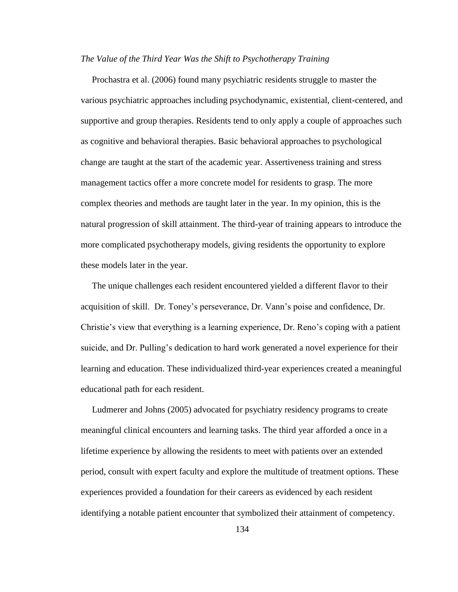#### *The Value of the Third Year Was the Shift to Psychotherapy Training*

 Prochastra et al. (2006) found many psychiatric residents struggle to master the various psychiatric approaches including psychodynamic, existential, client-centered, and supportive and group therapies. Residents tend to only apply a couple of approaches such as cognitive and behavioral therapies. Basic behavioral approaches to psychological change are taught at the start of the academic year. Assertiveness training and stress management tactics offer a more concrete model for residents to grasp. The more complex theories and methods are taught later in the year. In my opinion, this is the natural progression of skill attainment. The third-year of training appears to introduce the more complicated psychotherapy models, giving residents the opportunity to explore these models later in the year.

 The unique challenges each resident encountered yielded a different flavor to their acquisition of skill. Dr. Toney"s perseverance, Dr. Vann"s poise and confidence, Dr. Christie"s view that everything is a learning experience, Dr. Reno"s coping with a patient suicide, and Dr. Pulling"s dedication to hard work generated a novel experience for their learning and education. These individualized third-year experiences created a meaningful educational path for each resident.

 Ludmerer and Johns (2005) advocated for psychiatry residency programs to create meaningful clinical encounters and learning tasks. The third year afforded a once in a lifetime experience by allowing the residents to meet with patients over an extended period, consult with expert faculty and explore the multitude of treatment options. These experiences provided a foundation for their careers as evidenced by each resident identifying a notable patient encounter that symbolized their attainment of competency.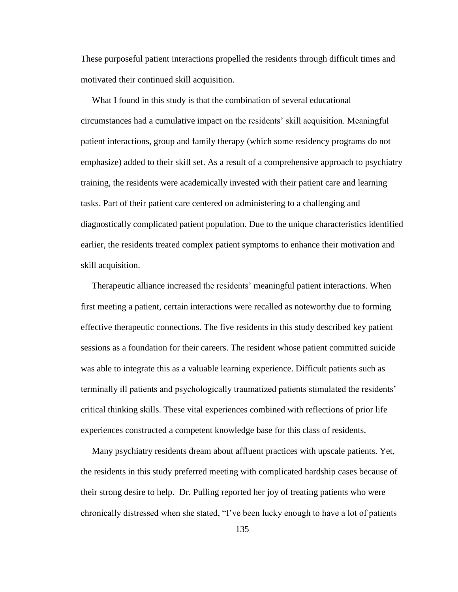These purposeful patient interactions propelled the residents through difficult times and motivated their continued skill acquisition.

 What I found in this study is that the combination of several educational circumstances had a cumulative impact on the residents" skill acquisition. Meaningful patient interactions, group and family therapy (which some residency programs do not emphasize) added to their skill set. As a result of a comprehensive approach to psychiatry training, the residents were academically invested with their patient care and learning tasks. Part of their patient care centered on administering to a challenging and diagnostically complicated patient population. Due to the unique characteristics identified earlier, the residents treated complex patient symptoms to enhance their motivation and skill acquisition.

 Therapeutic alliance increased the residents" meaningful patient interactions. When first meeting a patient, certain interactions were recalled as noteworthy due to forming effective therapeutic connections. The five residents in this study described key patient sessions as a foundation for their careers. The resident whose patient committed suicide was able to integrate this as a valuable learning experience. Difficult patients such as terminally ill patients and psychologically traumatized patients stimulated the residents" critical thinking skills. These vital experiences combined with reflections of prior life experiences constructed a competent knowledge base for this class of residents.

 Many psychiatry residents dream about affluent practices with upscale patients. Yet, the residents in this study preferred meeting with complicated hardship cases because of their strong desire to help. Dr. Pulling reported her joy of treating patients who were chronically distressed when she stated, "I"ve been lucky enough to have a lot of patients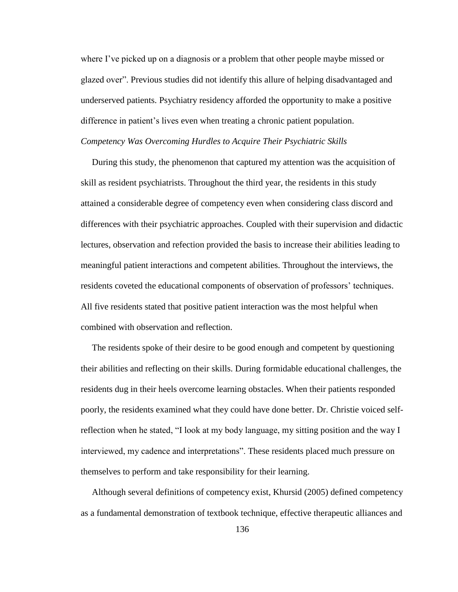where I've picked up on a diagnosis or a problem that other people maybe missed or glazed over". Previous studies did not identify this allure of helping disadvantaged and underserved patients. Psychiatry residency afforded the opportunity to make a positive difference in patient"s lives even when treating a chronic patient population. *Competency Was Overcoming Hurdles to Acquire Their Psychiatric Skills*

 During this study, the phenomenon that captured my attention was the acquisition of skill as resident psychiatrists. Throughout the third year, the residents in this study attained a considerable degree of competency even when considering class discord and differences with their psychiatric approaches. Coupled with their supervision and didactic lectures, observation and refection provided the basis to increase their abilities leading to meaningful patient interactions and competent abilities. Throughout the interviews, the residents coveted the educational components of observation of professors' techniques. All five residents stated that positive patient interaction was the most helpful when combined with observation and reflection.

 The residents spoke of their desire to be good enough and competent by questioning their abilities and reflecting on their skills. During formidable educational challenges, the residents dug in their heels overcome learning obstacles. When their patients responded poorly, the residents examined what they could have done better. Dr. Christie voiced selfreflection when he stated, "I look at my body language, my sitting position and the way I interviewed, my cadence and interpretations". These residents placed much pressure on themselves to perform and take responsibility for their learning.

 Although several definitions of competency exist, Khursid (2005) defined competency as a fundamental demonstration of textbook technique, effective therapeutic alliances and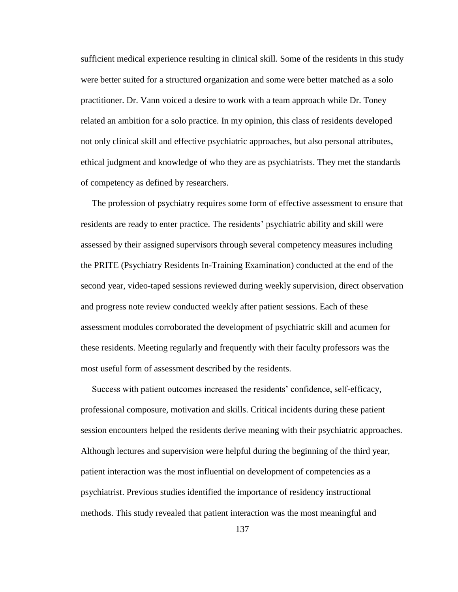sufficient medical experience resulting in clinical skill. Some of the residents in this study were better suited for a structured organization and some were better matched as a solo practitioner. Dr. Vann voiced a desire to work with a team approach while Dr. Toney related an ambition for a solo practice. In my opinion, this class of residents developed not only clinical skill and effective psychiatric approaches, but also personal attributes, ethical judgment and knowledge of who they are as psychiatrists. They met the standards of competency as defined by researchers.

 The profession of psychiatry requires some form of effective assessment to ensure that residents are ready to enter practice. The residents" psychiatric ability and skill were assessed by their assigned supervisors through several competency measures including the PRITE (Psychiatry Residents In-Training Examination) conducted at the end of the second year, video-taped sessions reviewed during weekly supervision, direct observation and progress note review conducted weekly after patient sessions. Each of these assessment modules corroborated the development of psychiatric skill and acumen for these residents. Meeting regularly and frequently with their faculty professors was the most useful form of assessment described by the residents.

 Success with patient outcomes increased the residents" confidence, self-efficacy, professional composure, motivation and skills. Critical incidents during these patient session encounters helped the residents derive meaning with their psychiatric approaches. Although lectures and supervision were helpful during the beginning of the third year, patient interaction was the most influential on development of competencies as a psychiatrist. Previous studies identified the importance of residency instructional methods. This study revealed that patient interaction was the most meaningful and

137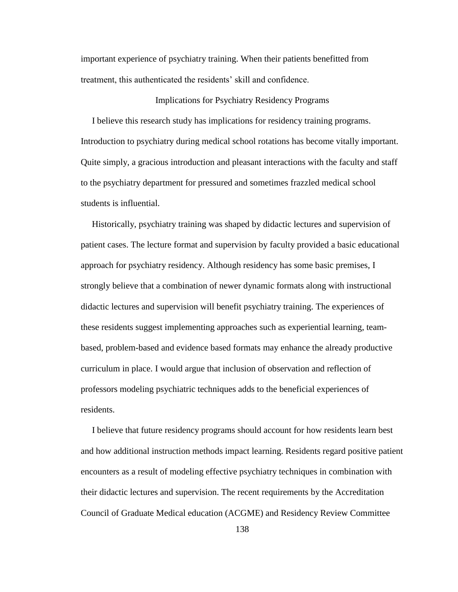important experience of psychiatry training. When their patients benefitted from treatment, this authenticated the residents" skill and confidence.

## Implications for Psychiatry Residency Programs

 I believe this research study has implications for residency training programs. Introduction to psychiatry during medical school rotations has become vitally important. Quite simply, a gracious introduction and pleasant interactions with the faculty and staff to the psychiatry department for pressured and sometimes frazzled medical school students is influential.

 Historically, psychiatry training was shaped by didactic lectures and supervision of patient cases. The lecture format and supervision by faculty provided a basic educational approach for psychiatry residency. Although residency has some basic premises, I strongly believe that a combination of newer dynamic formats along with instructional didactic lectures and supervision will benefit psychiatry training. The experiences of these residents suggest implementing approaches such as experiential learning, teambased, problem-based and evidence based formats may enhance the already productive curriculum in place. I would argue that inclusion of observation and reflection of professors modeling psychiatric techniques adds to the beneficial experiences of residents.

 I believe that future residency programs should account for how residents learn best and how additional instruction methods impact learning. Residents regard positive patient encounters as a result of modeling effective psychiatry techniques in combination with their didactic lectures and supervision. The recent requirements by the Accreditation Council of Graduate Medical education (ACGME) and Residency Review Committee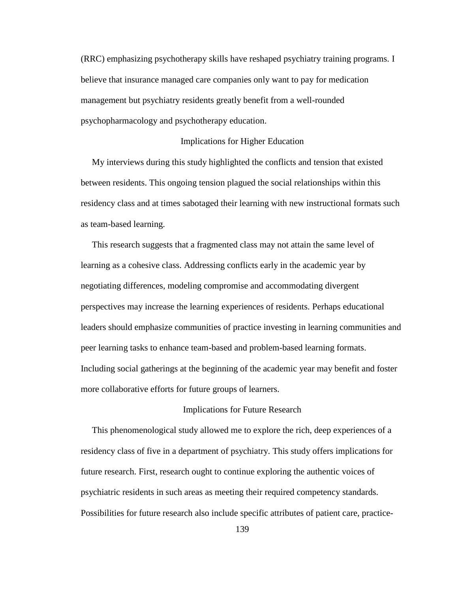(RRC) emphasizing psychotherapy skills have reshaped psychiatry training programs. I believe that insurance managed care companies only want to pay for medication management but psychiatry residents greatly benefit from a well-rounded psychopharmacology and psychotherapy education.

### Implications for Higher Education

 My interviews during this study highlighted the conflicts and tension that existed between residents. This ongoing tension plagued the social relationships within this residency class and at times sabotaged their learning with new instructional formats such as team-based learning.

 This research suggests that a fragmented class may not attain the same level of learning as a cohesive class. Addressing conflicts early in the academic year by negotiating differences, modeling compromise and accommodating divergent perspectives may increase the learning experiences of residents. Perhaps educational leaders should emphasize communities of practice investing in learning communities and peer learning tasks to enhance team-based and problem-based learning formats. Including social gatherings at the beginning of the academic year may benefit and foster more collaborative efforts for future groups of learners.

#### Implications for Future Research

 This phenomenological study allowed me to explore the rich, deep experiences of a residency class of five in a department of psychiatry. This study offers implications for future research. First, research ought to continue exploring the authentic voices of psychiatric residents in such areas as meeting their required competency standards. Possibilities for future research also include specific attributes of patient care, practice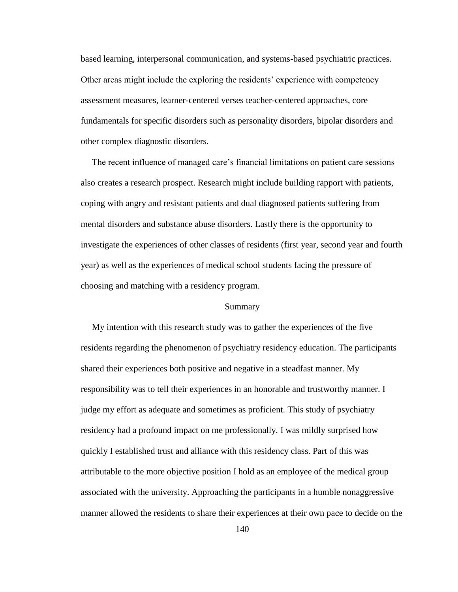based learning, interpersonal communication, and systems-based psychiatric practices. Other areas might include the exploring the residents" experience with competency assessment measures, learner-centered verses teacher-centered approaches, core fundamentals for specific disorders such as personality disorders, bipolar disorders and other complex diagnostic disorders.

The recent influence of managed care's financial limitations on patient care sessions also creates a research prospect. Research might include building rapport with patients, coping with angry and resistant patients and dual diagnosed patients suffering from mental disorders and substance abuse disorders. Lastly there is the opportunity to investigate the experiences of other classes of residents (first year, second year and fourth year) as well as the experiences of medical school students facing the pressure of choosing and matching with a residency program.

#### Summary

 My intention with this research study was to gather the experiences of the five residents regarding the phenomenon of psychiatry residency education. The participants shared their experiences both positive and negative in a steadfast manner. My responsibility was to tell their experiences in an honorable and trustworthy manner. I judge my effort as adequate and sometimes as proficient. This study of psychiatry residency had a profound impact on me professionally. I was mildly surprised how quickly I established trust and alliance with this residency class. Part of this was attributable to the more objective position I hold as an employee of the medical group associated with the university. Approaching the participants in a humble nonaggressive manner allowed the residents to share their experiences at their own pace to decide on the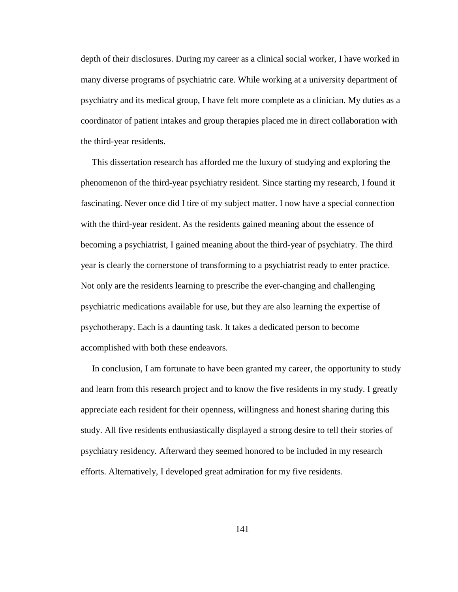depth of their disclosures. During my career as a clinical social worker, I have worked in many diverse programs of psychiatric care. While working at a university department of psychiatry and its medical group, I have felt more complete as a clinician. My duties as a coordinator of patient intakes and group therapies placed me in direct collaboration with the third-year residents.

 This dissertation research has afforded me the luxury of studying and exploring the phenomenon of the third-year psychiatry resident. Since starting my research, I found it fascinating. Never once did I tire of my subject matter. I now have a special connection with the third-year resident. As the residents gained meaning about the essence of becoming a psychiatrist, I gained meaning about the third-year of psychiatry. The third year is clearly the cornerstone of transforming to a psychiatrist ready to enter practice. Not only are the residents learning to prescribe the ever-changing and challenging psychiatric medications available for use, but they are also learning the expertise of psychotherapy. Each is a daunting task. It takes a dedicated person to become accomplished with both these endeavors.

 In conclusion, I am fortunate to have been granted my career, the opportunity to study and learn from this research project and to know the five residents in my study. I greatly appreciate each resident for their openness, willingness and honest sharing during this study. All five residents enthusiastically displayed a strong desire to tell their stories of psychiatry residency. Afterward they seemed honored to be included in my research efforts. Alternatively, I developed great admiration for my five residents.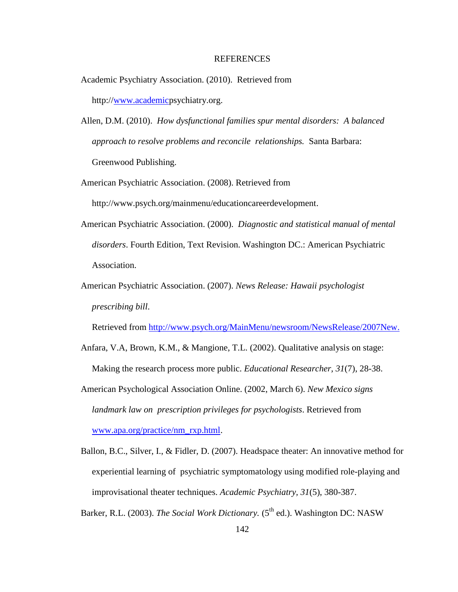#### REFERENCES

- Academic Psychiatry Association. (2010). Retrieved from http:/[/www.academicp](http://www.academic/)sychiatry.org.
- Allen, D.M. (2010). *How dysfunctional families spur mental disorders: A balanced approach to resolve problems and reconcile relationships.* Santa Barbara: Greenwood Publishing.
- American Psychiatric Association. (2008). Retrieved from http://www.psych.org/mainmenu/educationcareerdevelopment.
- American Psychiatric Association. (2000). *Diagnostic and statistical manual of mental disorders*. Fourth Edition, Text Revision. Washington DC.: American Psychiatric Association.
- American Psychiatric Association. (2007). *News Release: Hawaii psychologist prescribing bill*.

Retrieved from [http://www.psych.org/MainMenu/newsroom/NewsRelease/2007New.](http://www.psych.org/MainMenu/newsroom/NewsRelease/2007New)

- Anfara, V.A, Brown, K.M., & Mangione, T.L. (2002). Qualitative analysis on stage: Making the research process more public. *Educational Researcher, 31*(7), 28-38.
- American Psychological Association Online. (2002, March 6). *New Mexico signs landmark law on prescription privileges for psychologists*. Retrieved from [www.apa.org/practice/nm\\_rxp.html.](http://www.apa.org/practice/nm_rxp.html)
- Ballon, B.C., Silver, I., & Fidler, D. (2007). Headspace theater: An innovative method for experiential learning of psychiatric symptomatology using modified role-playing and improvisational theater techniques. *Academic Psychiatry, 31*(5), 380-387.

Barker, R.L. (2003). *The Social Work Dictionary*. (5<sup>th</sup> ed.). Washington DC: NASW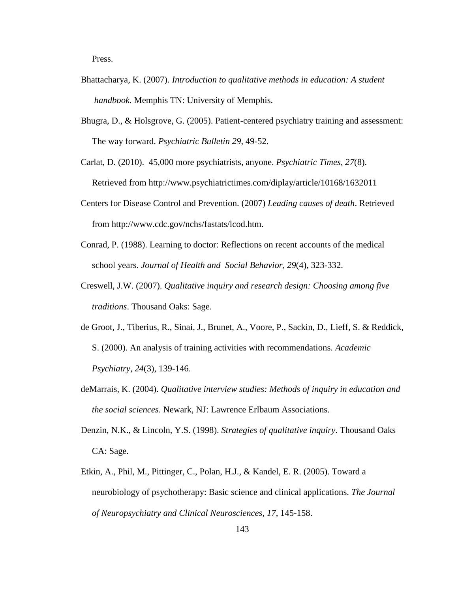Press.

- Bhattacharya, K. (2007). *Introduction to qualitative methods in education: A student handbook.* Memphis TN: University of Memphis.
- Bhugra, D., & Holsgrove, G. (2005). Patient-centered psychiatry training and assessment: The way forward. *Psychiatric Bulletin 29*, 49-52.

Carlat, D. (2010). 45,000 more psychiatrists, anyone. *Psychiatric Times, 27*(8). Retrieved from http://www.psychiatrictimes.com/diplay/article/10168/1632011

- Centers for Disease Control and Prevention. (2007) *Leading causes of death*. Retrieved from http://www.cdc.gov/nchs/fastats/lcod.htm.
- Conrad, P. (1988). Learning to doctor: Reflections on recent accounts of the medical school years. *Journal of Health and Social Behavior, 29*(4), 323-332.
- Creswell, J.W. (2007). *Qualitative inquiry and research design: Choosing among five traditions*. Thousand Oaks: Sage.
- de Groot, J., Tiberius, R., Sinai, J., Brunet, A., Voore, P., Sackin, D., Lieff, S. & Reddick, S. (2000). An analysis of training activities with recommendations. *Academic Psychiatry, 24*(3), 139-146.
- deMarrais, K. (2004). *Qualitative interview studies: Methods of inquiry in education and the social sciences*. Newark, NJ: Lawrence Erlbaum Associations.
- Denzin, N.K., & Lincoln, Y.S. (1998). *Strategies of qualitative inquiry*. Thousand Oaks CA: Sage.
- Etkin, A., Phil, M., Pittinger, C., Polan, H.J., & Kandel, E. R. (2005). Toward a neurobiology of psychotherapy: Basic science and clinical applications. *The Journal of Neuropsychiatry and Clinical Neurosciences*, *17*, 145-158.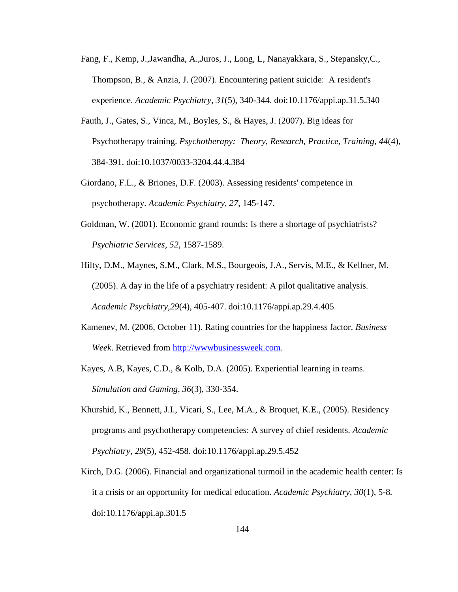- Fang, F., Kemp, J.,Jawandha, A.,Juros, J., Long, L, Nanayakkara, S., Stepansky,C., Thompson, B., & Anzia, J. (2007). Encountering patient suicide: A resident's experience. *Academic Psychiatry, 31*(5), 340-344. doi:10.1176/appi.ap.31.5.340
- Fauth, J., Gates, S., Vinca, M., Boyles, S., & Hayes, J. (2007). Big ideas for Psychotherapy training. *Psychotherapy: Theory, Research, Practice, Training, 44*(4), 384-391. doi:10.1037/0033-3204.44.4.384
- Giordano, F.L., & Briones, D.F. (2003). Assessing residents' competence in psychotherapy. *Academic Psychiatry, 27,* 145-147.
- Goldman, W. (2001). Economic grand rounds: Is there a shortage of psychiatrists?  *Psychiatric Services, 52*, 1587-1589.
- Hilty, D.M., Maynes, S.M., Clark, M.S., Bourgeois, J.A., Servis, M.E., & Kellner, M. (2005). A day in the life of a psychiatry resident: A pilot qualitative analysis. *Academic Psychiatry,29*(4), 405-407. doi:10.1176/appi.ap.29.4.405
- Kamenev, M. (2006, October 11). Rating countries for the happiness factor. *Business Week*. Retrieved from [http://wwwbusinessweek.com.](http://wwwbusinessweek.com/)
- Kayes, A.B, Kayes, C.D., & Kolb, D.A. (2005). Experiential learning in teams.  *Simulation and Gaming, 36*(3), 330-354.
- Khurshid, K., Bennett, J.I., Vicari, S., Lee, M.A., & Broquet, K.E., (2005). Residency programs and psychotherapy competencies: A survey of chief residents. *Academic Psychiatry, 29*(5), 452-458. doi:10.1176/appi.ap.29.5.452
- Kirch, D.G. (2006). Financial and organizational turmoil in the academic health center: Is it a crisis or an opportunity for medical education. *Academic Psychiatry, 30*(1), 5-8*.* doi:10.1176/appi.ap.301.5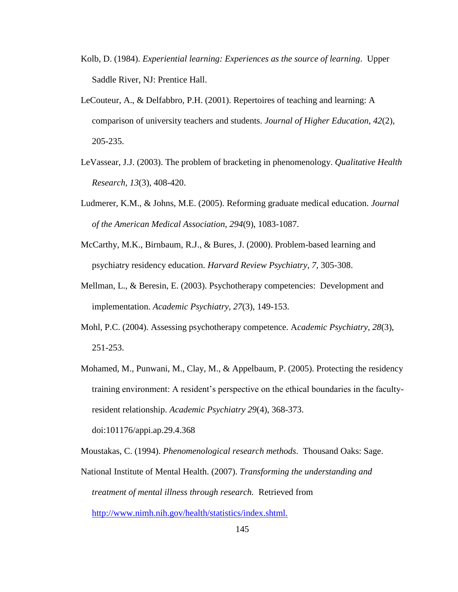- Kolb, D. (1984). *Experiential learning: Experiences as the source of learning*. Upper Saddle River, NJ: Prentice Hall.
- LeCouteur, A., & Delfabbro, P.H. (2001). Repertoires of teaching and learning: A comparison of university teachers and students. *Journal of Higher Education, 42*(2), 205-235.
- LeVassear, J.J. (2003). The problem of bracketing in phenomenology. *Qualitative Health Research, 13*(3), 408-420.
- Ludmerer, K.M., & Johns, M.E. (2005). Reforming graduate medical education. *Journal of the American Medical Association, 294*(9), 1083-1087.
- McCarthy, M.K., Birnbaum, R.J., & Bures, J. (2000). Problem-based learning and psychiatry residency education. *Harvard Review Psychiatry, 7,* 305-308.
- Mellman, L., & Beresin, E. (2003). Psychotherapy competencies: Development and implementation. *Academic Psychiatry, 27*(3), 149-153.
- Mohl, P.C. (2004). Assessing psychotherapy competence. A*cademic Psychiatry, 28*(3), 251-253.
- Mohamed, M., Punwani, M., Clay, M., & Appelbaum, P. (2005). Protecting the residency training environment: A resident"s perspective on the ethical boundaries in the faculty resident relationship. *Academic Psychiatry 29*(4), 368-373. doi:101176/appi.ap.29.4.368

Moustakas, C. (1994). *Phenomenological research methods*. Thousand Oaks: Sage.

National Institute of Mental Health. (2007). *Transforming the understanding and treatment of mental illness through research.* Retrieved from <http://www.nimh.nih.gov/health/statistics/index.shtml.>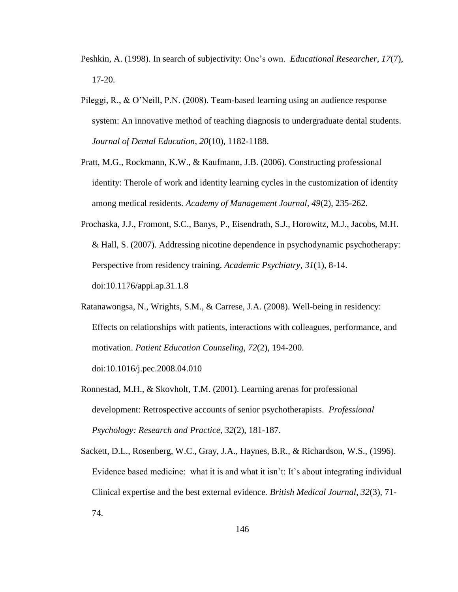- Peshkin, A. (1998). In search of subjectivity: One"s own. *Educational Researcher, 17*(7), 17-20.
- Pileggi, R., & O"Neill, P.N. (2008). Team-based learning using an audience response system: An innovative method of teaching diagnosis to undergraduate dental students. *Journal of Dental Education*, *20*(10), 1182-1188.
- Pratt, M.G., Rockmann, K.W., & Kaufmann, J.B. (2006). Constructing professional identity: Therole of work and identity learning cycles in the customization of identity among medical residents. *Academy of Management Journal, 49*(2), 235-262.
- Prochaska, J.J., Fromont, S.C., Banys, P., Eisendrath, S.J., Horowitz, M.J., Jacobs, M.H. & Hall, S. (2007). Addressing nicotine dependence in psychodynamic psychotherapy: Perspective from residency training. *Academic Psychiatry, 31*(1), 8-14. doi:10.1176/appi.ap.31.1.8
- Ratanawongsa, N., Wrights, S.M., & Carrese, J.A. (2008). Well-being in residency: Effects on relationships with patients, interactions with colleagues, performance, and motivation. *Patient Education Counseling, 72*(2), 194-200.

doi:10.1016/j.pec.2008.04.010

- Ronnestad, M.H., & Skovholt, T.M. (2001). Learning arenas for professional development: Retrospective accounts of senior psychotherapists. *Professional Psychology: Research and Practice, 32*(2), 181-187.
- Sackett, D.L., Rosenberg, W.C., Gray, J.A., Haynes, B.R., & Richardson, W.S., (1996). Evidence based medicine: what it is and what it isn"t: It"s about integrating individual Clinical expertise and the best external evidence*. British Medical Journal, 32*(3), 71- 74.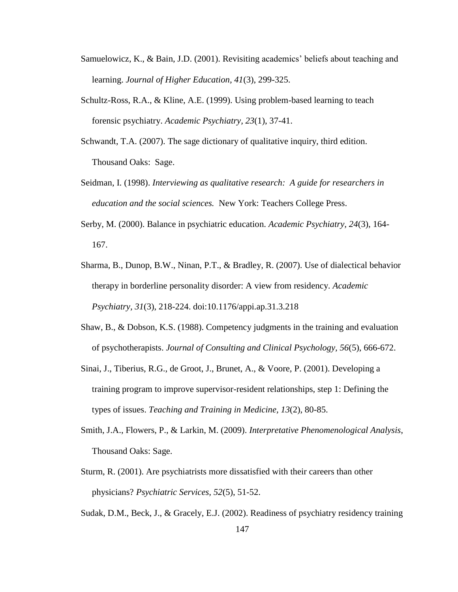- Samuelowicz, K., & Bain, J.D. (2001). Revisiting academics" beliefs about teaching and learning. *Journal of Higher Education, 41*(3), 299-325.
- Schultz-Ross, R.A., & Kline, A.E. (1999). Using problem-based learning to teach forensic psychiatry. *Academic Psychiatry, 23*(1), 37-41.
- Schwandt, T.A. (2007). The sage dictionary of qualitative inquiry, third edition. Thousand Oaks: Sage.
- Seidman, I. (1998). *Interviewing as qualitative research: A guide for researchers in education and the social sciences.* New York: Teachers College Press.
- Serby, M. (2000). Balance in psychiatric education. *Academic Psychiatry, 24*(3), 164- 167.
- Sharma, B., Dunop, B.W., Ninan, P.T., & Bradley, R. (2007). Use of dialectical behavior therapy in borderline personality disorder: A view from residency. *Academic Psychiatry, 31*(3), 218-224. doi:10.1176/appi.ap.31.3.218
- Shaw, B., & Dobson, K.S. (1988). Competency judgments in the training and evaluation of psychotherapists. *Journal of Consulting and Clinical Psychology, 56*(5), 666-672.
- Sinai, J., Tiberius, R.G., de Groot, J., Brunet, A., & Voore, P. (2001). Developing a training program to improve supervisor-resident relationships, step 1: Defining the types of issues. *Teaching and Training in Medicine, 13*(2), 80-85.
- Smith, J.A., Flowers, P., & Larkin, M. (2009). *Interpretative Phenomenological Analysis*, Thousand Oaks: Sage.
- Sturm, R. (2001). Are psychiatrists more dissatisfied with their careers than other physicians? *Psychiatric Services, 52*(5), 51-52.

Sudak, D.M., Beck, J., & Gracely, E.J. (2002). Readiness of psychiatry residency training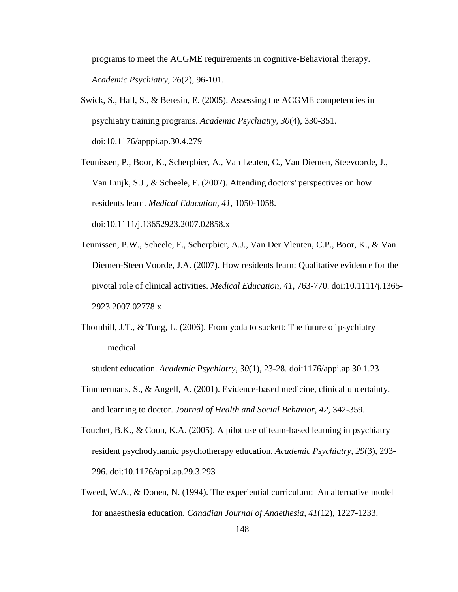programs to meet the ACGME requirements in cognitive-Behavioral therapy. *Academic Psychiatry, 26*(2), 96-101.

Swick, S., Hall, S., & Beresin, E. (2005). Assessing the ACGME competencies in psychiatry training programs. *Academic Psychiatry, 30*(4), 330-351. doi:10.1176/apppi.ap.30.4.279

Teunissen, P., Boor, K., Scherpbier, A., Van Leuten, C., Van Diemen, Steevoorde, J., Van Luijk, S.J., & Scheele, F. (2007). Attending doctors' perspectives on how residents learn. *Medical Education, 41,* 1050-1058. doi:10.1111/j.13652923.2007.02858.x

- Teunissen, P.W., Scheele, F., Scherpbier, A.J., Van Der Vleuten, C.P., Boor, K., & Van Diemen-Steen Voorde, J.A. (2007). How residents learn: Qualitative evidence for the pivotal role of clinical activities. *Medical Education, 41,* 763-770. doi:10.1111/j.1365- 2923.2007.02778.x
- Thornhill, J.T., & Tong, L. (2006). From yoda to sackett: The future of psychiatry medical

student education. *Academic Psychiatry, 30*(1), 23-28. doi:1176/appi.ap.30.1.23

- Timmermans, S., & Angell, A. (2001). Evidence-based medicine, clinical uncertainty, and learning to doctor. *Journal of Health and Social Behavior, 42,* 342-359.
- Touchet, B.K., & Coon, K.A. (2005). A pilot use of team-based learning in psychiatry resident psychodynamic psychotherapy education. *Academic Psychiatry, 29*(3), 293- 296. doi:10.1176/appi.ap.29.3.293
- Tweed, W.A., & Donen, N. (1994). The experiential curriculum: An alternative model for anaesthesia education. *Canadian Journal of Anaethesia, 41*(12), 1227-1233.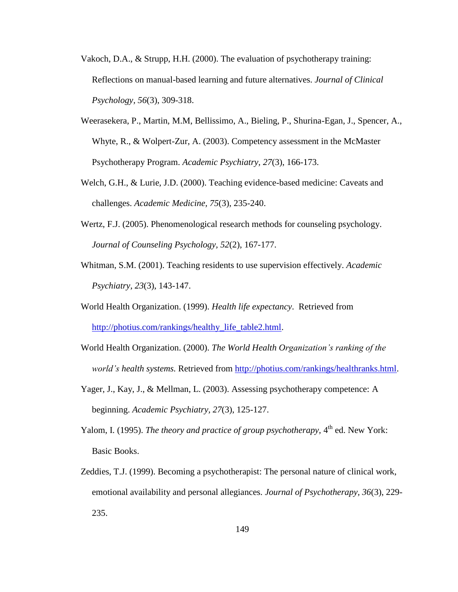- Vakoch, D.A., & Strupp, H.H. (2000). The evaluation of psychotherapy training: Reflections on manual-based learning and future alternatives. *Journal of Clinical Psychology, 56*(3), 309-318.
- Weerasekera, P., Martin, M.M, Bellissimo, A., Bieling, P., Shurina-Egan, J., Spencer, A., Whyte, R., & Wolpert-Zur, A. (2003). Competency assessment in the McMaster Psychotherapy Program. *Academic Psychiatry, 27*(3), 166-173.
- Welch, G.H., & Lurie, J.D. (2000). Teaching evidence-based medicine: Caveats and challenges. *Academic Medicine, 75*(3), 235-240.
- Wertz, F.J. (2005). Phenomenological research methods for counseling psychology. *Journal of Counseling Psychology, 52*(2), 167-177.
- Whitman, S.M. (2001). Teaching residents to use supervision effectively. *Academic Psychiatry, 23*(3), 143-147.
- World Health Organization. (1999). *Health life expectancy*. Retrieved from http://photius.com/rankings/healthy life table2.html.
- World Health Organization. (2000). *The World Health Organization's ranking of the world's health systems.* Retrieved from [http://photius.com/rankings/healthranks.html.](http://photius.com/rankings/healthranks.html)
- Yager, J., Kay, J., & Mellman, L. (2003). Assessing psychotherapy competence: A beginning. *Academic Psychiatry, 27*(3), 125-127.
- Yalom, I. (1995). *The theory and practice of group psychotherapy*, 4<sup>th</sup> ed. New York: Basic Books.
- Zeddies, T.J. (1999). Becoming a psychotherapist: The personal nature of clinical work, emotional availability and personal allegiances. *Journal of Psychotherapy, 36*(3), 229- 235.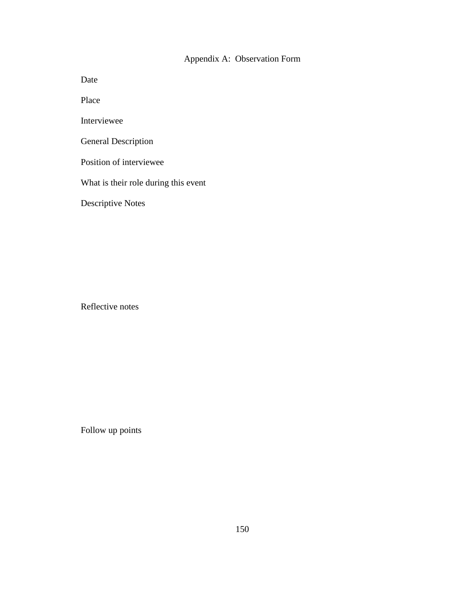# Appendix A: Observation Form

Date

Place

Interviewee

General Description

Position of interviewee

What is their role during this event

Descriptive Notes

Reflective notes

Follow up points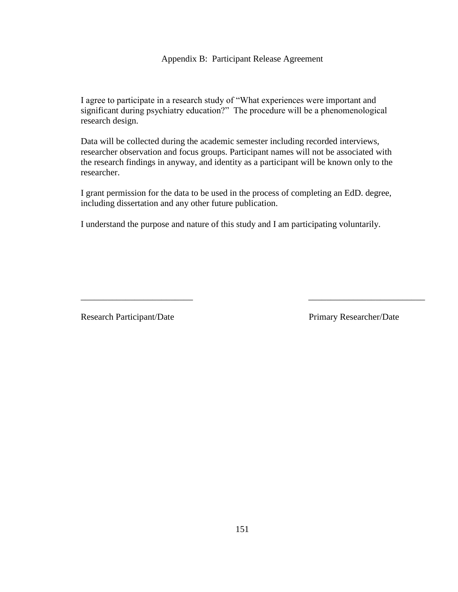I agree to participate in a research study of "What experiences were important and significant during psychiatry education?" The procedure will be a phenomenological research design.

Data will be collected during the academic semester including recorded interviews, researcher observation and focus groups. Participant names will not be associated with the research findings in anyway, and identity as a participant will be known only to the researcher.

I grant permission for the data to be used in the process of completing an EdD. degree, including dissertation and any other future publication.

\_\_\_\_\_\_\_\_\_\_\_\_\_\_\_\_\_\_\_\_\_\_\_\_\_ \_\_\_\_\_\_\_\_\_\_\_\_\_\_\_\_\_\_\_\_\_\_\_\_\_\_

I understand the purpose and nature of this study and I am participating voluntarily.

Research Participant/Date Primary Researcher/Date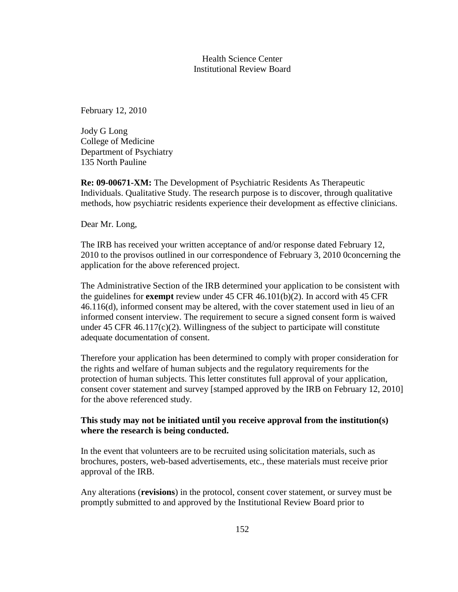## Health Science Center Institutional Review Board

February 12, 2010

Jody G Long College of Medicine Department of Psychiatry 135 North Pauline

**Re: 09-00671-XM:** The Development of Psychiatric Residents As Therapeutic Individuals. Qualitative Study. The research purpose is to discover, through qualitative methods, how psychiatric residents experience their development as effective clinicians.

Dear Mr. Long,

The IRB has received your written acceptance of and/or response dated February 12, 2010 to the provisos outlined in our correspondence of February 3, 2010 0concerning the application for the above referenced project.

The Administrative Section of the IRB determined your application to be consistent with the guidelines for **exempt** review under 45 CFR 46.101(b)(2). In accord with 45 CFR 46.116(d), informed consent may be altered, with the cover statement used in lieu of an informed consent interview. The requirement to secure a signed consent form is waived under 45 CFR  $46.117(c)(2)$ . Willingness of the subject to participate will constitute adequate documentation of consent.

Therefore your application has been determined to comply with proper consideration for the rights and welfare of human subjects and the regulatory requirements for the protection of human subjects. This letter constitutes full approval of your application, consent cover statement and survey [stamped approved by the IRB on February 12, 2010] for the above referenced study.

## **This study may not be initiated until you receive approval from the institution(s) where the research is being conducted.**

In the event that volunteers are to be recruited using solicitation materials, such as brochures, posters, web-based advertisements, etc., these materials must receive prior approval of the IRB.

Any alterations (**revisions**) in the protocol, consent cover statement, or survey must be promptly submitted to and approved by the Institutional Review Board prior to